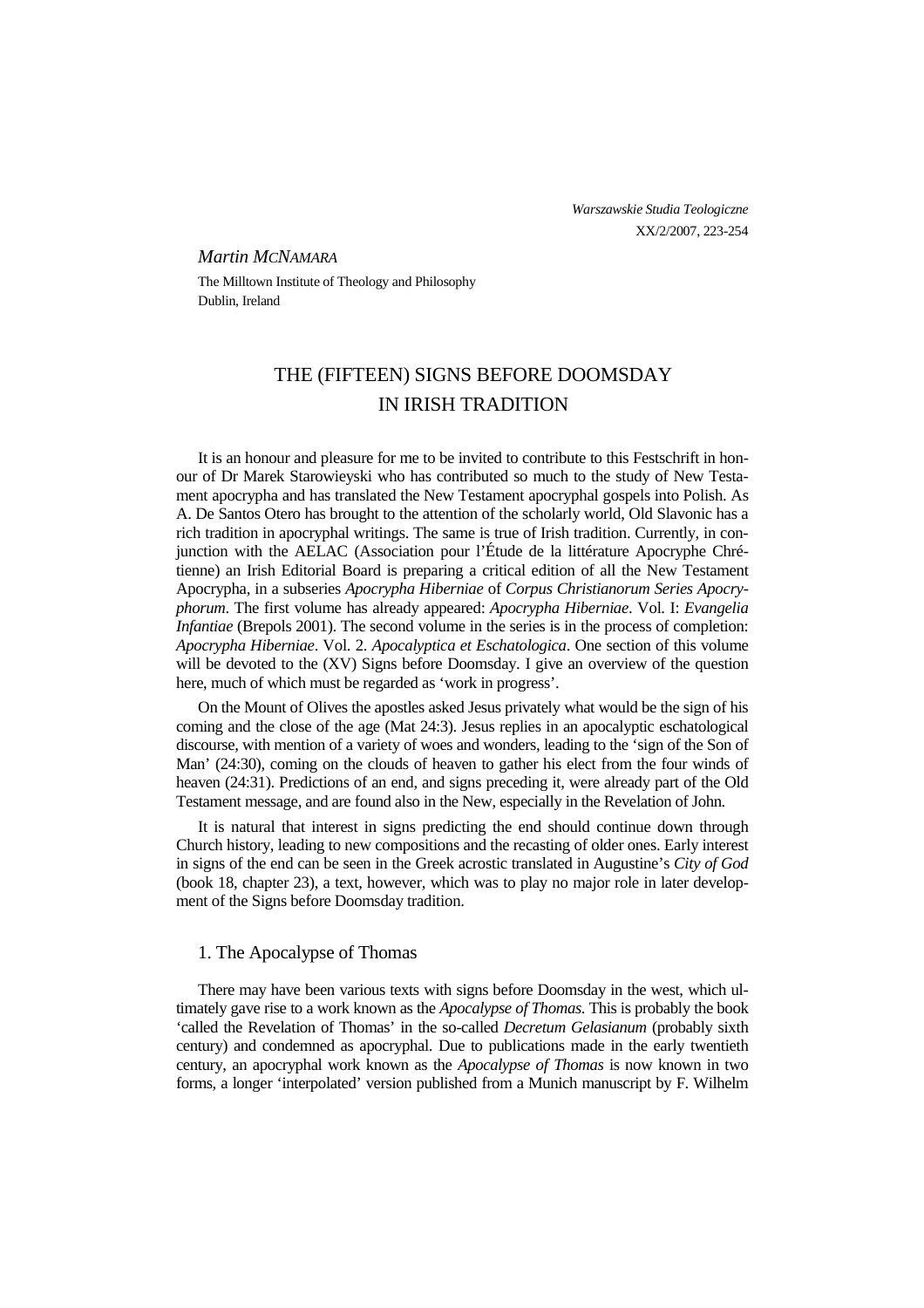## *Martin MCNAMARA*

The Milltown Institute of Theology and Philosophy Dublin, Ireland

# THE (FIFTEEN) SIGNS BEFORE DOOMSDAY IN IRISH TRADITION

It is an honour and pleasure for me to be invited to contribute to this Festschrift in honour of Dr Marek Starowieyski who has contributed so much to the study of New Testament apocrypha and has translated the New Testament apocryphal gospels into Polish. As A. De Santos Otero has brought to the attention of the scholarly world, Old Slavonic has a rich tradition in apocryphal writings. The same is true of Irish tradition. Currently, in conjunction with the AELAC (Association pour l'Étude de la littérature Apocryphe Chrétienne) an Irish Editorial Board is preparing a critical edition of all the New Testament Apocrypha, in a subseries *Apocrypha Hiberniae* of *Corpus Christianorum Series Apocryphorum*. The first volume has already appeared: *Apocrypha Hiberniae*. Vol. I: *Evangelia Infantiae* (Brepols 2001). The second volume in the series is in the process of completion: *Apocrypha Hiberniae*. Vol. 2. *Apocalyptica et Eschatologica*. One section of this volume will be devoted to the (XV) Signs before Doomsday. I give an overview of the question here, much of which must be regarded as 'work in progress'.

On the Mount of Olives the apostles asked Jesus privately what would be the sign of his coming and the close of the age (Mat 24:3). Jesus replies in an apocalyptic eschatological discourse, with mention of a variety of woes and wonders, leading to the 'sign of the Son of Man' (24:30), coming on the clouds of heaven to gather his elect from the four winds of heaven (24:31). Predictions of an end, and signs preceding it, were already part of the Old Testament message, and are found also in the New, especially in the Revelation of John.

It is natural that interest in signs predicting the end should continue down through Church history, leading to new compositions and the recasting of older ones. Early interest in signs of the end can be seen in the Greek acrostic translated in Augustine's *City of God* (book 18, chapter 23), a text, however, which was to play no major role in later development of the Signs before Doomsday tradition.

## 1. The Apocalypse of Thomas

There may have been various texts with signs before Doomsday in the west, which ultimately gave rise to a work known as the *Apocalypse of Thomas*. This is probably the book 'called the Revelation of Thomas' in the so-called *Decretum Gelasianum* (probably sixth century) and condemned as apocryphal. Due to publications made in the early twentieth century, an apocryphal work known as the *Apocalypse of Thomas* is now known in two forms, a longer 'interpolated' version published from a Munich manuscript by F. Wilhelm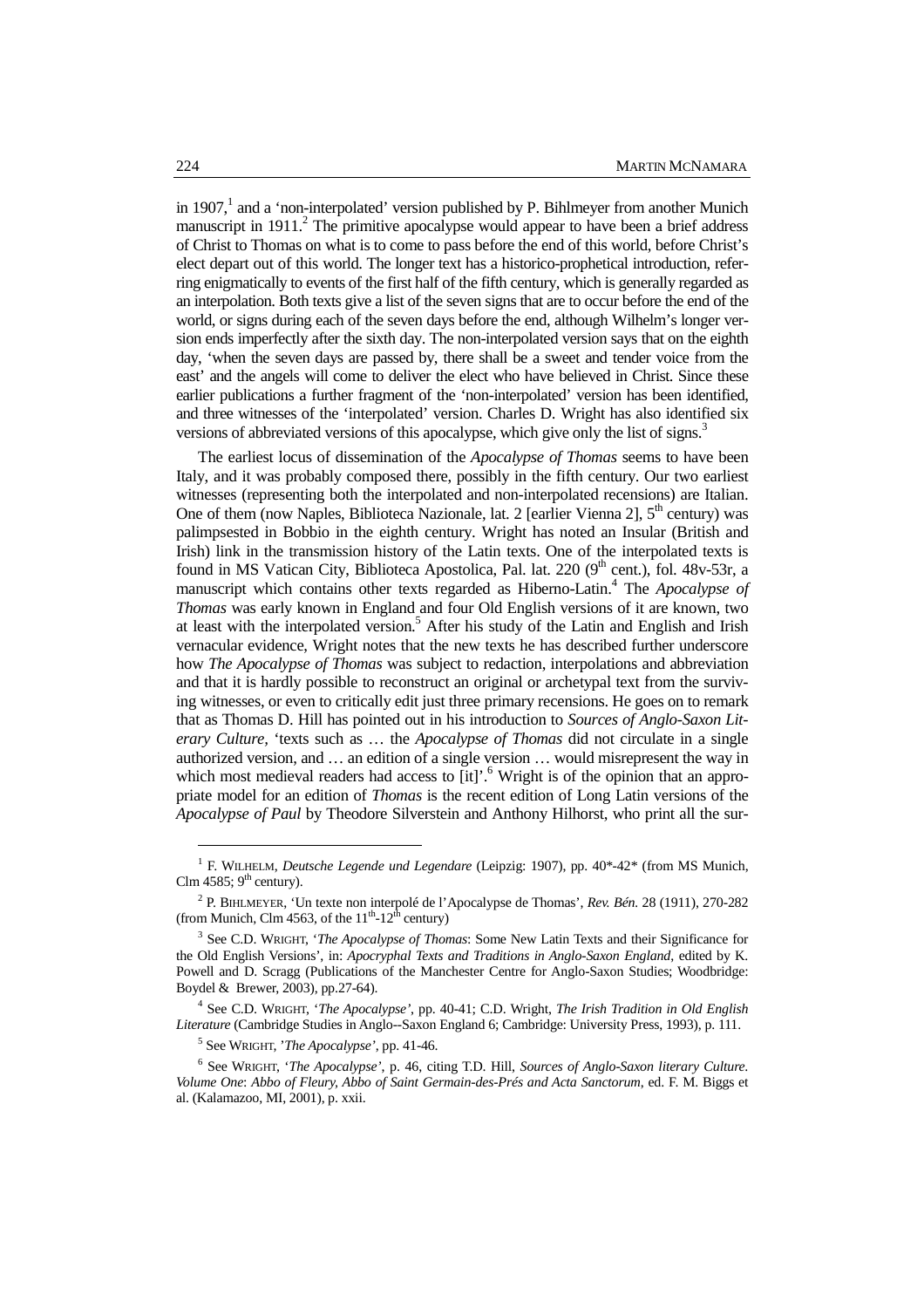in 1907,<sup>1</sup> and a 'non-interpolated' version published by P. Bihlmeyer from another Munich manuscript in  $1911<sup>2</sup>$  The primitive apocalypse would appear to have been a brief address of Christ to Thomas on what is to come to pass before the end of this world, before Christ's elect depart out of this world. The longer text has a historico-prophetical introduction, referring enigmatically to events of the first half of the fifth century, which is generally regarded as an interpolation. Both texts give a list of the seven signs that are to occur before the end of the world, or signs during each of the seven days before the end, although Wilhelm's longer version ends imperfectly after the sixth day. The non-interpolated version says that on the eighth day, 'when the seven days are passed by, there shall be a sweet and tender voice from the east' and the angels will come to deliver the elect who have believed in Christ. Since these earlier publications a further fragment of the 'non-interpolated' version has been identified, and three witnesses of the 'interpolated' version. Charles D. Wright has also identified six versions of abbreviated versions of this apocalypse, which give only the list of signs.<sup>3</sup>

The earliest locus of dissemination of the *Apocalypse of Thomas* seems to have been Italy, and it was probably composed there, possibly in the fifth century. Our two earliest witnesses (representing both the interpolated and non-interpolated recensions) are Italian. One of them (now Naples, Biblioteca Nazionale, lat. 2 [earlier Vienna 2],  $5<sup>th</sup>$  century) was palimpsested in Bobbio in the eighth century. Wright has noted an Insular (British and Irish) link in the transmission history of the Latin texts. One of the interpolated texts is found in MS Vatican City, Biblioteca Apostolica, Pal. lat. 220  $(9<sup>th</sup>$  cent.), fol. 48v-53r, a manuscript which contains other texts regarded as Hiberno-Latin.<sup>4</sup> The *Apocalypse of Thomas* was early known in England and four Old English versions of it are known, two at least with the interpolated version.<sup>5</sup> After his study of the Latin and English and Irish vernacular evidence, Wright notes that the new texts he has described further underscore how *The Apocalypse of Thomas* was subject to redaction, interpolations and abbreviation and that it is hardly possible to reconstruct an original or archetypal text from the surviving witnesses, or even to critically edit just three primary recensions. He goes on to remark that as Thomas D. Hill has pointed out in his introduction to *Sources of Anglo-Saxon Literary Culture,* 'texts such as … the *Apocalypse of Thomas* did not circulate in a single authorized version, and … an edition of a single version … would misrepresent the way in which most medieval readers had access to [it]'.<sup>6</sup> Wright is of the opinion that an appropriate model for an edition of *Thomas* is the recent edition of Long Latin versions of the *Apocalypse of Paul* by Theodore Silverstein and Anthony Hilhorst, who print all the sur-

<sup>1</sup> F. WILHELM, *Deutsche Legende und Legendare* (Leipzig: 1907), pp. 40\*-42\* (from MS Munich, Clm 4585;  $9<sup>th</sup>$  century).

<sup>2</sup> P. BIHLMEYER, 'Un texte non interpolé de l'Apocalypse de Thomas', *Rev. Bén.* 28 (1911), 270-282 (from Munich, Clm 4563, of the  $11<sup>th</sup>$ -12<sup>th</sup> century)

<sup>3</sup> See C.D. WRIGHT, '*The Apocalypse of Thomas*: Some New Latin Texts and their Significance for the Old English Versions', in: *Apocryphal Texts and Traditions in Anglo-Saxon England*, edited by K. Powell and D. Scragg (Publications of the Manchester Centre for Anglo-Saxon Studies; Woodbridge: Boydel & Brewer, 2003), pp.27-64).

<sup>4</sup> See C.D. WRIGHT, '*The Apocalypse'*, pp. 40-41; C.D. Wright, *The Irish Tradition in Old English Literature* (Cambridge Studies in Anglo--Saxon England 6; Cambridge: University Press, 1993), p. 111.

<sup>5</sup> See WRIGHT, '*The Apocalypse'*, pp. 41-46.

<sup>6</sup> See WRIGHT, '*The Apocalypse'*, p. 46, citing T.D. Hill, *Sources of Anglo-Saxon literary Culture*. *Volume One*: *Abbo of Fleury, Abbo of Saint Germain-des-Prés and Acta Sanctorum*, ed. F. M. Biggs et al. (Kalamazoo, MI, 2001), p. xxii.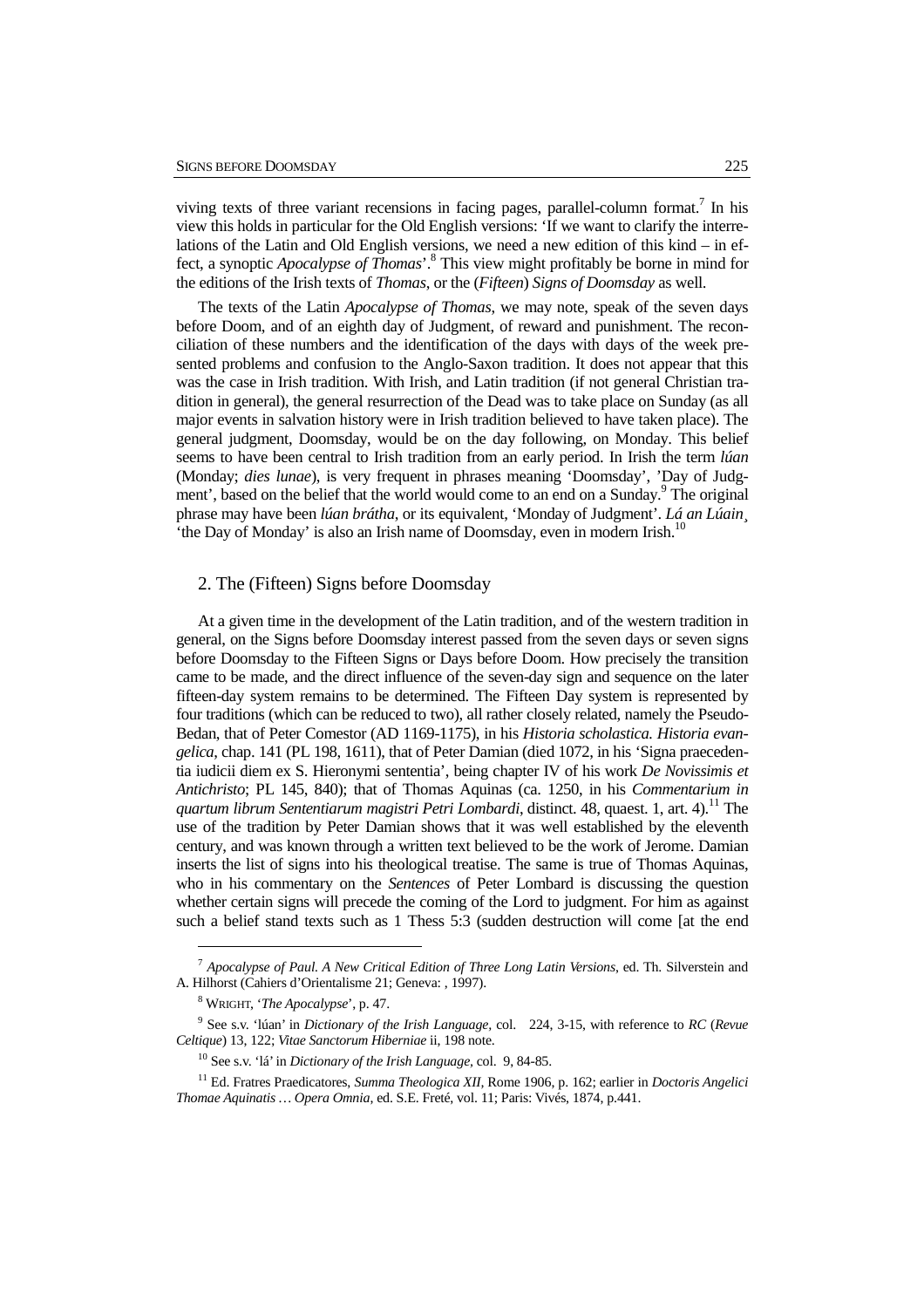viving texts of three variant recensions in facing pages, parallel-column format.<sup>7</sup> In his view this holds in particular for the Old English versions: 'If we want to clarify the interrelations of the Latin and Old English versions, we need a new edition of this kind – in effect, a synoptic *Apocalypse of Thomas*'.<sup>8</sup> This view might profitably be borne in mind for the editions of the Irish texts of *Thomas*, or the (*Fifteen*) *Signs of Doomsday* as well.

The texts of the Latin *Apocalypse of Thomas*, we may note, speak of the seven days before Doom, and of an eighth day of Judgment, of reward and punishment. The reconciliation of these numbers and the identification of the days with days of the week presented problems and confusion to the Anglo-Saxon tradition. It does not appear that this was the case in Irish tradition. With Irish, and Latin tradition (if not general Christian tradition in general), the general resurrection of the Dead was to take place on Sunday (as all major events in salvation history were in Irish tradition believed to have taken place). The general judgment, Doomsday, would be on the day following, on Monday. This belief seems to have been central to Irish tradition from an early period. In Irish the term *lúan* (Monday; *dies lunae*), is very frequent in phrases meaning 'Doomsday', 'Day of Judgment', based on the belief that the world would come to an end on a Sunday.<sup>9</sup> The original phrase may have been *lúan brátha*, or its equivalent, 'Monday of Judgment'. *Lá an Lúain¸* 'the Day of Monday' is also an Irish name of Doomsday, even in modern Irish.<sup>1</sup>

## 2. The (Fifteen) Signs before Doomsday

At a given time in the development of the Latin tradition, and of the western tradition in general, on the Signs before Doomsday interest passed from the seven days or seven signs before Doomsday to the Fifteen Signs or Days before Doom. How precisely the transition came to be made, and the direct influence of the seven-day sign and sequence on the later fifteen-day system remains to be determined. The Fifteen Day system is represented by four traditions (which can be reduced to two), all rather closely related, namely the Pseudo-Bedan, that of Peter Comestor (AD 1169-1175), in his *Historia scholastica. Historia evangelica*, chap. 141 (PL 198, 1611), that of Peter Damian (died 1072, in his 'Signa praecedentia iudicii diem ex S. Hieronymi sententia', being chapter IV of his work *De Novissimis et Antichristo*; PL 145, 840); that of Thomas Aquinas (ca. 1250, in his *Commentarium in quartum librum Sententiarum magistri Petri Lombardi*, distinct. 48, quaest. 1, art. 4).<sup>11</sup> The use of the tradition by Peter Damian shows that it was well established by the eleventh century, and was known through a written text believed to be the work of Jerome. Damian inserts the list of signs into his theological treatise. The same is true of Thomas Aquinas, who in his commentary on the *Sentences* of Peter Lombard is discussing the question whether certain signs will precede the coming of the Lord to judgment. For him as against such a belief stand texts such as 1 Thess 5:3 (sudden destruction will come [at the end

<sup>7</sup> *Apocalypse of Paul. A New Critical Edition of Three Long Latin Versions*, ed. Th. Silverstein and A. Hilhorst (Cahiers d'Orientalisme 21; Geneva: , 1997).

<sup>8</sup> WRIGHT, '*The Apocalypse*', p. 47.

<sup>9</sup> See s.v. 'lúan' in *Dictionary of the Irish Language,* col. 224, 3-15, with reference to *RC* (*Revue Celtique*) 13, 122; *Vitae Sanctorum Hiberniae* ii, 198 note.

<sup>10</sup> See s.v. 'lá' in *Dictionary of the Irish Language,* col. 9, 84-85.

<sup>11</sup> Ed. Fratres Praedicatores, *Summa Theologica XII,* Rome 1906, p. 162; earlier in *Doctoris Angelici Thomae Aquinatis … Opera Omnia*, ed. S.E. Freté, vol. 11; Paris: Vivés, 1874, p.441.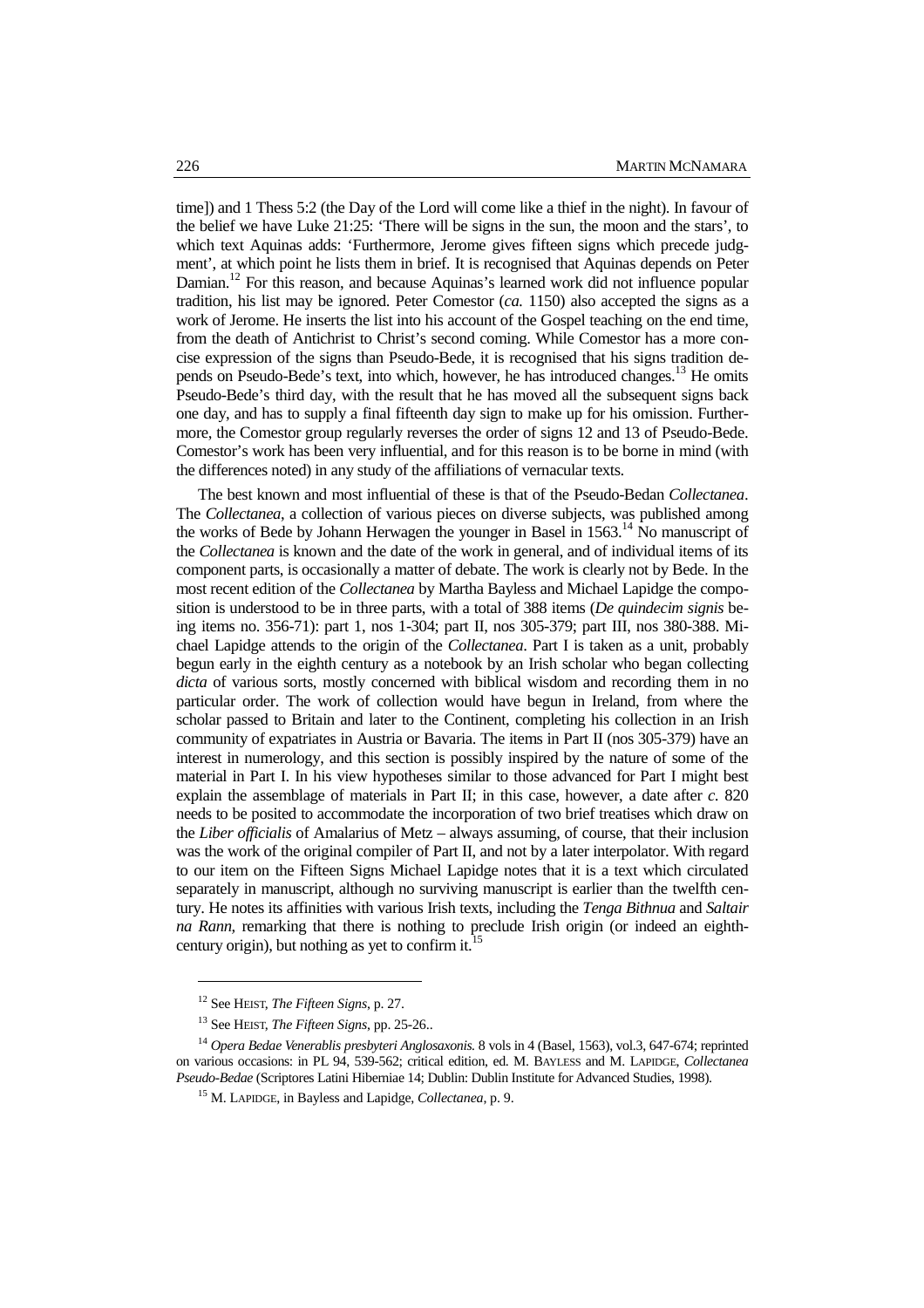time]) and 1 Thess 5:2 (the Day of the Lord will come like a thief in the night). In favour of the belief we have Luke 21:25: 'There will be signs in the sun, the moon and the stars', to which text Aquinas adds: 'Furthermore, Jerome gives fifteen signs which precede judgment', at which point he lists them in brief. It is recognised that Aquinas depends on Peter Damian.<sup>12</sup> For this reason, and because Aquinas's learned work did not influence popular tradition, his list may be ignored. Peter Comestor (*ca.* 1150) also accepted the signs as a work of Jerome. He inserts the list into his account of the Gospel teaching on the end time, from the death of Antichrist to Christ's second coming. While Comestor has a more concise expression of the signs than Pseudo-Bede, it is recognised that his signs tradition depends on Pseudo-Bede's text, into which, however, he has introduced changes.<sup>13</sup> He omits Pseudo-Bede's third day, with the result that he has moved all the subsequent signs back one day, and has to supply a final fifteenth day sign to make up for his omission. Furthermore, the Comestor group regularly reverses the order of signs 12 and 13 of Pseudo-Bede. Comestor's work has been very influential, and for this reason is to be borne in mind (with the differences noted) in any study of the affiliations of vernacular texts.

The best known and most influential of these is that of the Pseudo-Bedan *Collectanea*. The *Collectanea*, a collection of various pieces on diverse subjects, was published among the works of Bede by Johann Herwagen the younger in Basel in  $1563$ .<sup>14</sup> No manuscript of the *Collectanea* is known and the date of the work in general, and of individual items of its component parts, is occasionally a matter of debate. The work is clearly not by Bede. In the most recent edition of the *Collectanea* by Martha Bayless and Michael Lapidge the composition is understood to be in three parts, with a total of 388 items (*De quindecim signis* being items no. 356-71): part 1, nos 1-304; part II, nos 305-379; part III, nos 380-388. Michael Lapidge attends to the origin of the *Collectanea*. Part I is taken as a unit, probably begun early in the eighth century as a notebook by an Irish scholar who began collecting *dicta* of various sorts, mostly concerned with biblical wisdom and recording them in no particular order. The work of collection would have begun in Ireland, from where the scholar passed to Britain and later to the Continent, completing his collection in an Irish community of expatriates in Austria or Bavaria. The items in Part II (nos 305-379) have an interest in numerology, and this section is possibly inspired by the nature of some of the material in Part I. In his view hypotheses similar to those advanced for Part I might best explain the assemblage of materials in Part II; in this case, however, a date after *c.* 820 needs to be posited to accommodate the incorporation of two brief treatises which draw on the *Liber officialis* of Amalarius of Metz – always assuming, of course, that their inclusion was the work of the original compiler of Part II, and not by a later interpolator. With regard to our item on the Fifteen Signs Michael Lapidge notes that it is a text which circulated separately in manuscript, although no surviving manuscript is earlier than the twelfth century. He notes its affinities with various Irish texts, including the *Tenga Bithnua* and *Saltair na Rann*, remarking that there is nothing to preclude Irish origin (or indeed an eighthcentury origin), but nothing as yet to confirm it.

<sup>12</sup> See HEIST, *The Fifteen Signs*, p. 27.

<sup>13</sup> See HEIST, *The Fifteen Signs*, pp. 25-26..

<sup>14</sup> *Opera Bedae Venerablis presbyteri Anglosaxonis.* 8 vols in 4 (Basel, 1563), vol.3, 647-674; reprinted on various occasions: in PL 94, 539-562; critical edition, ed. M. BAYLESS and M. LAPIDGE, *Collectanea Pseudo-Bedae* (Scriptores Latini Hiberniae 14; Dublin: Dublin Institute for Advanced Studies, 1998).

<sup>15</sup> M. LAPIDGE, in Bayless and Lapidge, *Collectanea*, p. 9.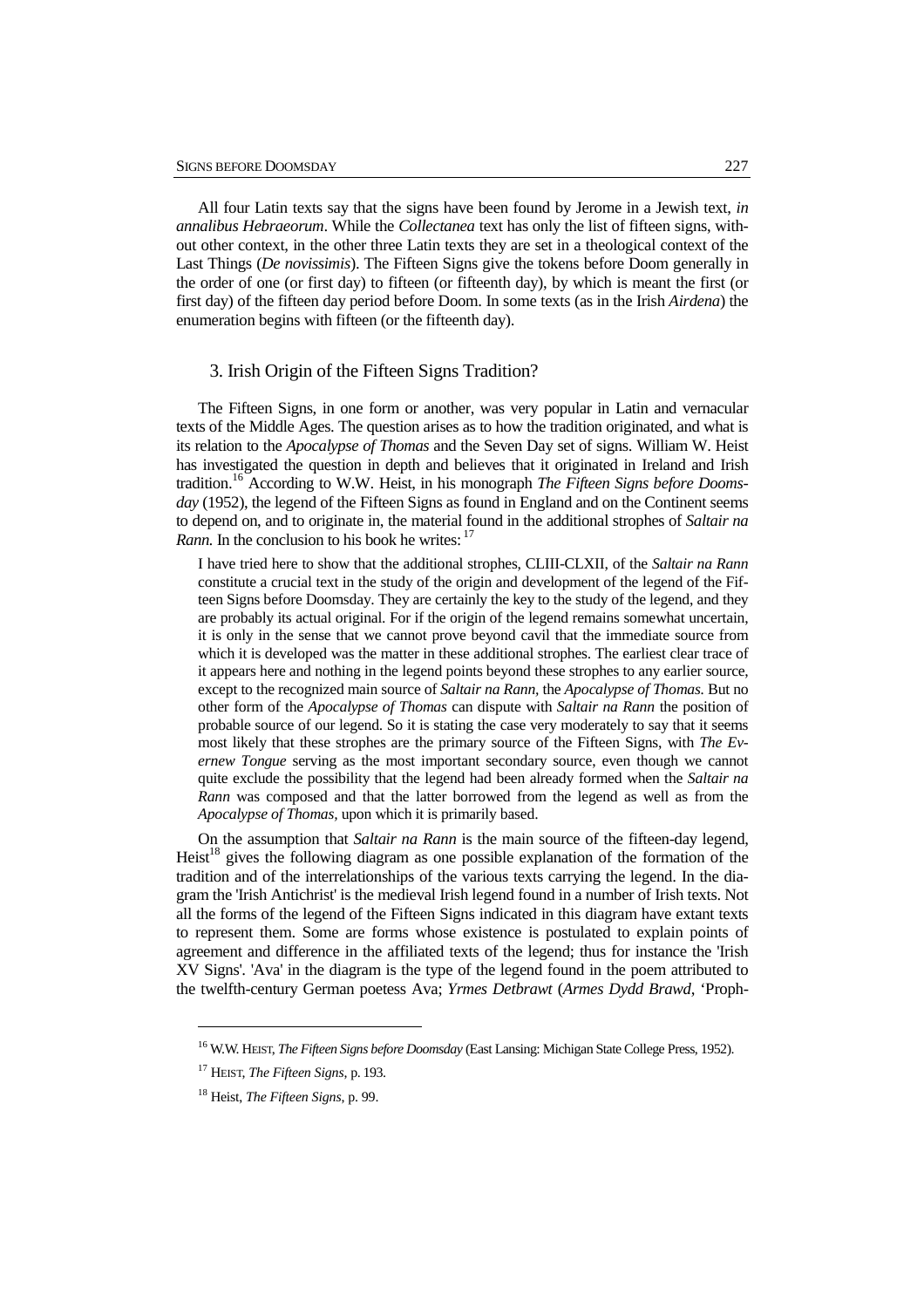All four Latin texts say that the signs have been found by Jerome in a Jewish text, *in annalibus Hebraeorum*. While the *Collectanea* text has only the list of fifteen signs, without other context, in the other three Latin texts they are set in a theological context of the Last Things (*De novissimis*). The Fifteen Signs give the tokens before Doom generally in the order of one (or first day) to fifteen (or fifteenth day), by which is meant the first (or first day) of the fifteen day period before Doom. In some texts (as in the Irish *Airdena*) the enumeration begins with fifteen (or the fifteenth day).

## 3. Irish Origin of the Fifteen Signs Tradition?

The Fifteen Signs, in one form or another, was very popular in Latin and vernacular texts of the Middle Ages. The question arises as to how the tradition originated, and what is its relation to the *Apocalypse of Thomas* and the Seven Day set of signs. William W. Heist has investigated the question in depth and believes that it originated in Ireland and Irish tradition.<sup>16</sup> According to W.W. Heist, in his monograph *The Fifteen Signs before Dooms*day (1952), the legend of the Fifteen Signs as found in England and on the Continent seems to depend on, and to originate in, the material found in the additional strophes of *Saltair na Rann*. In the conclusion to his book he writes: <sup>17</sup>

I have tried here to show that the additional strophes, CLIII-CLXII, of the *Saltair na Rann*  constitute a crucial text in the study of the origin and development of the legend of the Fifteen Signs before Doomsday. They are certainly the key to the study of the legend, and they are probably its actual original. For if the origin of the legend remains somewhat uncertain, it is only in the sense that we cannot prove beyond cavil that the immediate source from which it is developed was the matter in these additional strophes. The earliest clear trace of it appears here and nothing in the legend points beyond these strophes to any earlier source, except to the recognized main source of *Saltair na Rann,* the *Apocalypse of Thomas.* But no other form of the *Apocalypse of Thomas* can dispute with *Saltair na Rann* the position of probable source of our legend. So it is stating the case very moderately to say that it seems most likely that these strophes are the primary source of the Fifteen Signs, with *The Evernew Tongue* serving as the most important secondary source, even though we cannot quite exclude the possibility that the legend had been already formed when the *Saltair na Rann* was composed and that the latter borrowed from the legend as well as from the *Apocalypse of Thomas,* upon which it is primarily based.

On the assumption that *Saltair na Rann* is the main source of the fifteen-day legend, Heist<sup>18</sup> gives the following diagram as one possible explanation of the formation of the tradition and of the interrelationships of the various texts carrying the legend. In the diagram the 'Irish Antichrist' is the medieval Irish legend found in a number of Irish texts. Not all the forms of the legend of the Fifteen Signs indicated in this diagram have extant texts to represent them. Some are forms whose existence is postulated to explain points of agreement and difference in the affiliated texts of the legend; thus for instance the 'Irish XV Signs'. 'Ava' in the diagram is the type of the legend found in the poem attributed to the twelfth-century German poetess Ava; *Yrmes Detbrawt* (*Armes Dydd Brawd*, 'Proph-

<sup>16</sup> W.W. HEIST, *The Fifteen Signs before Doomsday* (East Lansing: Michigan State College Press, 1952).

<sup>17</sup> HEIST, *The Fifteen Signs*, p. 193.

<sup>18</sup> Heist, *The Fifteen Signs*, p. 99.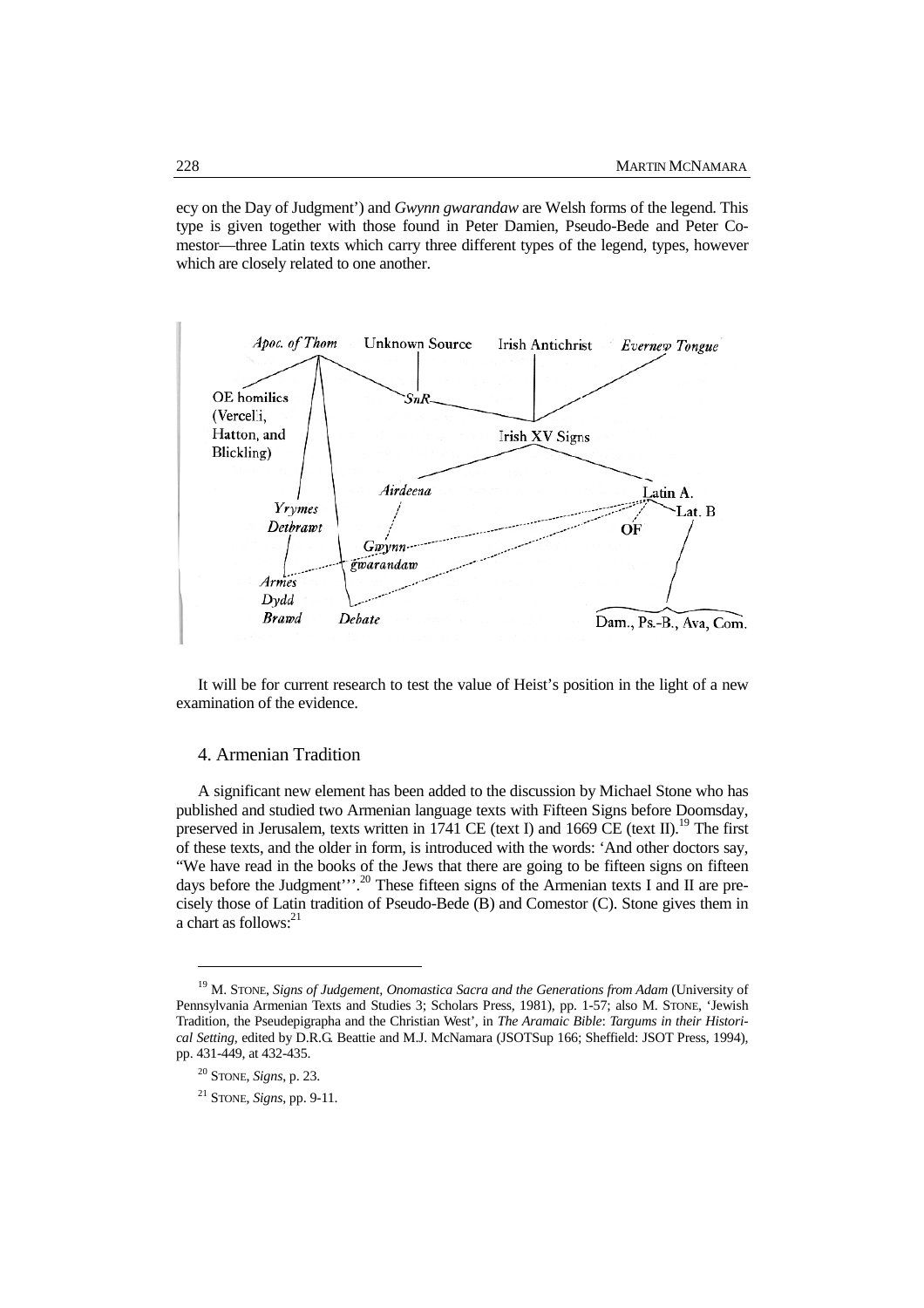ecy on the Day of Judgment') and *Gwynn gwarandaw* are Welsh forms of the legend. This type is given together with those found in Peter Damien, Pseudo-Bede and Peter Comestor—three Latin texts which carry three different types of the legend, types, however which are closely related to one another.



It will be for current research to test the value of Heist's position in the light of a new examination of the evidence.

## 4. Armenian Tradition

A significant new element has been added to the discussion by Michael Stone who has published and studied two Armenian language texts with Fifteen Signs before Doomsday, preserved in Jerusalem, texts written in 1741 CE (text I) and 1669 CE (text II).<sup>19</sup> The first of these texts, and the older in form, is introduced with the words: 'And other doctors say, "We have read in the books of the Jews that there are going to be fifteen signs on fifteen days before the Judgment"'.<sup>20</sup> These fifteen signs of the Armenian texts I and II are precisely those of Latin tradition of Pseudo-Bede (B) and Comestor (C). Stone gives them in a chart as follows:<sup>21</sup>

<sup>&</sup>lt;sup>19</sup> M. STONE, *Signs of Judgement, Onomastica Sacra and the Generations from Adam* (University of Pennsylvania Armenian Texts and Studies 3; Scholars Press, 1981), pp. 1-57; also M. STONE, 'Jewish Tradition, the Pseudepigrapha and the Christian West', in *The Aramaic Bible*: *Targums in their Historical Setting*, edited by D.R.G. Beattie and M.J. McNamara (JSOTSup 166; Sheffield: JSOT Press, 1994), pp. 431-449, at 432-435.

<sup>20</sup> STONE, *Signs*, p. 23.

<sup>21</sup> STONE, *Signs*, pp. 9-11.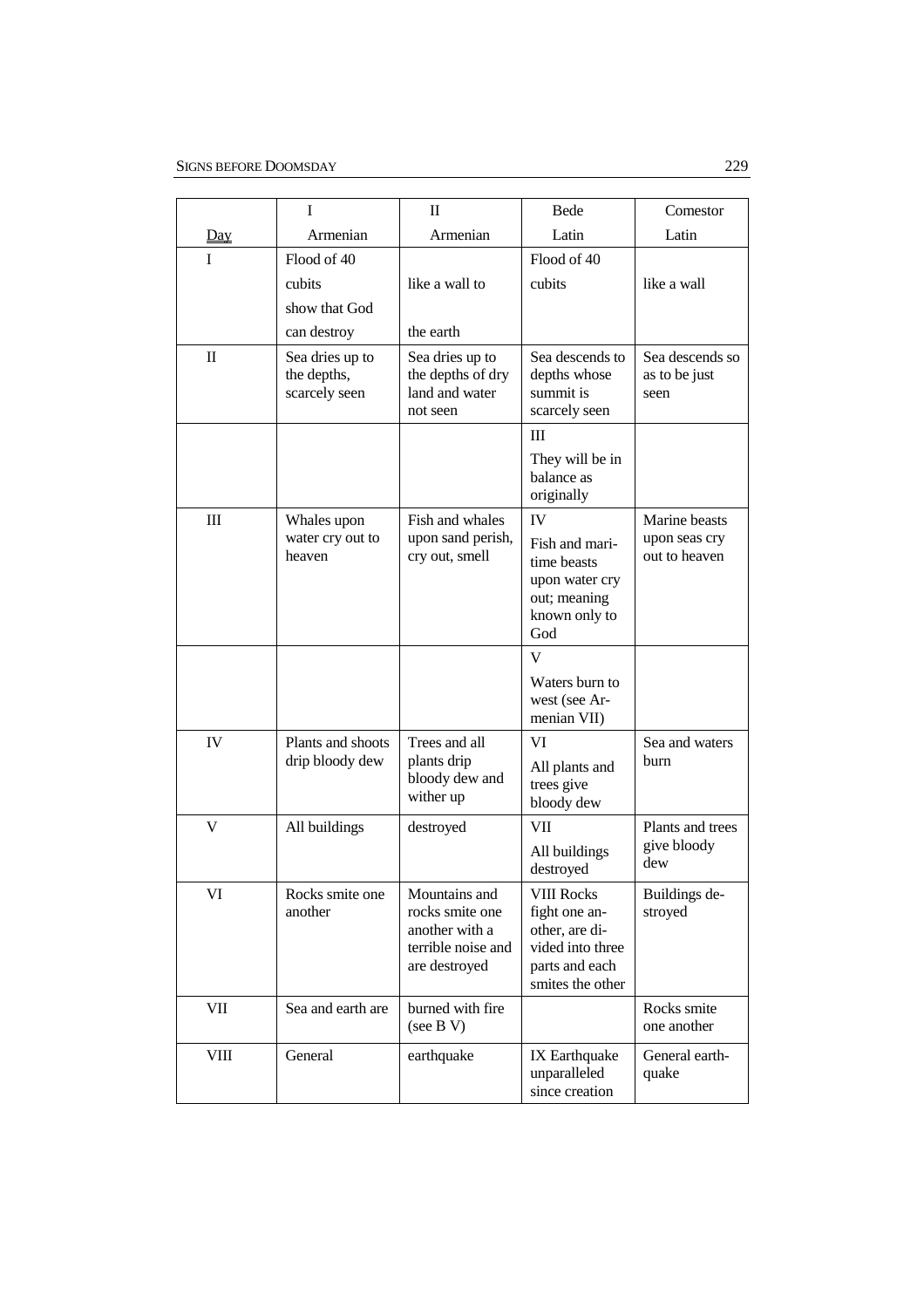|                                  | I                                               | $\mathbf{I}$                                                                              | Bede                                                                                                           | Comestor                                        |
|----------------------------------|-------------------------------------------------|-------------------------------------------------------------------------------------------|----------------------------------------------------------------------------------------------------------------|-------------------------------------------------|
| Day                              | Armenian                                        | Armenian                                                                                  | Latin                                                                                                          | Latin                                           |
| $\mathbf{I}$                     | Flood of 40                                     |                                                                                           | Flood of 40                                                                                                    |                                                 |
|                                  | cubits                                          | like a wall to                                                                            | cubits                                                                                                         | like a wall                                     |
|                                  | show that God                                   |                                                                                           |                                                                                                                |                                                 |
|                                  | can destroy                                     | the earth                                                                                 |                                                                                                                |                                                 |
| $\mathbf{I}$                     | Sea dries up to<br>the depths,<br>scarcely seen | Sea dries up to<br>the depths of dry<br>land and water<br>not seen                        | Sea descends to<br>depths whose<br>summit is<br>scarcely seen                                                  | Sea descends so<br>as to be just<br>seen        |
|                                  |                                                 |                                                                                           | Ш                                                                                                              |                                                 |
|                                  |                                                 |                                                                                           | They will be in<br>balance as<br>originally                                                                    |                                                 |
| $\mathop{\mathrm{III}}\nolimits$ | Whales upon<br>water cry out to<br>heaven       | Fish and whales<br>upon sand perish,<br>cry out, smell                                    | IV<br>Fish and mari-<br>time beasts<br>upon water cry<br>out; meaning<br>known only to<br>God                  | Marine beasts<br>upon seas cry<br>out to heaven |
|                                  |                                                 |                                                                                           | V                                                                                                              |                                                 |
|                                  |                                                 |                                                                                           | Waters burn to<br>west (see Ar-<br>menian VII)                                                                 |                                                 |
| IV                               | Plants and shoots<br>drip bloody dew            | Trees and all<br>plants drip<br>bloody dew and<br>wither up                               | VI<br>All plants and<br>trees give<br>bloody dew                                                               | Sea and waters<br>burn                          |
| V                                | All buildings                                   | destroyed                                                                                 | <b>VII</b><br>All buildings<br>destroyed                                                                       | Plants and trees<br>give bloody<br>dew          |
| VI                               | Rocks smite one<br>another                      | Mountains and<br>rocks smite one<br>another with a<br>terrible noise and<br>are destroyed | <b>VIII Rocks</b><br>fight one an-<br>other, are di-<br>vided into three<br>parts and each<br>smites the other | Buildings de-<br>stroyed                        |
| VII                              | Sea and earth are                               | burned with fire<br>(see B V)                                                             |                                                                                                                | Rocks smite<br>one another                      |
| VIII                             | General                                         | earthquake                                                                                | IX Earthquake<br>unparalleled<br>since creation                                                                | General earth-<br>quake                         |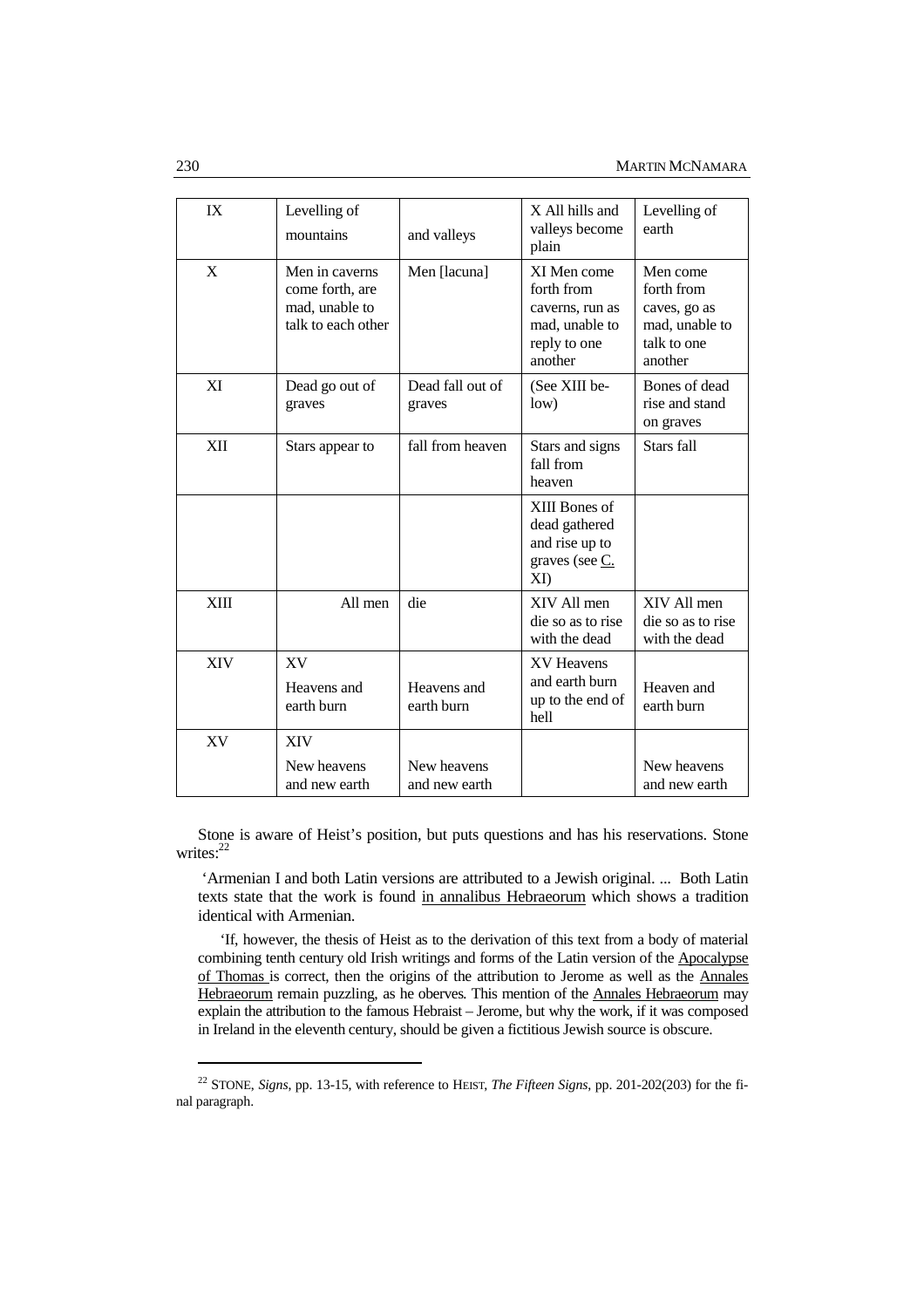| IX         | Levelling of<br>mountains                                                 | and valleys                  | X All hills and<br>valleys become<br>plain                                                | Levelling of<br>earth                                                              |
|------------|---------------------------------------------------------------------------|------------------------------|-------------------------------------------------------------------------------------------|------------------------------------------------------------------------------------|
| X          | Men in caverns<br>come forth, are<br>mad, unable to<br>talk to each other | Men [lacuna]                 | XI Men come<br>forth from<br>caverns, run as<br>mad, unable to<br>reply to one<br>another | Men come<br>forth from<br>caves, go as<br>mad, unable to<br>talk to one<br>another |
| XI         | Dead go out of<br>graves                                                  | Dead fall out of<br>graves   | (See XIII be-<br>low)                                                                     | Bones of dead<br>rise and stand<br>on graves                                       |
| XII        | Stars appear to                                                           | fall from heaven             | Stars and signs<br>fall from<br>heaven                                                    | Stars fall                                                                         |
|            |                                                                           |                              | XIII Bones of<br>dead gathered<br>and rise up to<br>graves (see C.<br>X <sub>D</sub>      |                                                                                    |
| XIII       | All men                                                                   | die                          | XIV All men<br>die so as to rise<br>with the dead                                         | XIV All men<br>die so as to rise<br>with the dead                                  |
| <b>XIV</b> | <b>XV</b><br>Heavens and<br>earth burn                                    | Heavens and<br>earth burn    | <b>XV Heavens</b><br>and earth burn<br>up to the end of<br>hell                           | Heaven and<br>earth burn                                                           |
| XV         | <b>XIV</b><br>New heavens<br>and new earth                                | New heavens<br>and new earth |                                                                                           | New heavens<br>and new earth                                                       |

Stone is aware of Heist's position, but puts questions and has his reservations. Stone writes:<sup>22</sup>

 'Armenian I and both Latin versions are attributed to a Jewish original. ... Both Latin texts state that the work is found in annalibus Hebraeorum which shows a tradition identical with Armenian.

'If, however, the thesis of Heist as to the derivation of this text from a body of material combining tenth century old Irish writings and forms of the Latin version of the Apocalypse of Thomas is correct, then the origins of the attribution to Jerome as well as the Annales Hebraeorum remain puzzling, as he oberves*.* This mention of the Annales Hebraeorum may explain the attribution to the famous Hebraist – Jerome, but why the work, if it was composed in Ireland in the eleventh century, should be given a fictitious Jewish source is obscure.

<sup>22</sup> STONE, *Signs*, pp. 13-15, with reference to HEIST, *The Fifteen Signs*, pp. 201-202(203) for the final paragraph.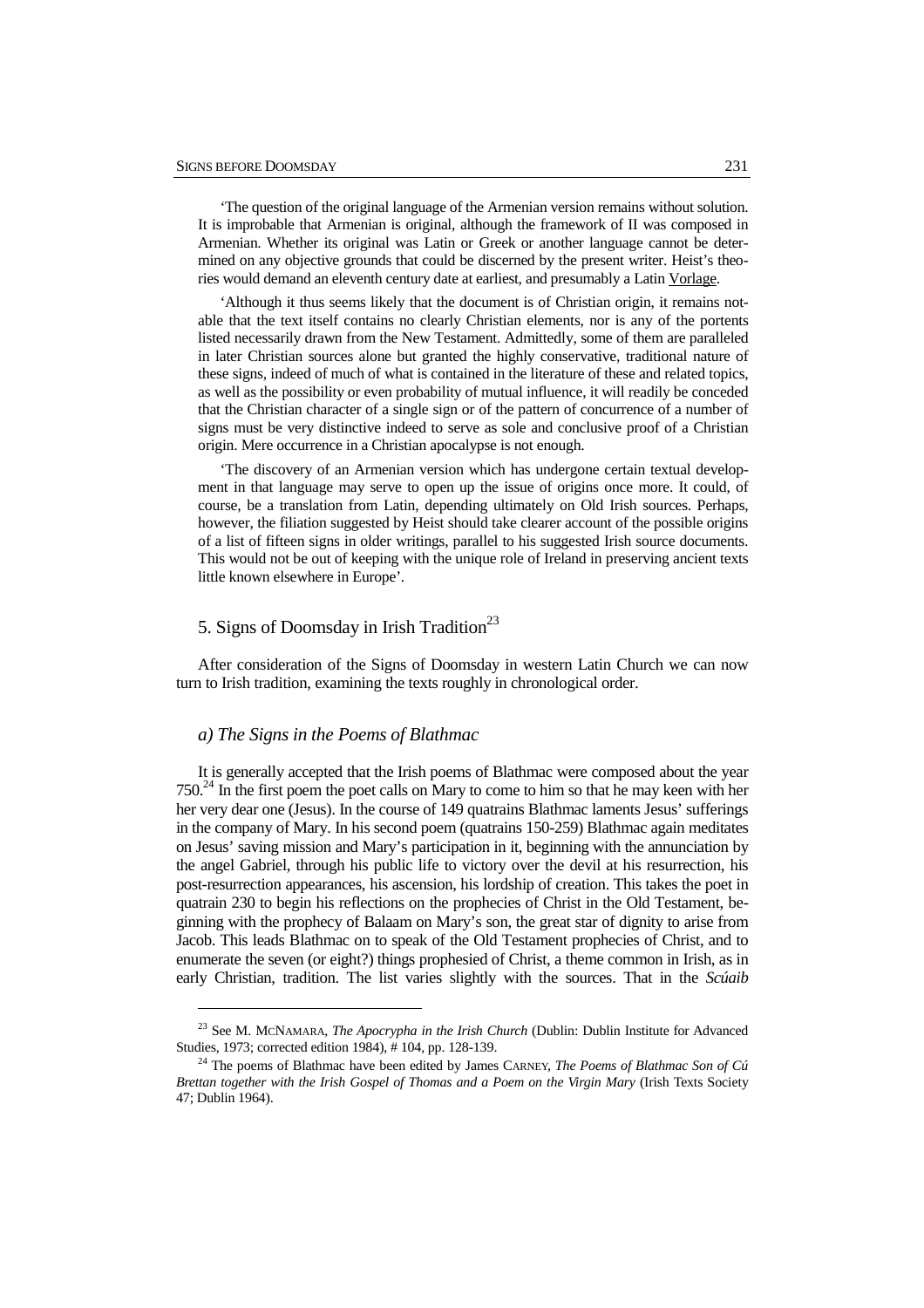'The question of the original language of the Armenian version remains without solution. It is improbable that Armenian is original, although the framework of II was composed in Armenian. Whether its original was Latin or Greek or another language cannot be determined on any objective grounds that could be discerned by the present writer. Heist's theories would demand an eleventh century date at earliest, and presumably a Latin Vorlage.

'Although it thus seems likely that the document is of Christian origin, it remains notable that the text itself contains no clearly Christian elements, nor is any of the portents listed necessarily drawn from the New Testament. Admittedly, some of them are paralleled in later Christian sources alone but granted the highly conservative, traditional nature of these signs, indeed of much of what is contained in the literature of these and related topics, as well as the possibility or even probability of mutual influence, it will readily be conceded that the Christian character of a single sign or of the pattern of concurrence of a number of signs must be very distinctive indeed to serve as sole and conclusive proof of a Christian origin. Mere occurrence in a Christian apocalypse is not enough.

'The discovery of an Armenian version which has undergone certain textual development in that language may serve to open up the issue of origins once more. It could, of course, be a translation from Latin, depending ultimately on Old Irish sources. Perhaps, however, the filiation suggested by Heist should take clearer account of the possible origins of a list of fifteen signs in older writings, parallel to his suggested Irish source documents. This would not be out of keeping with the unique role of Ireland in preserving ancient texts little known elsewhere in Europe'.

# 5. Signs of Doomsday in Irish Tradition<sup>23</sup>

After consideration of the Signs of Doomsday in western Latin Church we can now turn to Irish tradition, examining the texts roughly in chronological order.

#### *a) The Signs in the Poems of Blathmac*

 $\overline{a}$ 

It is generally accepted that the Irish poems of Blathmac were composed about the year  $750<sup>24</sup>$  In the first poem the poet calls on Mary to come to him so that he may keen with her her very dear one (Jesus). In the course of 149 quatrains Blathmac laments Jesus' sufferings in the company of Mary. In his second poem (quatrains 150-259) Blathmac again meditates on Jesus' saving mission and Mary's participation in it, beginning with the annunciation by the angel Gabriel, through his public life to victory over the devil at his resurrection, his post-resurrection appearances, his ascension, his lordship of creation. This takes the poet in quatrain 230 to begin his reflections on the prophecies of Christ in the Old Testament, beginning with the prophecy of Balaam on Mary's son, the great star of dignity to arise from Jacob. This leads Blathmac on to speak of the Old Testament prophecies of Christ, and to enumerate the seven (or eight?) things prophesied of Christ, a theme common in Irish, as in early Christian, tradition. The list varies slightly with the sources. That in the *Scúaib* 

<sup>23</sup> See M. MCNAMARA, *The Apocrypha in the Irish Church* (Dublin: Dublin Institute for Advanced Studies, 1973; corrected edition 1984), # 104, pp. 128-139.

<sup>24</sup> The poems of Blathmac have been edited by James CARNEY, *The Poems of Blathmac Son of Cú Brettan together with the Irish Gospel of Thomas and a Poem on the Virgin Mary* (Irish Texts Society 47; Dublin 1964).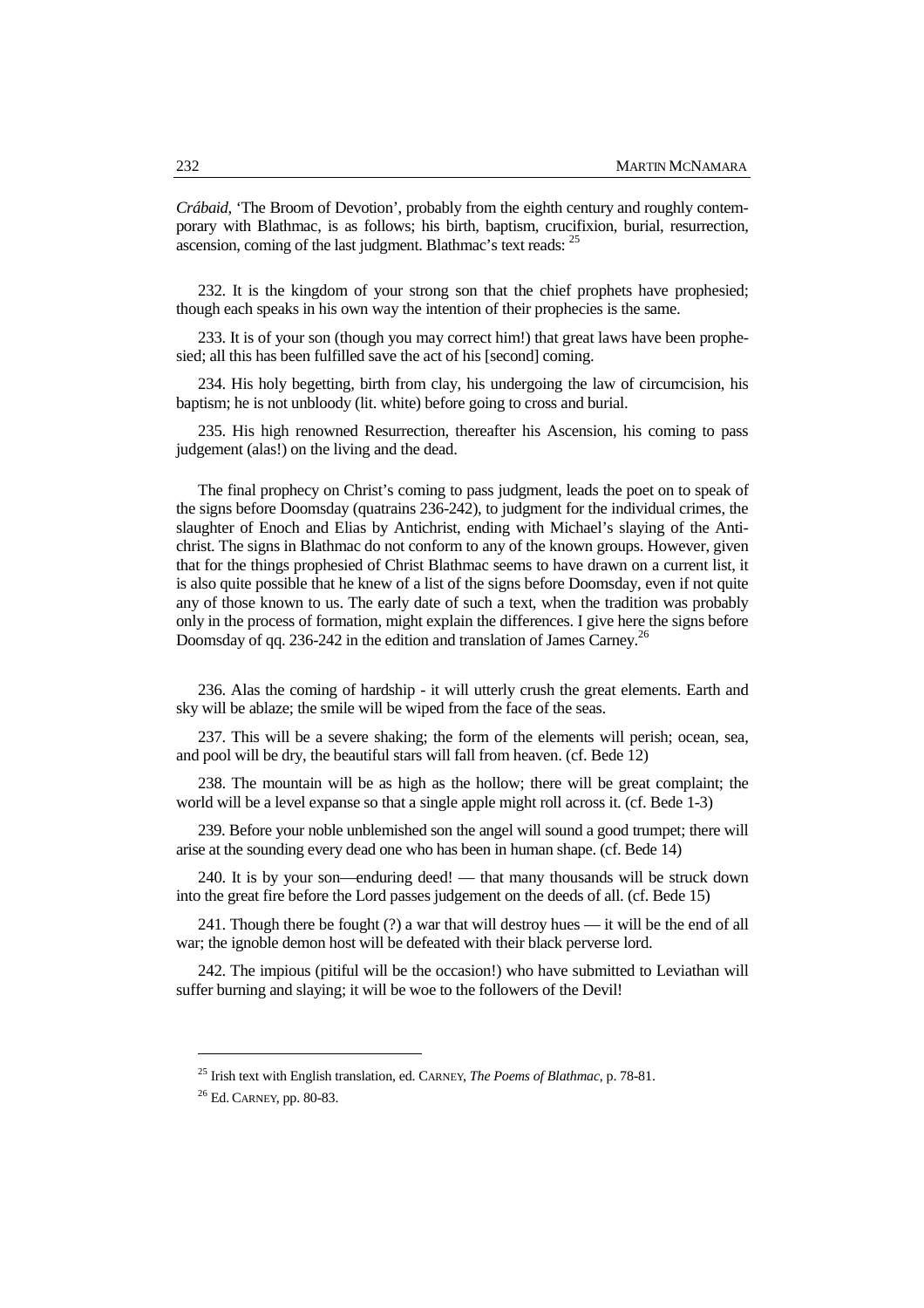*Crábaid*, 'The Broom of Devotion', probably from the eighth century and roughly contemporary with Blathmac, is as follows; his birth, baptism, crucifixion, burial, resurrection, ascension, coming of the last judgment. Blathmac's text reads: <sup>25</sup>

232. It is the kingdom of your strong son that the chief prophets have prophesied; though each speaks in his own way the intention of their prophecies is the same.

233. It is of your son (though you may correct him!) that great laws have been prophesied; all this has been fulfilled save the act of his [second] coming.

234. His holy begetting, birth from clay, his undergoing the law of circumcision, his baptism; he is not unbloody (lit. white) before going to cross and burial.

235. His high renowned Resurrection, thereafter his Ascension, his coming to pass judgement (alas!) on the living and the dead.

The final prophecy on Christ's coming to pass judgment, leads the poet on to speak of the signs before Doomsday (quatrains 236-242), to judgment for the individual crimes, the slaughter of Enoch and Elias by Antichrist, ending with Michael's slaying of the Antichrist. The signs in Blathmac do not conform to any of the known groups. However, given that for the things prophesied of Christ Blathmac seems to have drawn on a current list, it is also quite possible that he knew of a list of the signs before Doomsday, even if not quite any of those known to us. The early date of such a text, when the tradition was probably only in the process of formation, might explain the differences. I give here the signs before Doomsday of qq. 236-242 in the edition and translation of James Carney.<sup>26</sup>

236. Alas the coming of hardship - it will utterly crush the great elements. Earth and sky will be ablaze; the smile will be wiped from the face of the seas.

237. This will be a severe shaking; the form of the elements will perish; ocean, sea, and pool will be dry, the beautiful stars will fall from heaven. (cf. Bede 12)

238. The mountain will be as high as the hollow; there will be great complaint; the world will be a level expanse so that a single apple might roll across it. (cf. Bede 1-3)

239. Before your noble unblemished son the angel will sound a good trumpet; there will arise at the sounding every dead one who has been in human shape. (cf. Bede 14)

240. It is by your son—enduring deed! — that many thousands will be struck down into the great fire before the Lord passes judgement on the deeds of all. (cf. Bede 15)

241. Though there be fought (?) a war that will destroy hues — it will be the end of all war; the ignoble demon host will be defeated with their black perverse lord.

242. The impious (pitiful will be the occasion!) who have submitted to Leviathan will suffer burning and slaying; it will be woe to the followers of the Devil!

<sup>25</sup> Irish text with English translation, ed. CARNEY, *The Poems of Blathmac*, p. 78-81.

<sup>26</sup> Ed. CARNEY, pp. 80-83.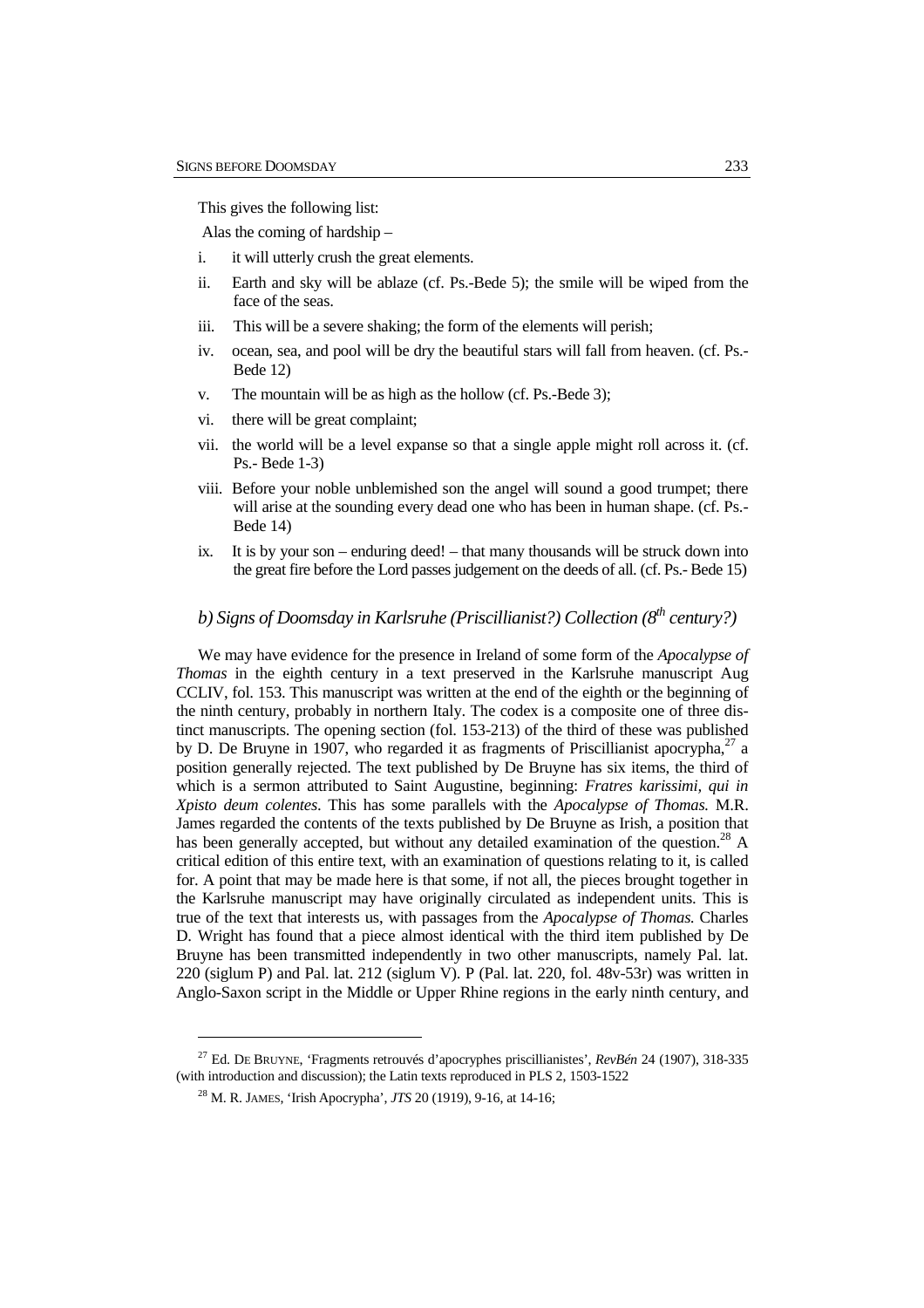This gives the following list:

Alas the coming of hardship –

- i. it will utterly crush the great elements.
- ii. Earth and sky will be ablaze (cf. Ps.-Bede 5); the smile will be wiped from the face of the seas.
- iii. This will be a severe shaking; the form of the elements will perish;
- iv. ocean, sea, and pool will be dry the beautiful stars will fall from heaven. (cf. Ps.- Bede 12)
- v. The mountain will be as high as the hollow (cf. Ps.-Bede 3);
- vi. there will be great complaint;
- vii. the world will be a level expanse so that a single apple might roll across it. (cf. Ps.- Bede 1-3)
- viii. Before your noble unblemished son the angel will sound a good trumpet; there will arise at the sounding every dead one who has been in human shape. (cf. Ps.- Bede 14)
- ix. It is by your son enduring deed! that many thousands will be struck down into the great fire before the Lord passes judgement on the deeds of all. (cf. Ps.- Bede 15)

# *b) Signs of Doomsday in Karlsruhe (Priscillianist?) Collection (8th century?)*

We may have evidence for the presence in Ireland of some form of the *Apocalypse of Thomas* in the eighth century in a text preserved in the Karlsruhe manuscript Aug CCLIV, fol. 153. This manuscript was written at the end of the eighth or the beginning of the ninth century, probably in northern Italy. The codex is a composite one of three distinct manuscripts. The opening section (fol. 153-213) of the third of these was published by D. De Bruyne in 1907, who regarded it as fragments of Priscillianist apocrypha, $^{27}$  a position generally rejected. The text published by De Bruyne has six items, the third of which is a sermon attributed to Saint Augustine, beginning: *Fratres karissimi, qui in Xpisto deum colentes*. This has some parallels with the *Apocalypse of Thomas.* M.R. James regarded the contents of the texts published by De Bruyne as Irish, a position that has been generally accepted, but without any detailed examination of the question.<sup>28</sup> A critical edition of this entire text, with an examination of questions relating to it, is called for. A point that may be made here is that some, if not all, the pieces brought together in the Karlsruhe manuscript may have originally circulated as independent units. This is true of the text that interests us, with passages from the *Apocalypse of Thomas.* Charles D. Wright has found that a piece almost identical with the third item published by De Bruyne has been transmitted independently in two other manuscripts, namely Pal. lat. 220 (siglum P) and Pal. lat. 212 (siglum V). P (Pal. lat. 220, fol. 48v-53r) was written in Anglo-Saxon script in the Middle or Upper Rhine regions in the early ninth century, and

<sup>27</sup> Ed. DE BRUYNE, 'Fragments retrouvés d'apocryphes priscillianistes', *RevBén* 24 (1907), 318-335 (with introduction and discussion); the Latin texts reproduced in PLS 2, 1503-1522

<sup>28</sup> M. R. JAMES, 'Irish Apocrypha', *JTS* 20 (1919), 9-16, at 14-16;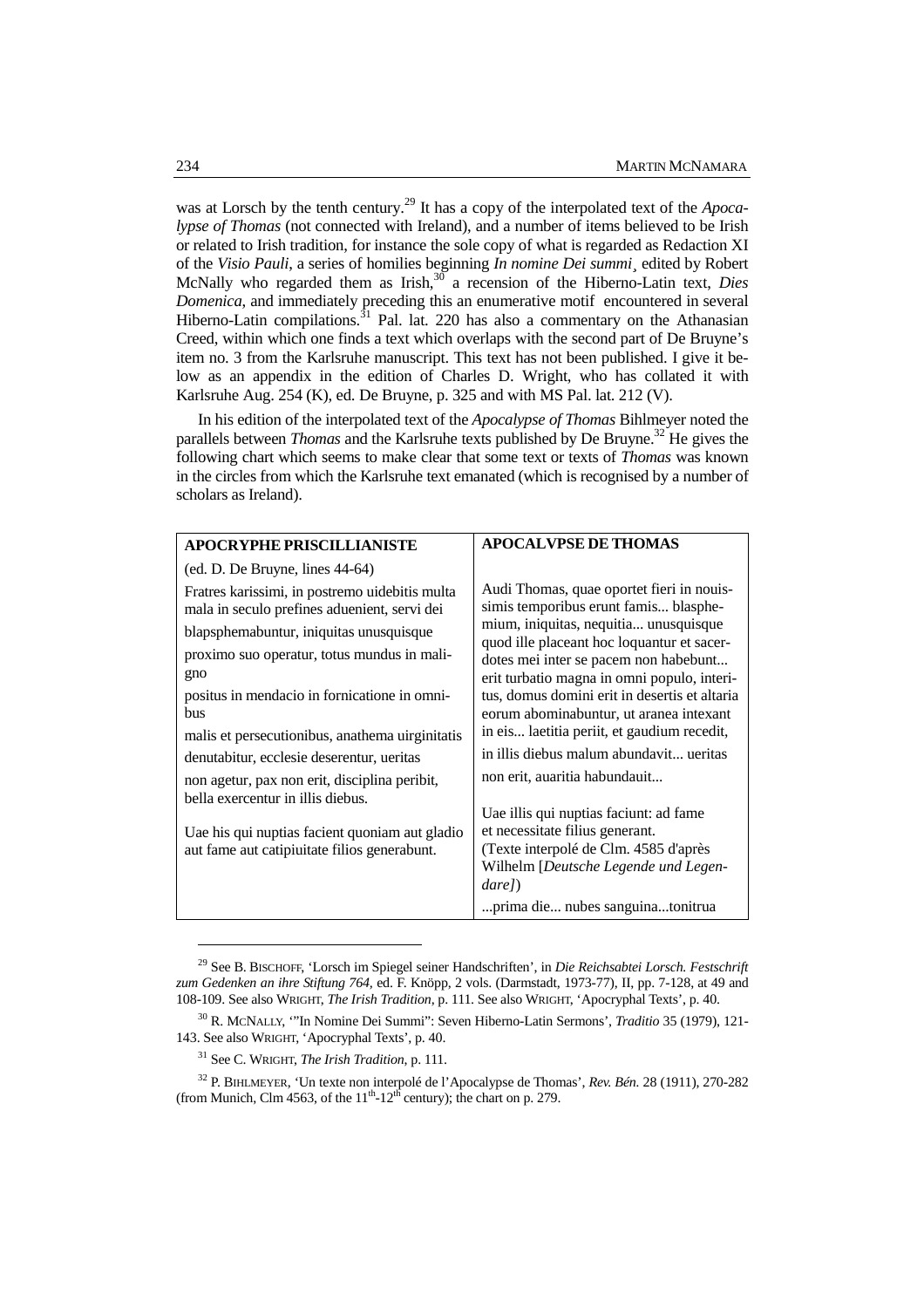was at Lorsch by the tenth century.<sup>29</sup> It has a copy of the interpolated text of the *Apocalypse of Thomas* (not connected with Ireland), and a number of items believed to be Irish or related to Irish tradition, for instance the sole copy of what is regarded as Redaction XI of the *Visio Pauli*, a series of homilies beginning *In nomine Dei summi¸* edited by Robert McNally who regarded them as Irish,<sup>30</sup> a recension of the Hiberno-Latin text, *Dies Domenica*, and immediately preceding this an enumerative motif encountered in several Hiberno-Latin compilations. $31$  Pal. lat. 220 has also a commentary on the Athanasian Creed, within which one finds a text which overlaps with the second part of De Bruyne's item no. 3 from the Karlsruhe manuscript. This text has not been published. I give it below as an appendix in the edition of Charles D. Wright, who has collated it with Karlsruhe Aug. 254 (K), ed. De Bruyne, p. 325 and with MS Pal. lat. 212 (V).

In his edition of the interpolated text of the *Apocalypse of Thomas* Bihlmeyer noted the parallels between *Thomas* and the Karlsruhe texts published by De Bruyne.<sup>32</sup> He gives the following chart which seems to make clear that some text or texts of *Thomas* was known in the circles from which the Karlsruhe text emanated (which is recognised by a number of scholars as Ireland).

| <b>APOCRYPHE PRISCILLIANISTE</b>                                                                                                                                                                | <b>APOCALVPSE DE THOMAS</b>                                                                                                                                                                                                                                                                                                                                                                                                                                                                                                                                                                                                                                                   |  |
|-------------------------------------------------------------------------------------------------------------------------------------------------------------------------------------------------|-------------------------------------------------------------------------------------------------------------------------------------------------------------------------------------------------------------------------------------------------------------------------------------------------------------------------------------------------------------------------------------------------------------------------------------------------------------------------------------------------------------------------------------------------------------------------------------------------------------------------------------------------------------------------------|--|
| $(ed. D. De Bruyne, lines 44-64)$                                                                                                                                                               |                                                                                                                                                                                                                                                                                                                                                                                                                                                                                                                                                                                                                                                                               |  |
| Fratres karissimi, in postremo uidebitis multa<br>mala in seculo prefines aduenient, servi dei<br>blapsphemabuntur, iniquitas unusquisque<br>proximo suo operatur, totus mundus in mali-<br>gno | Audi Thomas, quae oportet fieri in nouis-<br>simis temporibus erunt famis blasphe-<br>mium, iniquitas, nequitia unusquisque<br>quod ille placeant hoc loquantur et sacer-<br>dotes mei inter se pacem non habebunt<br>erit turbatio magna in omni populo, interi-<br>tus, domus domini erit in desertis et altaria<br>eorum abominabuntur, ut aranea intexant<br>in eis laetitia periit, et gaudium recedit,<br>in illis diebus malum abundavit ueritas<br>non erit, auaritia habundauit<br>Uae illis qui nuptias faciunt: ad fame<br>et necessitate filius generant.<br>(Texte interpolé de Clm. 4585 d'après<br>Wilhelm [Deutsche Legende und Legen-<br>dare <sub>l</sub> ) |  |
| positus in mendacio in fornicatione in omni-<br>bus                                                                                                                                             |                                                                                                                                                                                                                                                                                                                                                                                                                                                                                                                                                                                                                                                                               |  |
| malis et persecutionibus, anathema uirginitatis                                                                                                                                                 |                                                                                                                                                                                                                                                                                                                                                                                                                                                                                                                                                                                                                                                                               |  |
| denutabitur, ecclesie deserentur, ueritas                                                                                                                                                       |                                                                                                                                                                                                                                                                                                                                                                                                                                                                                                                                                                                                                                                                               |  |
| non agetur, pax non erit, disciplina peribit,<br>bella exercentur in illis diebus.                                                                                                              |                                                                                                                                                                                                                                                                                                                                                                                                                                                                                                                                                                                                                                                                               |  |
| Uae his qui nuptias facient quoniam aut gladio<br>aut fame aut catipiuitate filios generabunt.                                                                                                  |                                                                                                                                                                                                                                                                                                                                                                                                                                                                                                                                                                                                                                                                               |  |
|                                                                                                                                                                                                 | prima die nubes sanguina tonitrua                                                                                                                                                                                                                                                                                                                                                                                                                                                                                                                                                                                                                                             |  |

<sup>29</sup> See B. BISCHOFF, 'Lorsch im Spiegel seiner Handschriften', in *Die Reichsabtei Lorsch. Festschrift zum Gedenken an ihre Stiftung 764,* ed. F. Knöpp, 2 vols. (Darmstadt, 1973-77), II, pp. 7-128, at 49 and 108-109. See also WRIGHT, *The Irish Tradition*, p. 111. See also WRIGHT, 'Apocryphal Texts', p. 40.

<sup>30</sup> R. MCNALLY, '"In Nomine Dei Summi": Seven Hiberno-Latin Sermons', *Traditio* 35 (1979), 121- 143. See also WRIGHT, 'Apocryphal Texts', p. 40.

<sup>31</sup> See C. WRIGHT, *The Irish Tradition*, p. 111.

<sup>32</sup> P. BIHLMEYER, 'Un texte non interpolé de l'Apocalypse de Thomas', *Rev. Bén.* 28 (1911), 270-282 (from Munich, Clm 4563, of the  $11<sup>th</sup>$ -12<sup>th</sup> century); the chart on p. 279.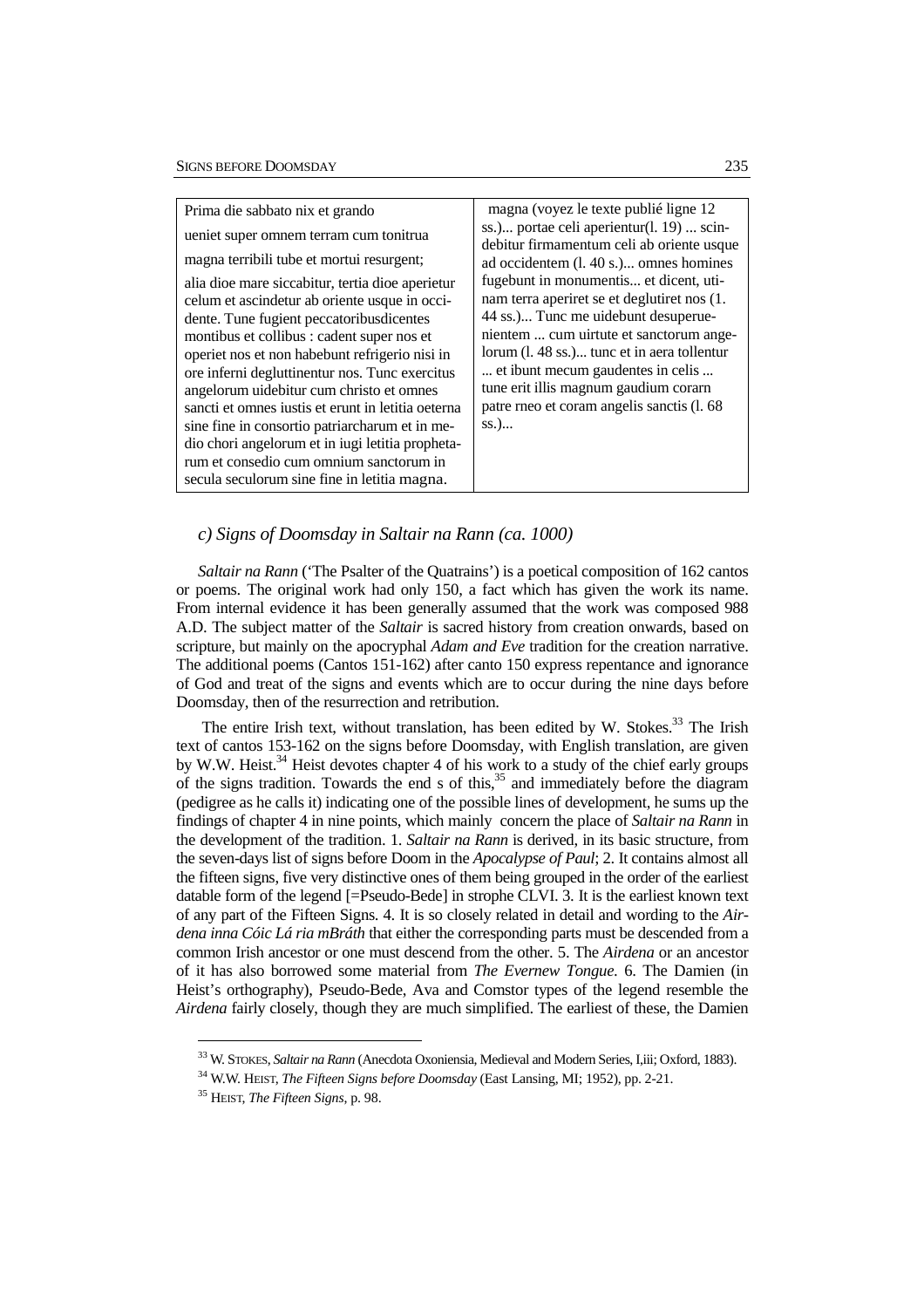| Prima die sabbato nix et grando                                                                                                                                                                                                                                                                                                                                                                                                                                                                                                                     | magna (voyez le texte publié ligne 12                                                                                                                                                                                                                                                                                                                         |
|-----------------------------------------------------------------------------------------------------------------------------------------------------------------------------------------------------------------------------------------------------------------------------------------------------------------------------------------------------------------------------------------------------------------------------------------------------------------------------------------------------------------------------------------------------|---------------------------------------------------------------------------------------------------------------------------------------------------------------------------------------------------------------------------------------------------------------------------------------------------------------------------------------------------------------|
| ueniet super omnem terram cum tonitrua                                                                                                                                                                                                                                                                                                                                                                                                                                                                                                              | ss.) portae celi aperientur(l. 19)  scin-<br>debitur firmamentum celi ab oriente usque                                                                                                                                                                                                                                                                        |
| magna terribili tube et mortui resurgent;                                                                                                                                                                                                                                                                                                                                                                                                                                                                                                           | ad occidentem (l. 40 s.) omnes homines                                                                                                                                                                                                                                                                                                                        |
| alia dioe mare siccabitur, tertia dioe aperietur<br>celum et ascindetur ab oriente usque in occi-<br>dente. Tune fugient peccatoribus dicentes<br>montibus et collibus : cadent super nos et<br>operiet nos et non habebunt refrigerio nisi in<br>ore inferni degluttinentur nos. Tunc exercitus<br>angelorum uidebitur cum christo et omnes<br>sancti et omnes justis et erunt in letitia oeterna<br>sine fine in consortio patriarcharum et in me-<br>dio chori angelorum et in iugi letitia propheta-<br>rum et consedio cum omnium sanctorum in | fugebunt in monumentis et dicent, uti-<br>nam terra aperiret se et deglutiret nos (1.<br>44 ss.) Tunc me uidebunt desuperue-<br>nientem  cum uirtute et sanctorum ange-<br>lorum (l. 48 ss.) tunc et in aera tollentur<br>et ibunt mecum gaudentes in celis<br>tune erit illis magnum gaudium corarn<br>patre rneo et coram angelis sanctis (l. 68<br>$SS.$ ) |
| secula seculorum sine fine in letitia magna.                                                                                                                                                                                                                                                                                                                                                                                                                                                                                                        |                                                                                                                                                                                                                                                                                                                                                               |

## *c) Signs of Doomsday in Saltair na Rann (ca. 1000)*

*Saltair na Rann* ('The Psalter of the Quatrains') is a poetical composition of 162 cantos or poems. The original work had only 150, a fact which has given the work its name. From internal evidence it has been generally assumed that the work was composed 988 A.D. The subject matter of the *Saltair* is sacred history from creation onwards, based on scripture, but mainly on the apocryphal *Adam and Eve* tradition for the creation narrative. The additional poems (Cantos 151-162) after canto 150 express repentance and ignorance of God and treat of the signs and events which are to occur during the nine days before Doomsday, then of the resurrection and retribution.

The entire Irish text, without translation, has been edited by W. Stokes.<sup>33</sup> The Irish text of cantos 153-162 on the signs before Doomsday, with English translation, are given by W.W. Heist.<sup>34</sup> Heist devotes chapter 4 of his work to a study of the chief early groups of the signs tradition. Towards the end s of this, $35$  and immediately before the diagram (pedigree as he calls it) indicating one of the possible lines of development, he sums up the findings of chapter 4 in nine points, which mainly concern the place of *Saltair na Rann* in the development of the tradition. 1. *Saltair na Rann* is derived, in its basic structure, from the seven-days list of signs before Doom in the *Apocalypse of Paul*; 2. It contains almost all the fifteen signs, five very distinctive ones of them being grouped in the order of the earliest datable form of the legend [=Pseudo-Bede] in strophe CLVI. 3. It is the earliest known text of any part of the Fifteen Signs. 4. It is so closely related in detail and wording to the *Airdena inna Cóic Lá ria mBráth* that either the corresponding parts must be descended from a common Irish ancestor or one must descend from the other. 5. The *Airdena* or an ancestor of it has also borrowed some material from *The Evernew Tongue*. 6. The Damien (in Heist's orthography), Pseudo-Bede, Ava and Comstor types of the legend resemble the *Airdena* fairly closely, though they are much simplified. The earliest of these, the Damien

<sup>33</sup> W. STOKES, *Saltair na Rann* (Anecdota Oxoniensia, Medieval and Modern Series, I,iii; Oxford, 1883).

<sup>34</sup> W.W. HEIST, *The Fifteen Signs before Doomsday* (East Lansing, MI; 1952), pp. 2-21.

<sup>35</sup> HEIST, *The Fifteen Signs*, p. 98.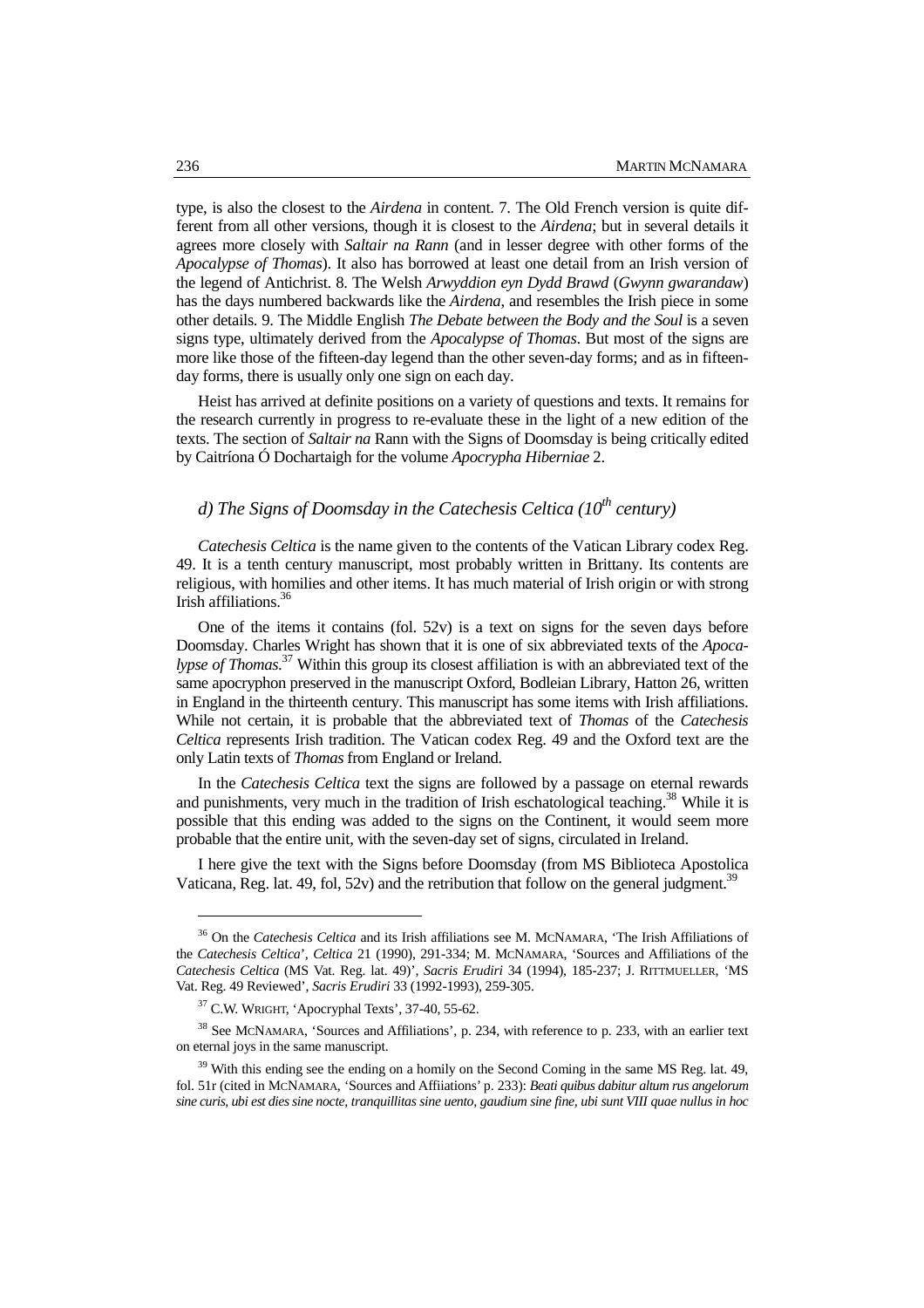type, is also the closest to the *Airdena* in content. 7. The Old French version is quite different from all other versions, though it is closest to the *Airdena*; but in several details it agrees more closely with *Saltair na Rann* (and in lesser degree with other forms of the *Apocalypse of Thomas*). It also has borrowed at least one detail from an Irish version of the legend of Antichrist. 8. The Welsh *Arwyddion eyn Dydd Brawd* (*Gwynn gwarandaw*) has the days numbered backwards like the *Airdena*, and resembles the Irish piece in some other details. 9. The Middle English *The Debate between the Body and the Soul* is a seven signs type, ultimately derived from the *Apocalypse of Thomas*. But most of the signs are more like those of the fifteen-day legend than the other seven-day forms; and as in fifteenday forms, there is usually only one sign on each day.

Heist has arrived at definite positions on a variety of questions and texts. It remains for the research currently in progress to re-evaluate these in the light of a new edition of the texts. The section of *Saltair na* Rann with the Signs of Doomsday is being critically edited by Caitríona Ó Dochartaigh for the volume *Apocrypha Hiberniae* 2.

# *d) The Signs of Doomsday in the Catechesis Celtica (10th century)*

*Catechesis Celtica* is the name given to the contents of the Vatican Library codex Reg. 49. It is a tenth century manuscript, most probably written in Brittany. Its contents are religious, with homilies and other items. It has much material of Irish origin or with strong Irish affiliations.<sup>36</sup>

One of the items it contains (fol.  $52v$ ) is a text on signs for the seven days before Doomsday. Charles Wright has shown that it is one of six abbreviated texts of the *Apocalypse of Thomas*. <sup>37</sup> Within this group its closest affiliation is with an abbreviated text of the same apocryphon preserved in the manuscript Oxford, Bodleian Library, Hatton 26, written in England in the thirteenth century. This manuscript has some items with Irish affiliations. While not certain, it is probable that the abbreviated text of *Thomas* of the *Catechesis Celtica* represents Irish tradition. The Vatican codex Reg. 49 and the Oxford text are the only Latin texts of *Thomas* from England or Ireland.

In the *Catechesis Celtica* text the signs are followed by a passage on eternal rewards and punishments, very much in the tradition of Irish eschatological teaching.<sup>38</sup> While it is possible that this ending was added to the signs on the Continent, it would seem more probable that the entire unit, with the seven-day set of signs, circulated in Ireland.

I here give the text with the Signs before Doomsday (from MS Biblioteca Apostolica Vaticana, Reg. lat. 49, fol, 52v) and the retribution that follow on the general judgment.<sup>3</sup>

<sup>36</sup> On the *Catechesis Celtica* and its Irish affiliations see M. MCNAMARA, 'The Irish Affiliations of the *Catechesis Celtica*', *Celtica* 21 (1990), 291-334; M. MCNAMARA, 'Sources and Affiliations of the *Catechesis Celtica* (MS Vat. Reg. lat. 49)', *Sacris Erudiri* 34 (1994), 185-237; J. RITTMUELLER, 'MS Vat. Reg. 49 Reviewed', *Sacris Erudiri* 33 (1992-1993), 259-305.

<sup>37</sup> C.W. WRIGHT, 'Apocryphal Texts', 37-40, 55-62.

<sup>&</sup>lt;sup>38</sup> See MCNAMARA, 'Sources and Affiliations', p. 234, with reference to p. 233, with an earlier text on eternal joys in the same manuscript.

 $39$  With this ending see the ending on a homily on the Second Coming in the same MS Reg. lat. 49, fol. 51r (cited in MCNAMARA, 'Sources and Affiiations' p. 233): *Beati quibus dabitur altum rus angelorum sine curis, ubi est dies sine nocte, tranquillitas sine uento, gaudium sine fine, ubi sunt VIII quae nullus in hoc*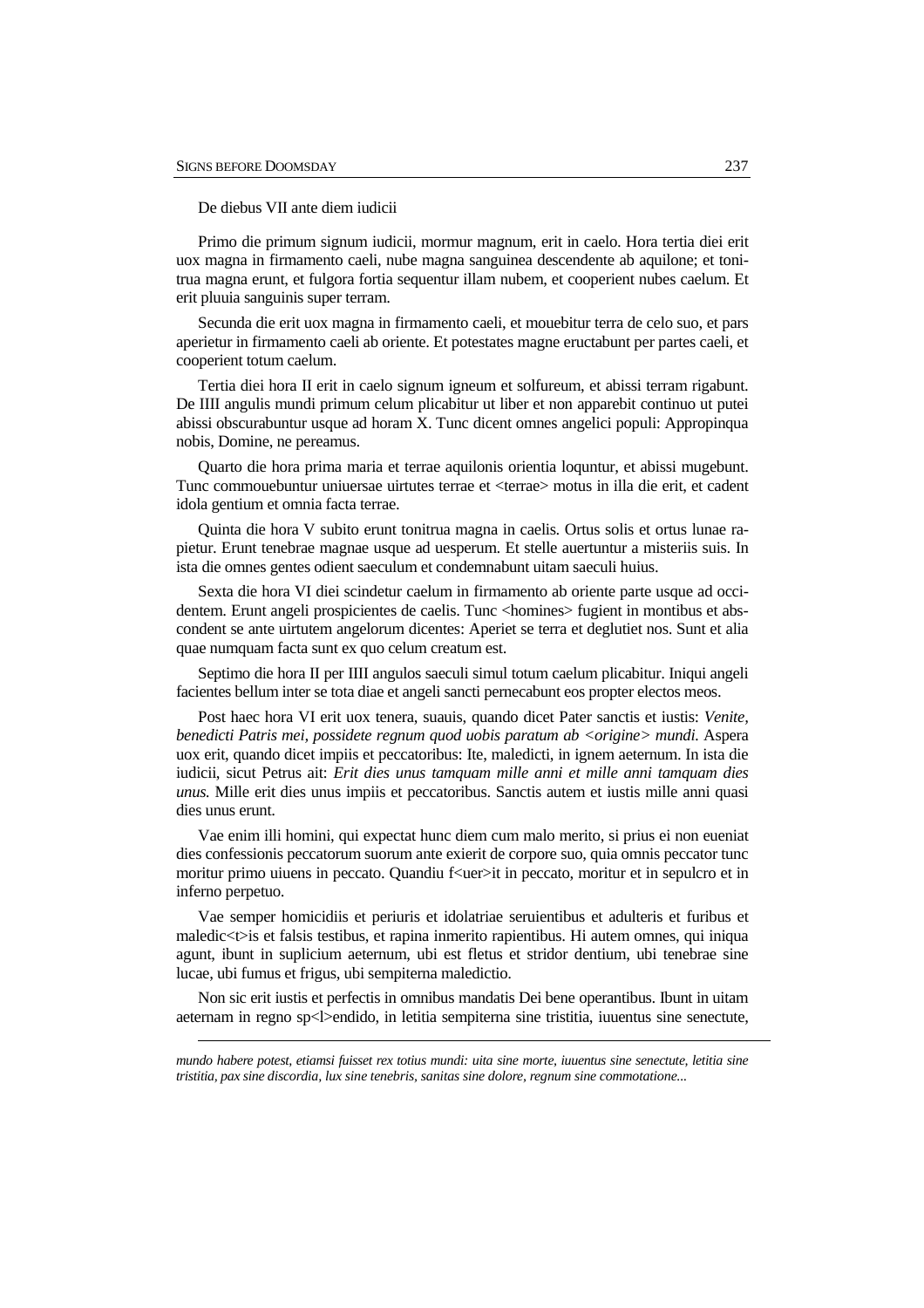$\overline{a}$ 

De diebus VII ante diem iudicii

Primo die primum signum iudicii, mormur magnum, erit in caelo. Hora tertia diei erit uox magna in firmamento caeli, nube magna sanguinea descendente ab aquilone; et tonitrua magna erunt, et fulgora fortia sequentur illam nubem, et cooperient nubes caelum. Et erit pluuia sanguinis super terram.

Secunda die erit uox magna in firmamento caeli, et mouebitur terra de celo suo, et pars aperietur in firmamento caeli ab oriente. Et potestates magne eructabunt per partes caeli, et cooperient totum caelum.

Tertia diei hora II erit in caelo signum igneum et solfureum, et abissi terram rigabunt. De IIII angulis mundi primum celum plicabitur ut liber et non apparebit continuo ut putei abissi obscurabuntur usque ad horam X. Tunc dicent omnes angelici populi: Appropinqua nobis, Domine, ne pereamus.

Quarto die hora prima maria et terrae aquilonis orientia loquntur, et abissi mugebunt. Tunc commouebuntur uniuersae uirtutes terrae et <terrae> motus in illa die erit, et cadent idola gentium et omnia facta terrae.

Quinta die hora V subito erunt tonitrua magna in caelis. Ortus solis et ortus lunae rapietur. Erunt tenebrae magnae usque ad uesperum. Et stelle auertuntur a misteriis suis. In ista die omnes gentes odient saeculum et condemnabunt uitam saeculi huius.

Sexta die hora VI diei scindetur caelum in firmamento ab oriente parte usque ad occidentem. Erunt angeli prospicientes de caelis. Tunc <homines> fugient in montibus et abscondent se ante uirtutem angelorum dicentes: Aperiet se terra et deglutiet nos. Sunt et alia quae numquam facta sunt ex quo celum creatum est.

Septimo die hora II per IIII angulos saeculi simul totum caelum plicabitur. Iniqui angeli facientes bellum inter se tota diae et angeli sancti pernecabunt eos propter electos meos.

Post haec hora VI erit uox tenera, suauis, quando dicet Pater sanctis et iustis: *Venite, benedicti Patris mei, possidete regnum quod uobis paratum ab <origine> mundi.* Aspera uox erit, quando dicet impiis et peccatoribus: Ite, maledicti, in ignem aeternum. In ista die iudicii, sicut Petrus ait: *Erit dies unus tamquam mille anni et mille anni tamquam dies unus.* Mille erit dies unus impiis et peccatoribus. Sanctis autem et iustis mille anni quasi dies unus erunt.

Vae enim illi homini, qui expectat hunc diem cum malo merito, si prius ei non eueniat dies confessionis peccatorum suorum ante exierit de corpore suo, quia omnis peccator tunc moritur primo uiuens in peccato. Quandiu f<uer>it in peccato, moritur et in sepulcro et in inferno perpetuo.

Vae semper homicidiis et periuris et idolatriae seruientibus et adulteris et furibus et maledic<t>is et falsis testibus, et rapina inmerito rapientibus. Hi autem omnes, qui iniqua agunt, ibunt in suplicium aeternum, ubi est fletus et stridor dentium, ubi tenebrae sine lucae, ubi fumus et frigus, ubi sempiterna maledictio.

Non sic erit iustis et perfectis in omnibus mandatis Dei bene operantibus. Ibunt in uitam aeternam in regno sp<l>endido, in letitia sempiterna sine tristitia, iuuentus sine senectute,

*mundo habere potest, etiamsi fuisset rex totius mundi: uita sine morte, iuuentus sine senectute, letitia sine tristitia, pax sine discordia, lux sine tenebris, sanitas sine dolore, regnum sine commotatione...*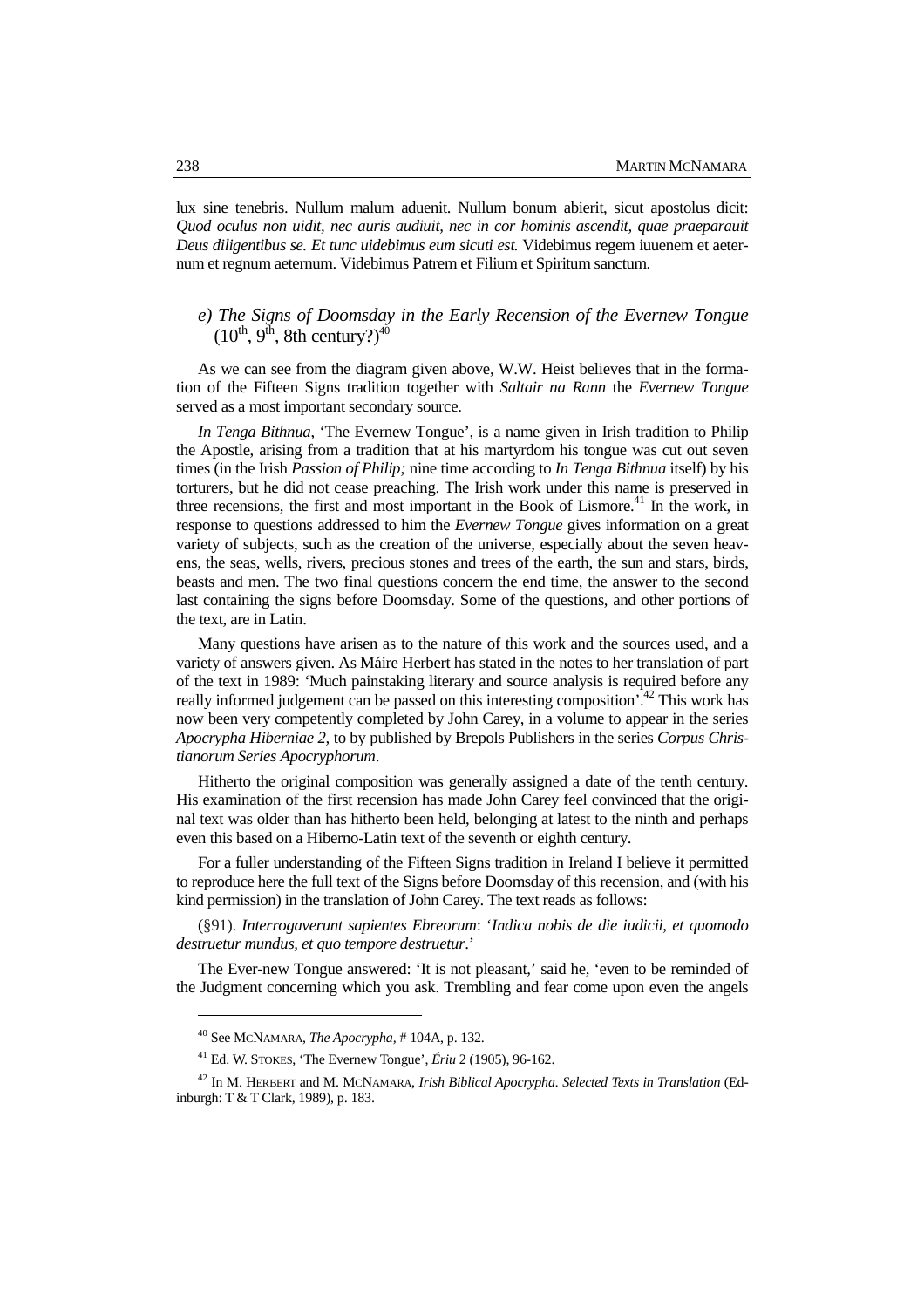lux sine tenebris. Nullum malum aduenit. Nullum bonum abierit, sicut apostolus dicit: *Quod oculus non uidit, nec auris audiuit, nec in cor hominis ascendit, quae praeparauit Deus diligentibus se. Et tunc uidebimus eum sicuti est.* Videbimus regem iuuenem et aeternum et regnum aeternum. Videbimus Patrem et Filium et Spiritum sanctum.

## *e) The Signs of Doomsday in the Early Recension of the Evernew Tongue*   $(10^{th}, 9^{th}, 8th$  century?)<sup>40</sup>

As we can see from the diagram given above, W.W. Heist believes that in the formation of the Fifteen Signs tradition together with *Saltair na Rann* the *Evernew Tongue* served as a most important secondary source.

*In Tenga Bithnua*, 'The Evernew Tongue', is a name given in Irish tradition to Philip the Apostle, arising from a tradition that at his martyrdom his tongue was cut out seven times (in the Irish *Passion of Philip;* nine time according to *In Tenga Bithnua* itself) by his torturers, but he did not cease preaching. The Irish work under this name is preserved in three recensions, the first and most important in the Book of Lismore.<sup>41</sup> In the work, in response to questions addressed to him the *Evernew Tongue* gives information on a great variety of subjects, such as the creation of the universe, especially about the seven heavens, the seas, wells, rivers, precious stones and trees of the earth, the sun and stars, birds, beasts and men. The two final questions concern the end time, the answer to the second last containing the signs before Doomsday. Some of the questions, and other portions of the text, are in Latin.

Many questions have arisen as to the nature of this work and the sources used, and a variety of answers given. As Máire Herbert has stated in the notes to her translation of part of the text in 1989: 'Much painstaking literary and source analysis is required before any really informed judgement can be passed on this interesting composition'.<sup>42</sup> This work has now been very competently completed by John Carey, in a volume to appear in the series *Apocrypha Hiberniae 2,* to by published by Brepols Publishers in the series *Corpus Christianorum Series Apocryphorum*.

Hitherto the original composition was generally assigned a date of the tenth century. His examination of the first recension has made John Carey feel convinced that the original text was older than has hitherto been held, belonging at latest to the ninth and perhaps even this based on a Hiberno-Latin text of the seventh or eighth century.

For a fuller understanding of the Fifteen Signs tradition in Ireland I believe it permitted to reproduce here the full text of the Signs before Doomsday of this recension, and (with his kind permission) in the translation of John Carey. The text reads as follows:

(§91). *Interrogaverunt sapientes Ebreorum*: '*Indica nobis de die iudicii, et quomodo destruetur mundus, et quo tempore destruetur*.'

The Ever-new Tongue answered: 'It is not pleasant,' said he, 'even to be reminded of the Judgment concerning which you ask. Trembling and fear come upon even the angels

<sup>40</sup> See MCNAMARA, *The Apocrypha,* # 104A, p. 132.

<sup>41</sup> Ed. W. STOKES, 'The Evernew Tongue', *Ériu* 2 (1905), 96-162.

<sup>42</sup> In M. HERBERT and M. MCNAMARA, *Irish Biblical Apocrypha. Selected Texts in Translation* (Edinburgh: T & T Clark, 1989), p. 183.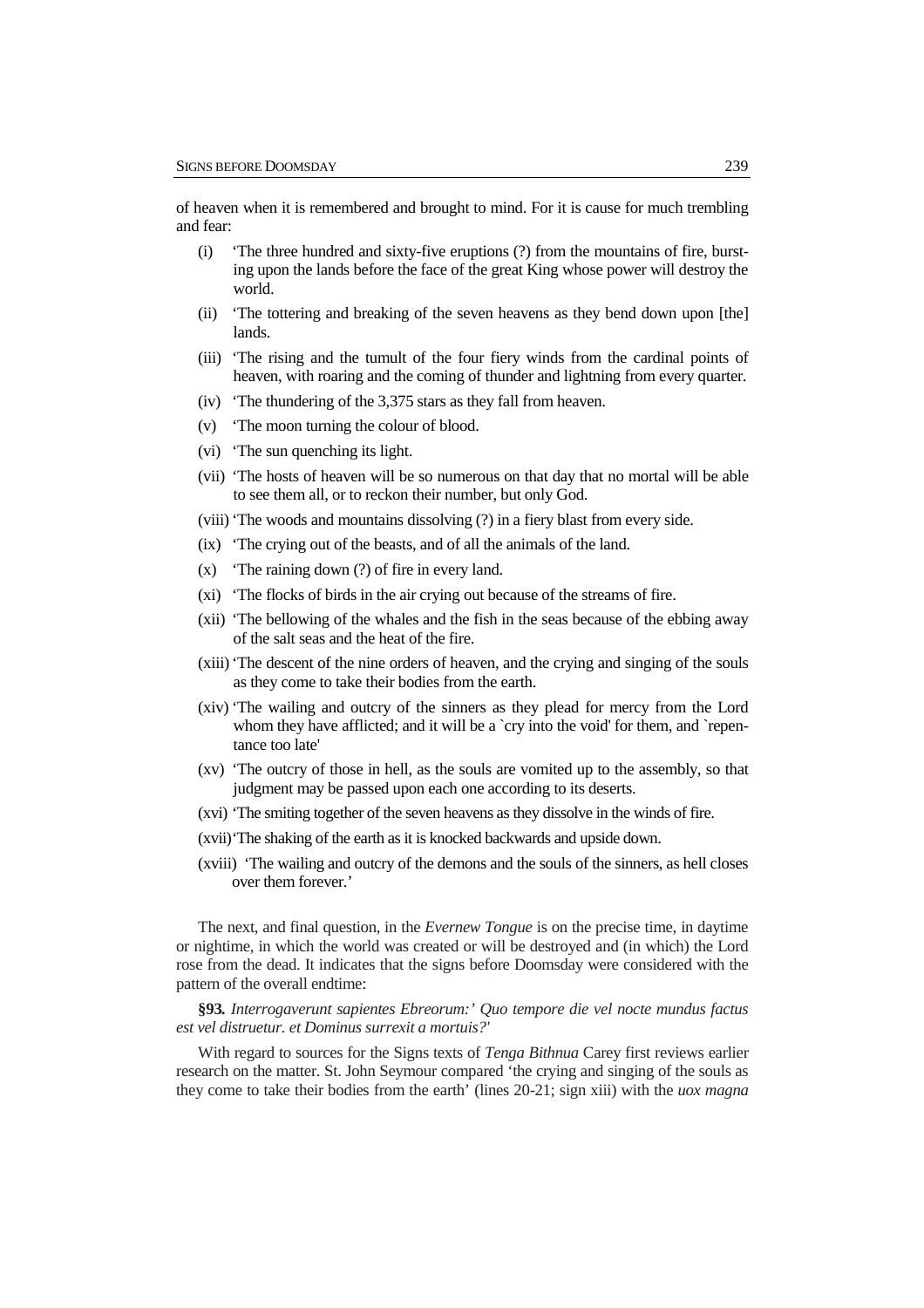of heaven when it is remembered and brought to mind. For it is cause for much trembling and fear:

- (i) 'The three hundred and sixty-five eruptions (?) from the mountains of fire, bursting upon the lands before the face of the great King whose power will destroy the world.
- (ii) 'The tottering and breaking of the seven heavens as they bend down upon [the] lands.
- (iii) 'The rising and the tumult of the four fiery winds from the cardinal points of heaven, with roaring and the coming of thunder and lightning from every quarter.
- (iv) 'The thundering of the 3,375 stars as they fall from heaven.
- (v) 'The moon turning the colour of blood.
- (vi) 'The sun quenching its light.
- (vii) 'The hosts of heaven will be so numerous on that day that no mortal will be able to see them all, or to reckon their number, but only God.
- (viii)'The woods and mountains dissolving (?) in a fiery blast from every side.
- (ix) 'The crying out of the beasts, and of all the animals of the land.
- (x) 'The raining down (?) of fire in every land.
- (xi) 'The flocks of birds in the air crying out because of the streams of fire.
- (xii) 'The bellowing of the whales and the fish in the seas because of the ebbing away of the salt seas and the heat of the fire.
- (xiii)'The descent of the nine orders of heaven, and the crying and singing of the souls as they come to take their bodies from the earth.
- (xiv) 'The wailing and outcry of the sinners as they plead for mercy from the Lord whom they have afflicted; and it will be a `cry into the void' for them, and `repentance too late'
- (xv) 'The outcry of those in hell, as the souls are vomited up to the assembly, so that judgment may be passed upon each one according to its deserts.
- (xvi) 'The smiting together of the seven heavens as they dissolve in the winds of fire.
- (xvii)'The shaking of the earth as it is knocked backwards and upside down.
- (xviii) 'The wailing and outcry of the demons and the souls of the sinners, as hell closes over them forever.'

The next, and final question, in the *Evernew Tongue* is on the precise time, in daytime or nightime, in which the world was created or will be destroyed and (in which) the Lord rose from the dead. It indicates that the signs before Doomsday were considered with the pattern of the overall endtime:

**§93***. Interrogaverunt sapientes Ebreorum:' Quo tempore die vel nocte mundus factus est vel distruetur. et Dominus surrexit a mortuis?'*

With regard to sources for the Signs texts of *Tenga Bithnua* Carey first reviews earlier research on the matter. St. John Seymour compared 'the crying and singing of the souls as they come to take their bodies from the earth' (lines 20-21; sign xiii) with the *uox magna*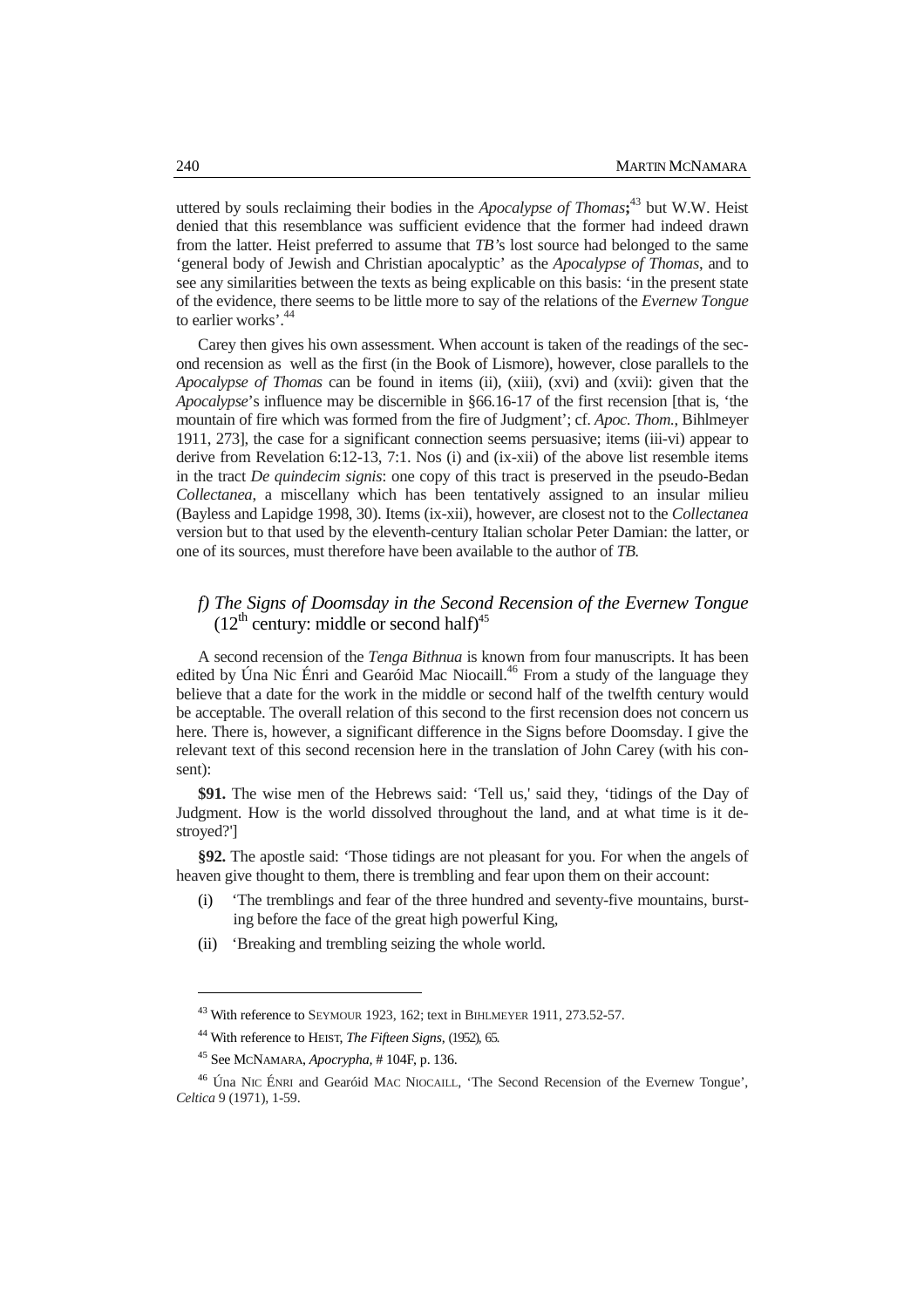uttered by souls reclaiming their bodies in the *Apocalypse of Thomas***;** <sup>43</sup> but W.W. Heist denied that this resemblance was sufficient evidence that the former had indeed drawn from the latter. Heist preferred to assume that *TB'*s lost source had belonged to the same 'general body of Jewish and Christian apocalyptic' as the *Apocalypse of Thomas*, and to see any similarities between the texts as being explicable on this basis: 'in the present state of the evidence, there seems to be little more to say of the relations of the *Evernew Tongue* to earlier works'.<sup>44</sup>

Carey then gives his own assessment. When account is taken of the readings of the second recension as well as the first (in the Book of Lismore), however, close parallels to the *Apocalypse of Thomas* can be found in items (ii), (xiii), (xvi) and (xvii): given that the *Apocalypse*'s influence may be discernible in §66.16-17 of the first recension [that is, 'the mountain of fire which was formed from the fire of Judgment'; cf. *Apoc. Thom.*, Bihlmeyer 1911, 273], the case for a significant connection seems persuasive; items (iii-vi) appear to derive from Revelation 6:12-13, 7:1. Nos (i) and (ix-xii) of the above list resemble items in the tract *De quindecim signis*: one copy of this tract is preserved in the pseudo-Bedan *Collectanea*, a miscellany which has been tentatively assigned to an insular milieu (Bayless and Lapidge 1998, 30). Items (ix-xii), however, are closest not to the *Collectanea* version but to that used by the eleventh-century Italian scholar Peter Damian: the latter, or one of its sources, must therefore have been available to the author of *TB.* 

## *f) The Signs of Doomsday in the Second Recension of the Evernew Tongue*   $(12<sup>th</sup>$  century: middle or second half)<sup>45</sup>

A second recension of the *Tenga Bithnua* is known from four manuscripts. It has been edited by Úna Nic Énri and Gearóid Mac Niocaill.<sup>46</sup> From a study of the language they believe that a date for the work in the middle or second half of the twelfth century would be acceptable. The overall relation of this second to the first recension does not concern us here. There is, however, a significant difference in the Signs before Doomsday. I give the relevant text of this second recension here in the translation of John Carey (with his consent):

**\$91.** The wise men of the Hebrews said: 'Tell us,' said they, 'tidings of the Day of Judgment. How is the world dissolved throughout the land, and at what time is it destroyed?']

**§92.** The apostle said: 'Those tidings are not pleasant for you. For when the angels of heaven give thought to them, there is trembling and fear upon them on their account:

- (i) 'The tremblings and fear of the three hundred and seventy-five mountains, bursting before the face of the great high powerful King,
- (ii) 'Breaking and trembling seizing the whole world.

<sup>43</sup> With reference to SEYMOUR 1923, 162; text in BIHLMEYER 1911, 273.52-57.

<sup>44</sup> With reference to HEIST, *The Fifteen Signs*, (1952), 65.

<sup>45</sup> See MCNAMARA, *Apocrypha,* # 104F, p. 136.

<sup>46</sup> Úna NIC ÉNRI and Gearóid MAC NIOCAILL, 'The Second Recension of the Evernew Tongue', *Celtica* 9 (1971), 1-59.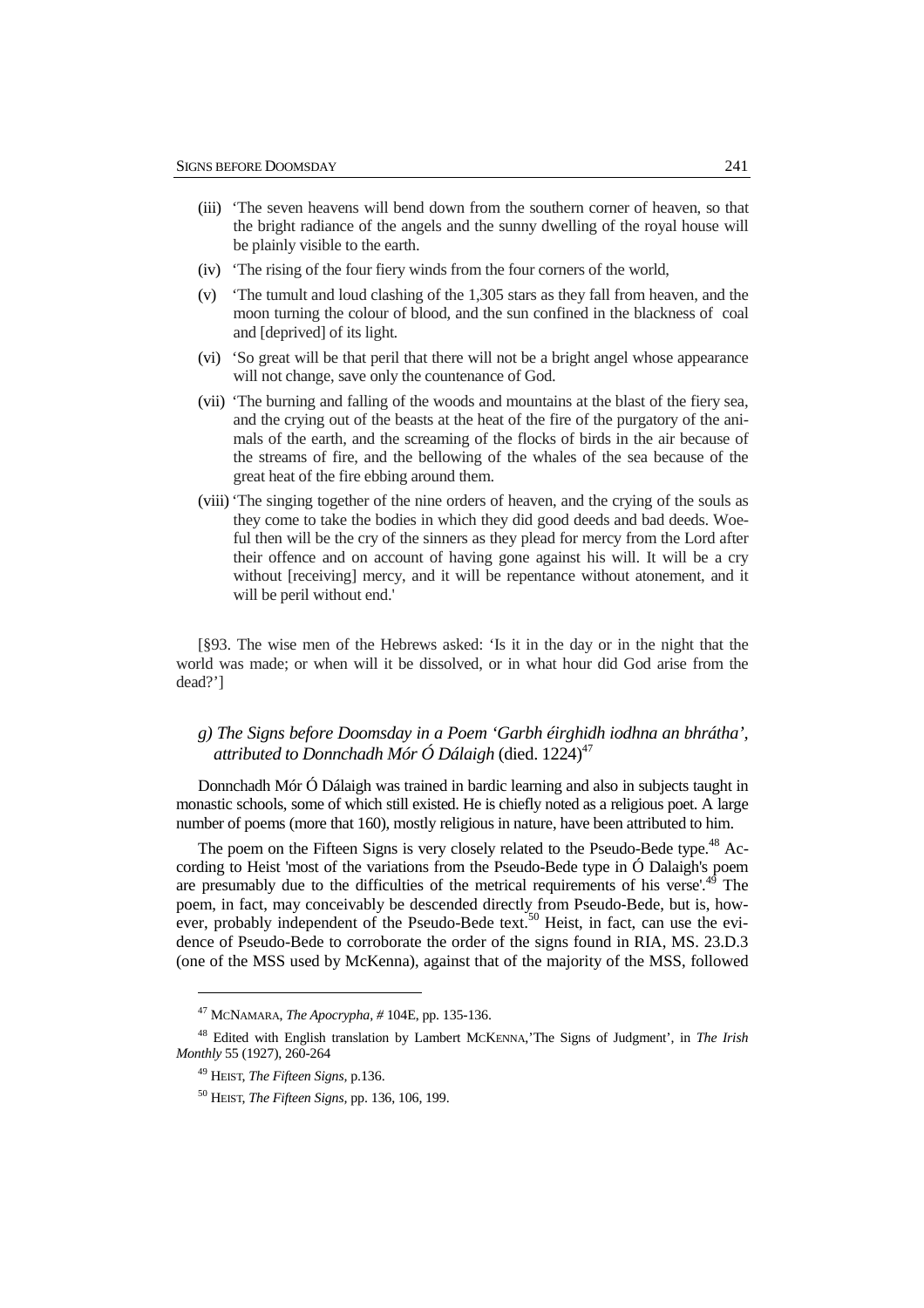- (iii) 'The seven heavens will bend down from the southern corner of heaven, so that the bright radiance of the angels and the sunny dwelling of the royal house will be plainly visible to the earth.
- (iv) 'The rising of the four fiery winds from the four corners of the world,
- (v) 'The tumult and loud clashing of the 1,305 stars as they fall from heaven, and the moon turning the colour of blood, and the sun confined in the blackness of coal and [deprived] of its light.
- (vi) 'So great will be that peril that there will not be a bright angel whose appearance will not change, save only the countenance of God.
- (vii) 'The burning and falling of the woods and mountains at the blast of the fiery sea, and the crying out of the beasts at the heat of the fire of the purgatory of the animals of the earth, and the screaming of the flocks of birds in the air because of the streams of fire, and the bellowing of the whales of the sea because of the great heat of the fire ebbing around them.
- (viii)'The singing together of the nine orders of heaven, and the crying of the souls as they come to take the bodies in which they did good deeds and bad deeds. Woeful then will be the cry of the sinners as they plead for mercy from the Lord after their offence and on account of having gone against his will. It will be a cry without [receiving] mercy, and it will be repentance without atonement, and it will be peril without end.'

[§93. The wise men of the Hebrews asked: 'Is it in the day or in the night that the world was made; or when will it be dissolved, or in what hour did God arise from the dead?']

## *g) The Signs before Doomsday in a Poem 'Garbh éirghidh iodhna an bhrátha',*  attributed to Donnchadh Mór Ó Dálaigh (died. 1224)<sup>47</sup>

Donnchadh Mór Ó Dálaigh was trained in bardic learning and also in subjects taught in monastic schools, some of which still existed. He is chiefly noted as a religious poet. A large number of poems (more that 160), mostly religious in nature, have been attributed to him.

The poem on the Fifteen Signs is very closely related to the Pseudo-Bede type.<sup>48</sup> According to Heist 'most of the variations from the Pseudo-Bede type in Ó Dalaigh's poem are presumably due to the difficulties of the metrical requirements of his verse'. $49$  The poem, in fact, may conceivably be descended directly from Pseudo-Bede, but is, however, probably independent of the Pseudo-Bede text.<sup>50</sup> Heist, in fact, can use the evidence of Pseudo-Bede to corroborate the order of the signs found in RIA, MS. 23.D.3 (one of the MSS used by McKenna), against that of the majority of the MSS, followed

<sup>47</sup> MCNAMARA, *The Apocrypha, #* 104E, pp. 135-136.

<sup>48</sup> Edited with English translation by Lambert MCKENNA,'The Signs of Judgment', in *The Irish Monthly* 55 (1927), 260-264

<sup>49</sup> HEIST, *The Fifteen Signs,* p.136.

<sup>50</sup> HEIST, *The Fifteen Signs,* pp. 136, 106, 199.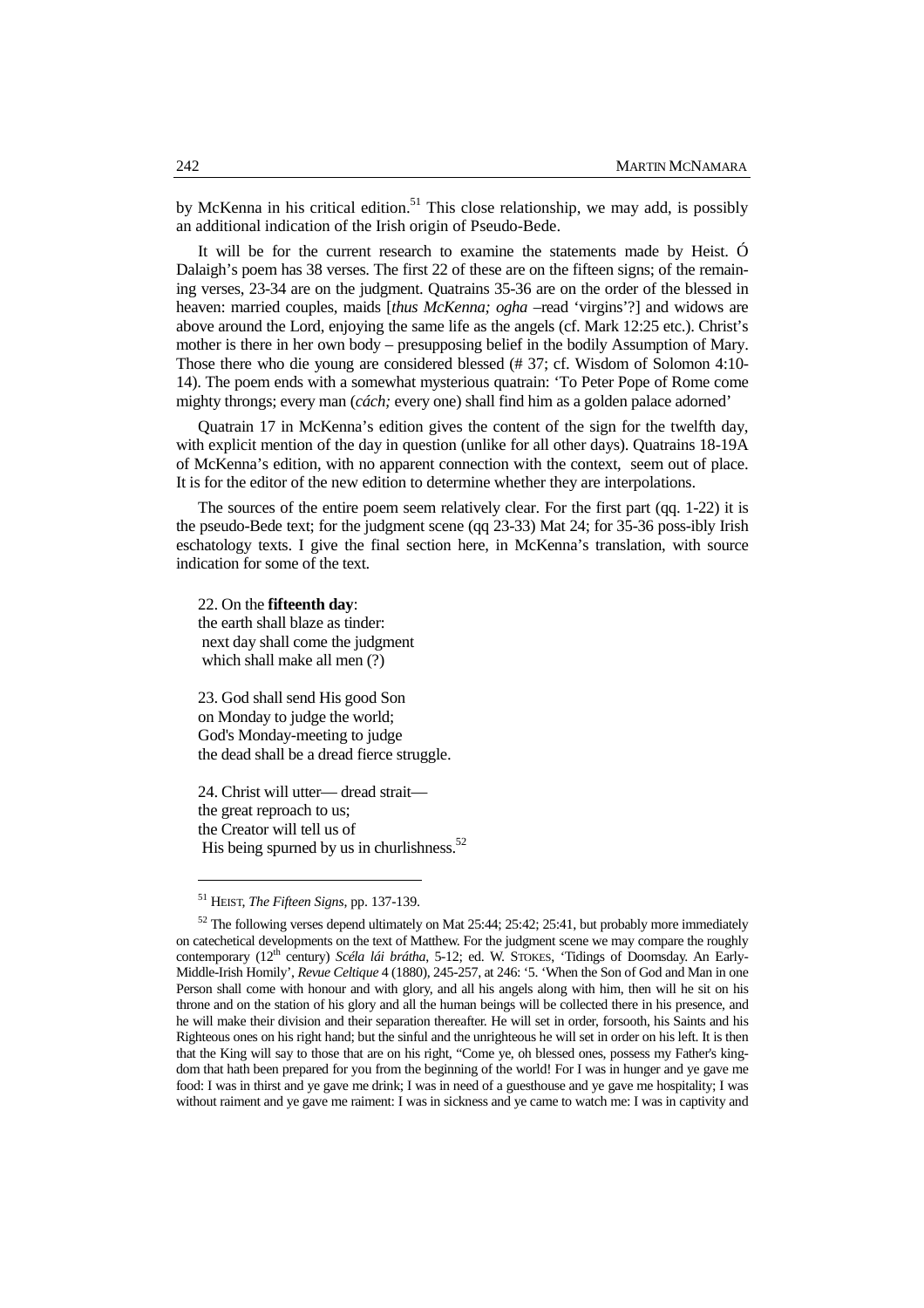by McKenna in his critical edition.<sup>51</sup> This close relationship, we may add, is possibly an additional indication of the Irish origin of Pseudo-Bede.

It will be for the current research to examine the statements made by Heist. Ó Dalaigh's poem has 38 verses. The first 22 of these are on the fifteen signs; of the remaining verses, 23-34 are on the judgment. Quatrains 35-36 are on the order of the blessed in heaven: married couples, maids [*thus McKenna; ogha –*read 'virgins'?] and widows are above around the Lord, enjoying the same life as the angels (cf. Mark 12:25 etc.). Christ's mother is there in her own body – presupposing belief in the bodily Assumption of Mary. Those there who die young are considered blessed (# 37; cf. Wisdom of Solomon 4:10- 14). The poem ends with a somewhat mysterious quatrain: 'To Peter Pope of Rome come mighty throngs; every man (*cách;* every one) shall find him as a golden palace adorned'

Quatrain 17 in McKenna's edition gives the content of the sign for the twelfth day, with explicit mention of the day in question (unlike for all other days). Quatrains 18-19A of McKenna's edition, with no apparent connection with the context, seem out of place. It is for the editor of the new edition to determine whether they are interpolations.

The sources of the entire poem seem relatively clear. For the first part (qq. 1-22) it is the pseudo-Bede text; for the judgment scene (qq 23-33) Mat 24; for 35-36 poss-ibly Irish eschatology texts. I give the final section here, in McKenna's translation, with source indication for some of the text.

22. On the **fifteenth day**: the earth shall blaze as tinder: next day shall come the judgment which shall make all men (?)

23. God shall send His good Son on Monday to judge the world; God's Monday-meeting to judge the dead shall be a dread fierce struggle.

24. Christ will utter— dread strait the great reproach to us; the Creator will tell us of His being spurned by us in churlishness. $52$ 

<sup>51</sup> HEIST, *The Fifteen Signs*, pp. 137-139.

 $52$  The following verses depend ultimately on Mat 25:44; 25:42; 25:41, but probably more immediately on catechetical developments on the text of Matthew. For the judgment scene we may compare the roughly contemporary (12<sup>th</sup> century) *Scéla lái brátha*, 5-12; ed. W. STOKES, 'Tidings of Doomsday. An Early-Middle-Irish Homily', *Revue Celtique* 4 (1880), 245-257, at 246: '5. 'When the Son of God and Man in one Person shall come with honour and with glory, and all his angels along with him, then will he sit on his throne and on the station of his glory and all the human beings will be collected there in his presence, and he will make their division and their separation thereafter. He will set in order, forsooth, his Saints and his Righteous ones on his right hand; but the sinful and the unrighteous he will set in order on his left. It is then that the King will say to those that are on his right, "Come ye, oh blessed ones, possess my Father's kingdom that hath been prepared for you from the beginning of the world! For I was in hunger and ye gave me food: I was in thirst and ye gave me drink; I was in need of a guesthouse and ye gave me hospitality; I was without raiment and ye gave me raiment: I was in sickness and ye came to watch me: I was in captivity and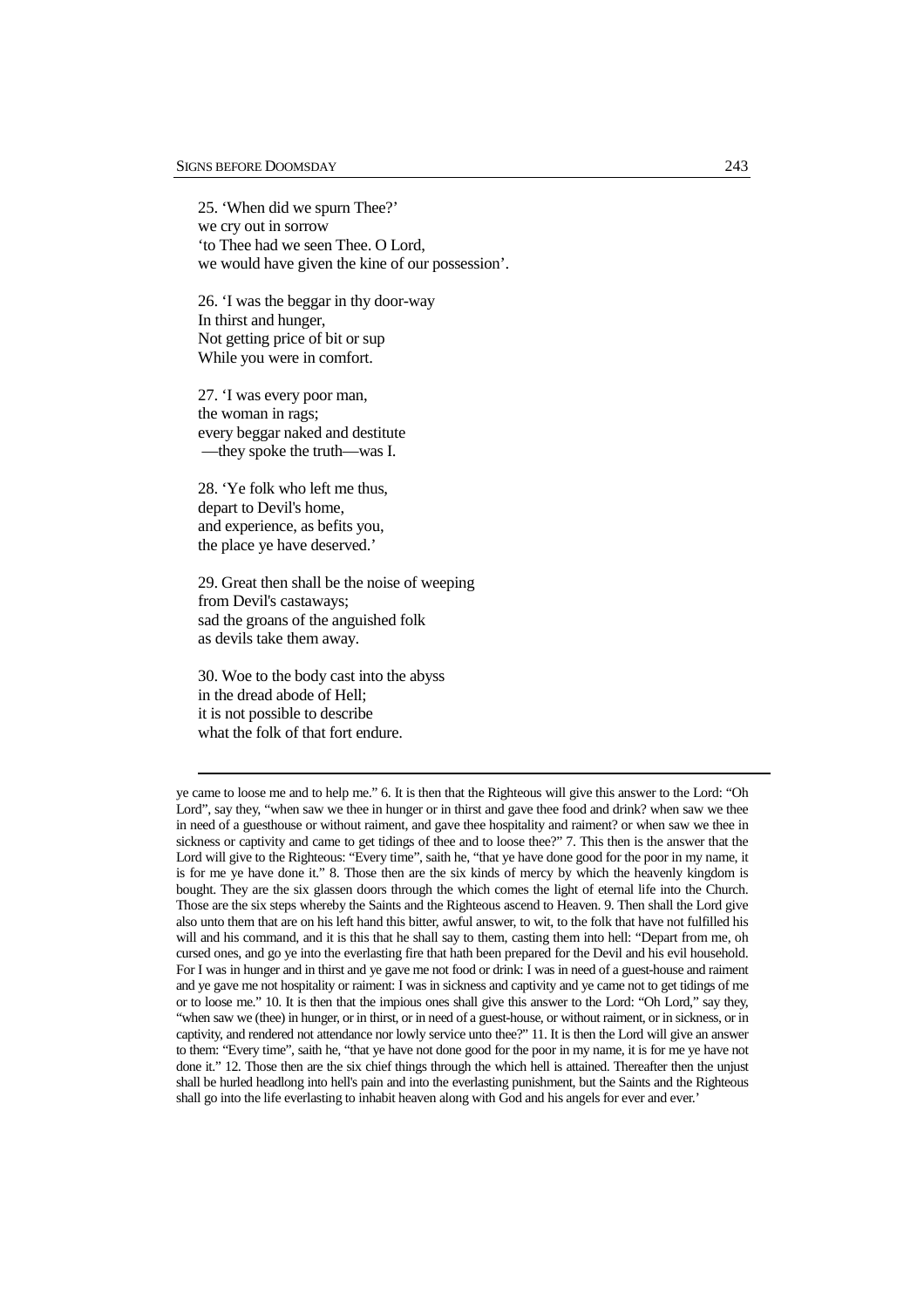25. 'When did we spurn Thee?' we cry out in sorrow 'to Thee had we seen Thee. O Lord, we would have given the kine of our possession'.

26. 'I was the beggar in thy door-way In thirst and hunger, Not getting price of bit or sup While you were in comfort.

27. 'I was every poor man, the woman in rags; every beggar naked and destitute —they spoke the truth—was I.

28. 'Ye folk who left me thus, depart to Devil's home, and experience, as befits you, the place ye have deserved.'

29. Great then shall be the noise of weeping from Devil's castaways; sad the groans of the anguished folk as devils take them away.

30. Woe to the body cast into the abyss in the dread abode of Hell; it is not possible to describe what the folk of that fort endure.

 $\overline{a}$ 

ye came to loose me and to help me." 6. It is then that the Righteous will give this answer to the Lord: "Oh Lord", say they, "when saw we thee in hunger or in thirst and gave thee food and drink? when saw we thee in need of a guesthouse or without raiment, and gave thee hospitality and raiment? or when saw we thee in sickness or captivity and came to get tidings of thee and to loose thee?" 7. This then is the answer that the Lord will give to the Righteous: "Every time", saith he, "that ye have done good for the poor in my name, it is for me ye have done it." 8. Those then are the six kinds of mercy by which the heavenly kingdom is bought. They are the six glassen doors through the which comes the light of eternal life into the Church. Those are the six steps whereby the Saints and the Righteous ascend to Heaven. 9. Then shall the Lord give also unto them that are on his left hand this bitter, awful answer, to wit, to the folk that have not fulfilled his will and his command, and it is this that he shall say to them, casting them into hell: "Depart from me, oh cursed ones, and go ye into the everlasting fire that hath been prepared for the Devil and his evil household. For I was in hunger and in thirst and ye gave me not food or drink: I was in need of a guest-house and raiment and ye gave me not hospitality or raiment: I was in sickness and captivity and ye came not to get tidings of me or to loose me." 10. It is then that the impious ones shall give this answer to the Lord: "Oh Lord," say they, "when saw we (thee) in hunger, or in thirst, or in need of a guest-house, or without raiment, or in sickness, or in captivity, and rendered not attendance nor lowly service unto thee?" 11. It is then the Lord will give an answer to them: "Every time", saith he, "that ye have not done good for the poor in my name, it is for me ye have not done it." 12. Those then are the six chief things through the which hell is attained. Thereafter then the unjust shall be hurled headlong into hell's pain and into the everlasting punishment, but the Saints and the Righteous shall go into the life everlasting to inhabit heaven along with God and his angels for ever and ever.'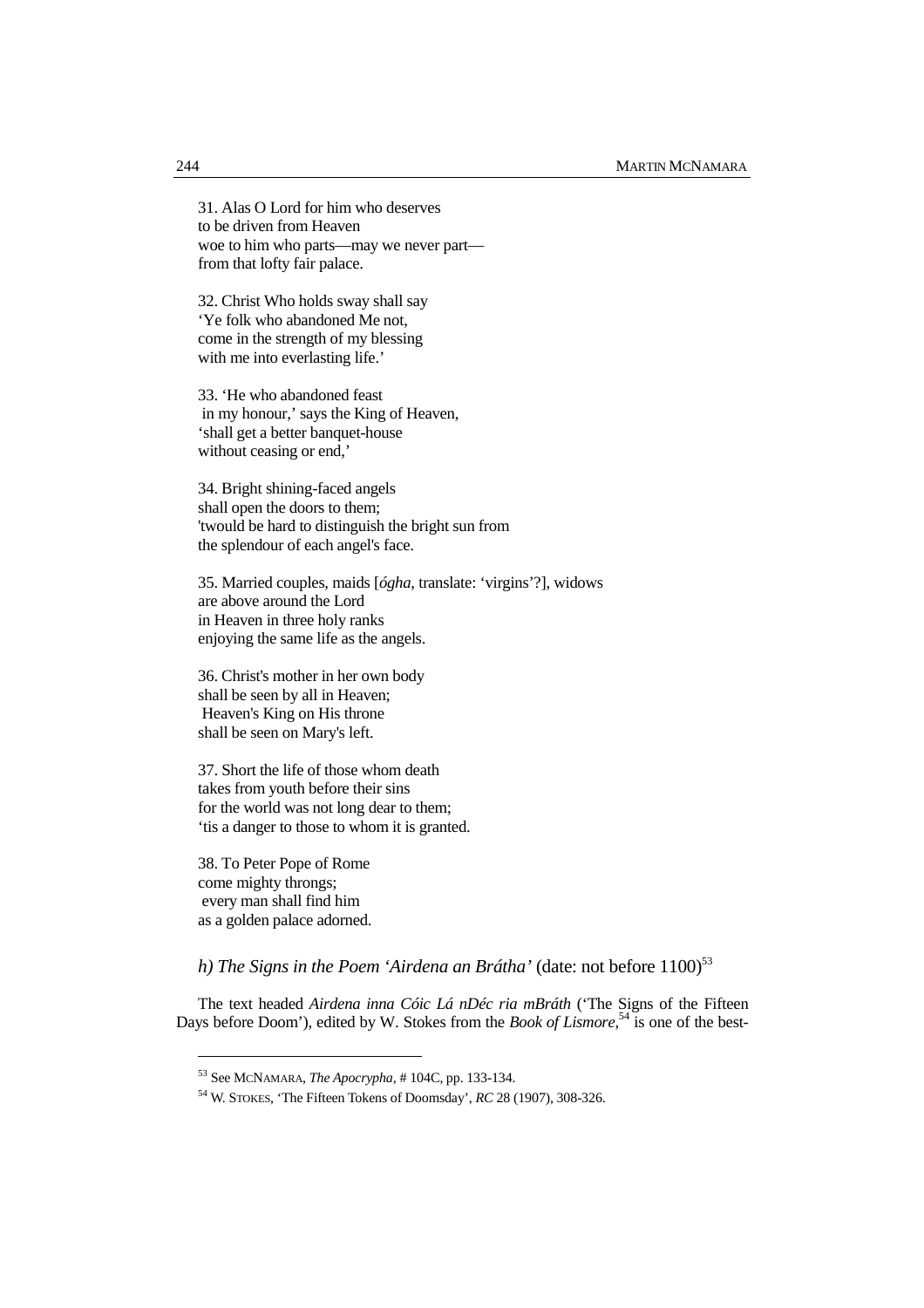31. Alas O Lord for him who deserves to be driven from Heaven woe to him who parts—may we never part from that lofty fair palace.

32. Christ Who holds sway shall say 'Ye folk who abandoned Me not, come in the strength of my blessing with me into everlasting life.'

33. 'He who abandoned feast in my honour,' says the King of Heaven, 'shall get a better banquet-house without ceasing or end,'

34. Bright shining-faced angels shall open the doors to them; 'twould be hard to distinguish the bright sun from the splendour of each angel's face.

35. Married couples, maids [*ógha*, translate: 'virgins'?], widows are above around the Lord in Heaven in three holy ranks enjoying the same life as the angels.

36. Christ's mother in her own body shall be seen by all in Heaven; Heaven's King on His throne shall be seen on Mary's left.

37. Short the life of those whom death takes from youth before their sins for the world was not long dear to them; 'tis a danger to those to whom it is granted.

38. To Peter Pope of Rome come mighty throngs; every man shall find him as a golden palace adorned.

 $\overline{a}$ 

*h) The Signs in the Poem 'Airdena an Brátha'* (date: not before  $1100$ )<sup>53</sup>

The text headed *Airdena inna Cóic Lá nDéc ria mBráth* ('The Signs of the Fifteen Days before Doom'), edited by W. Stokes from the *Book of Lismore*<sup>54</sup> is one of the best-

<sup>53</sup> See MCNAMARA, *The Apocrypha*, # 104C, pp. 133-134.

<sup>54</sup> W. STOKES, 'The Fifteen Tokens of Doomsday', *RC* 28 (1907), 308-326.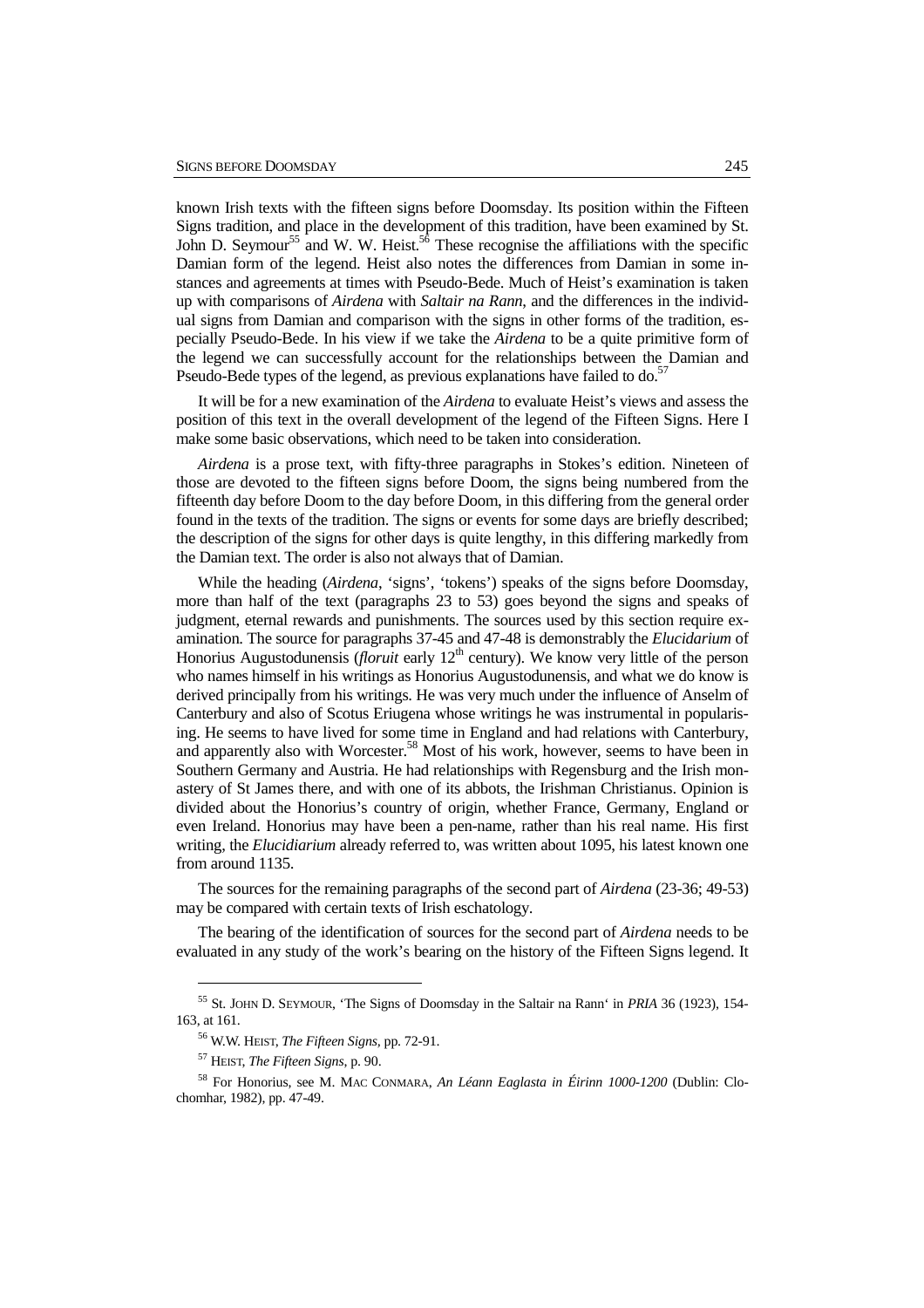known Irish texts with the fifteen signs before Doomsday. Its position within the Fifteen Signs tradition, and place in the development of this tradition, have been examined by St. John D. Seymour<sup>55</sup> and W. W. Heist.<sup>56</sup> These recognise the affiliations with the specific Damian form of the legend. Heist also notes the differences from Damian in some instances and agreements at times with Pseudo-Bede. Much of Heist's examination is taken up with comparisons of *Airdena* with *Saltair na Rann*, and the differences in the individual signs from Damian and comparison with the signs in other forms of the tradition, especially Pseudo-Bede. In his view if we take the *Airdena* to be a quite primitive form of the legend we can successfully account for the relationships between the Damian and Pseudo-Bede types of the legend, as previous explanations have failed to do.<sup>5</sup>

It will be for a new examination of the *Airdena* to evaluate Heist's views and assess the position of this text in the overall development of the legend of the Fifteen Signs. Here I make some basic observations, which need to be taken into consideration.

*Airdena* is a prose text, with fifty-three paragraphs in Stokes's edition. Nineteen of those are devoted to the fifteen signs before Doom, the signs being numbered from the fifteenth day before Doom to the day before Doom, in this differing from the general order found in the texts of the tradition. The signs or events for some days are briefly described; the description of the signs for other days is quite lengthy, in this differing markedly from the Damian text. The order is also not always that of Damian.

While the heading (*Airdena*, 'signs', 'tokens') speaks of the signs before Doomsday, more than half of the text (paragraphs 23 to 53) goes beyond the signs and speaks of judgment, eternal rewards and punishments. The sources used by this section require examination. The source for paragraphs 37-45 and 47-48 is demonstrably the *Elucidarium* of Honorius Augustodunensis (*floruit* early 12<sup>th</sup> century). We know very little of the person who names himself in his writings as Honorius Augustodunensis, and what we do know is derived principally from his writings. He was very much under the influence of Anselm of Canterbury and also of Scotus Eriugena whose writings he was instrumental in popularising. He seems to have lived for some time in England and had relations with Canterbury, and apparently also with Worcester.<sup>58</sup> Most of his work, however, seems to have been in Southern Germany and Austria. He had relationships with Regensburg and the Irish monastery of St James there, and with one of its abbots, the Irishman Christianus. Opinion is divided about the Honorius's country of origin, whether France, Germany, England or even Ireland. Honorius may have been a pen-name, rather than his real name. His first writing, the *Elucidiarium* already referred to, was written about 1095, his latest known one from around 1135.

The sources for the remaining paragraphs of the second part of *Airdena* (23-36; 49-53) may be compared with certain texts of Irish eschatology.

The bearing of the identification of sources for the second part of *Airdena* needs to be evaluated in any study of the work's bearing on the history of the Fifteen Signs legend. It

<sup>55</sup> St. JOHN D. SEYMOUR, 'The Signs of Doomsday in the Saltair na Rann' in *PRIA* 36 (1923), 154- 163, at 161.

<sup>56</sup> W.W. HEIST, *The Fifteen Signs,* pp. 72-91.

<sup>57</sup> HEIST, *The Fifteen Signs*, p. 90.

<sup>58</sup> For Honorius, see M. MAC CONMARA, *An Léann Eaglasta in Éirinn 1000-1200* (Dublin: Clochomhar, 1982), pp. 47-49.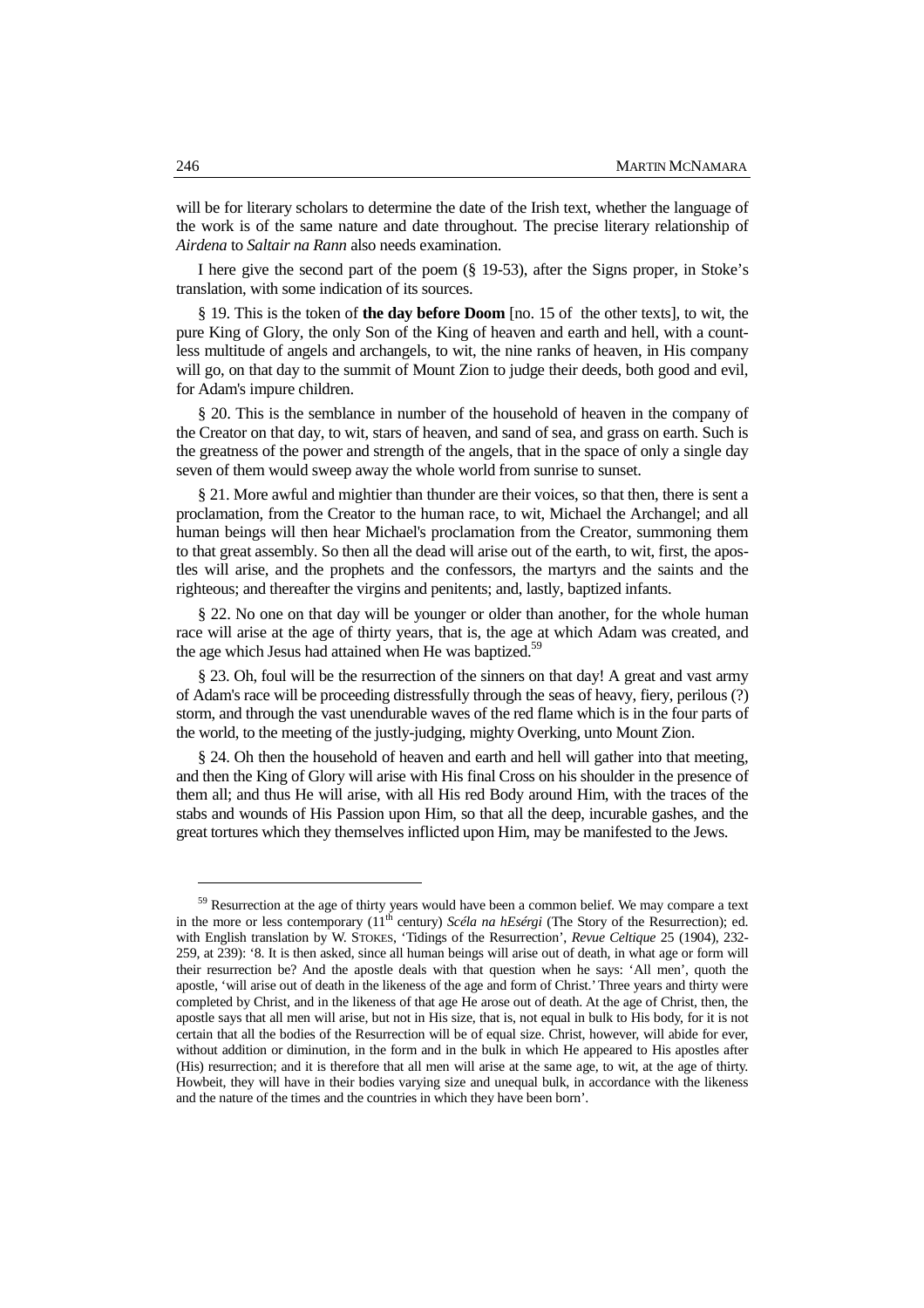will be for literary scholars to determine the date of the Irish text, whether the language of the work is of the same nature and date throughout. The precise literary relationship of *Airdena* to *Saltair na Rann* also needs examination.

I here give the second part of the poem (§ 19-53), after the Signs proper, in Stoke's translation, with some indication of its sources.

§ 19. This is the token of **the day before Doom** [no. 15 of the other texts], to wit, the pure King of Glory, the only Son of the King of heaven and earth and hell, with a countless multitude of angels and archangels, to wit, the nine ranks of heaven, in His company will go, on that day to the summit of Mount Zion to judge their deeds, both good and evil, for Adam's impure children.

§ 20. This is the semblance in number of the household of heaven in the company of the Creator on that day, to wit, stars of heaven, and sand of sea, and grass on earth. Such is the greatness of the power and strength of the angels, that in the space of only a single day seven of them would sweep away the whole world from sunrise to sunset.

§ 21. More awful and mightier than thunder are their voices, so that then, there is sent a proclamation, from the Creator to the human race, to wit, Michael the Archangel; and all human beings will then hear Michael's proclamation from the Creator, summoning them to that great assembly. So then all the dead will arise out of the earth, to wit, first, the apostles will arise, and the prophets and the confessors, the martyrs and the saints and the righteous; and thereafter the virgins and penitents; and, lastly, baptized infants.

§ 22. No one on that day will be younger or older than another, for the whole human race will arise at the age of thirty years, that is, the age at which Adam was created, and the age which Jesus had attained when He was baptized.<sup>59</sup>

§ 23. Oh, foul will be the resurrection of the sinners on that day! A great and vast army of Adam's race will be proceeding distressfully through the seas of heavy, fiery, perilous (?) storm, and through the vast unendurable waves of the red flame which is in the four parts of the world, to the meeting of the justly-judging, mighty Overking, unto Mount Zion.

§ 24. Oh then the household of heaven and earth and hell will gather into that meeting, and then the King of Glory will arise with His final Cross on his shoulder in the presence of them all; and thus He will arise, with all His red Body around Him, with the traces of the stabs and wounds of His Passion upon Him, so that all the deep, incurable gashes, and the great tortures which they themselves inflicted upon Him, may be manifested to the Jews.

<sup>&</sup>lt;sup>59</sup> Resurrection at the age of thirty years would have been a common belief. We may compare a text in the more or less contemporary (11<sup>th</sup> century) *Scéla na hEsérgi* (The Story of the Resurrection); ed. with English translation by W. STOKES, 'Tidings of the Resurrection', *Revue Celtique* 25 (1904), 232- 259, at 239): '8. It is then asked, since all human beings will arise out of death, in what age or form will their resurrection be? And the apostle deals with that question when he says: 'All men', quoth the apostle, 'will arise out of death in the likeness of the age and form of Christ.' Three years and thirty were completed by Christ, and in the likeness of that age He arose out of death. At the age of Christ, then, the apostle says that all men will arise, but not in His size, that is, not equal in bulk to His body, for it is not certain that all the bodies of the Resurrection will be of equal size. Christ, however, will abide for ever, without addition or diminution, in the form and in the bulk in which He appeared to His apostles after (His) resurrection; and it is therefore that all men will arise at the same age, to wit, at the age of thirty. Howbeit, they will have in their bodies varying size and unequal bulk, in accordance with the likeness and the nature of the times and the countries in which they have been born'.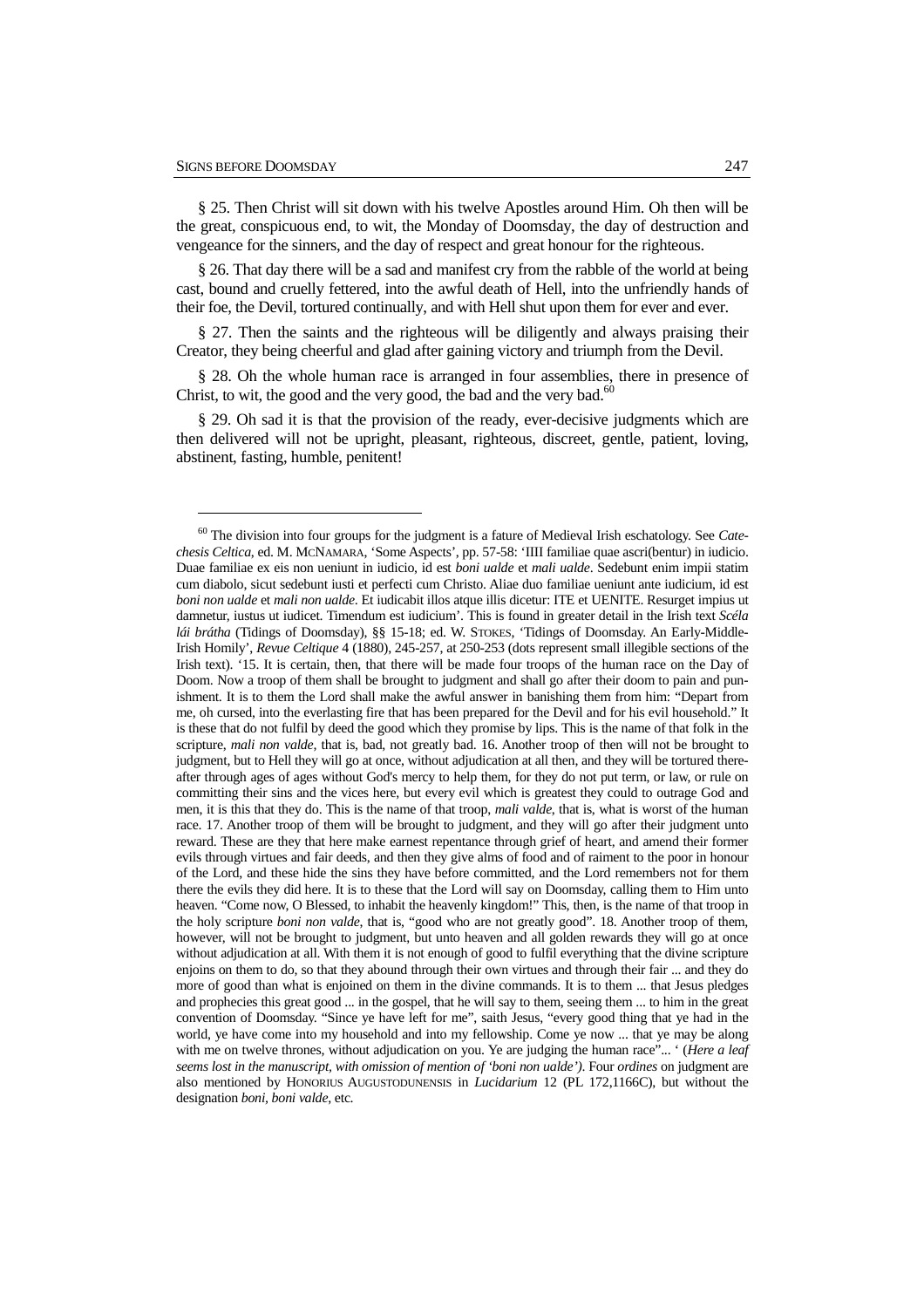$\overline{a}$ 

§ 25. Then Christ will sit down with his twelve Apostles around Him. Oh then will be the great, conspicuous end, to wit, the Monday of Doomsday, the day of destruction and vengeance for the sinners, and the day of respect and great honour for the righteous.

§ 26. That day there will be a sad and manifest cry from the rabble of the world at being cast, bound and cruelly fettered, into the awful death of Hell, into the unfriendly hands of their foe, the Devil, tortured continually, and with Hell shut upon them for ever and ever.

§ 27. Then the saints and the righteous will be diligently and always praising their Creator, they being cheerful and glad after gaining victory and triumph from the Devil.

§ 28. Oh the whole human race is arranged in four assemblies, there in presence of Christ, to wit, the good and the very good, the bad and the very bad. $\alpha$ <sup>6</sup>

§ 29. Oh sad it is that the provision of the ready, ever-decisive judgments which are then delivered will not be upright, pleasant, righteous, discreet, gentle, patient, loving, abstinent, fasting, humble, penitent!

<sup>60</sup> The division into four groups for the judgment is a fature of Medieval Irish eschatology. See *Catechesis Celtica*, ed. M. MCNAMARA, 'Some Aspects', pp. 57-58: 'IIII familiae quae ascri(bentur) in iudicio. Duae familiae ex eis non ueniunt in iudicio, id est *boni ualde* et *mali ualde*. Sedebunt enim impii statim cum diabolo, sicut sedebunt iusti et perfecti cum Christo. Aliae duo familiae ueniunt ante iudicium, id est *boni non ualde* et *mali non ualde*. Et iudicabit illos atque illis dicetur: ITE et UENITE. Resurget impius ut damnetur, iustus ut iudicet. Timendum est iudicium'. This is found in greater detail in the Irish text *Scéla lái brátha* (Tidings of Doomsday), §§ 15-18; ed. W. STOKES, 'Tidings of Doomsday. An Early-Middle-Irish Homily', *Revue Celtique* 4 (1880), 245-257, at 250-253 (dots represent small illegible sections of the Irish text). '15. It is certain, then, that there will be made four troops of the human race on the Day of Doom. Now a troop of them shall be brought to judgment and shall go after their doom to pain and punishment. It is to them the Lord shall make the awful answer in banishing them from him: "Depart from me, oh cursed, into the everlasting fire that has been prepared for the Devil and for his evil household." It is these that do not fulfil by deed the good which they promise by lips. This is the name of that folk in the scripture, *mali non valde*, that is, bad, not greatly bad. 16. Another troop of then will not be brought to judgment, but to Hell they will go at once, without adjudication at all then, and they will be tortured thereafter through ages of ages without God's mercy to help them, for they do not put term, or law, or rule on committing their sins and the vices here, but every evil which is greatest they could to outrage God and men, it is this that they do. This is the name of that troop, *mali valde*, that is, what is worst of the human race. 17. Another troop of them will be brought to judgment, and they will go after their judgment unto reward. These are they that here make earnest repentance through grief of heart, and amend their former evils through virtues and fair deeds, and then they give alms of food and of raiment to the poor in honour of the Lord, and these hide the sins they have before committed, and the Lord remembers not for them there the evils they did here. It is to these that the Lord will say on Doomsday, calling them to Him unto heaven. "Come now, O Blessed, to inhabit the heavenly kingdom!" This, then, is the name of that troop in the holy scripture *boni non valde*, that is, "good who are not greatly good". 18. Another troop of them, however, will not be brought to judgment, but unto heaven and all golden rewards they will go at once without adjudication at all. With them it is not enough of good to fulfil everything that the divine scripture enjoins on them to do, so that they abound through their own virtues and through their fair ... and they do more of good than what is enjoined on them in the divine commands. It is to them ... that Jesus pledges and prophecies this great good ... in the gospel, that he will say to them, seeing them ... to him in the great convention of Doomsday. "Since ye have left for me", saith Jesus, "every good thing that ye had in the world, ye have come into my household and into my fellowship. Come ye now ... that ye may be along with me on twelve thrones, without adjudication on you. Ye are judging the human race"... ' (*Here a leaf seems lost in the manuscript, with omission of mention of 'boni non ualde')*. Four *ordines* on judgment are also mentioned by HONORIUS AUGUSTODUNENSIS in *Lucidarium* 12 (PL 172,1166C), but without the designation *boni, boni valde*, etc.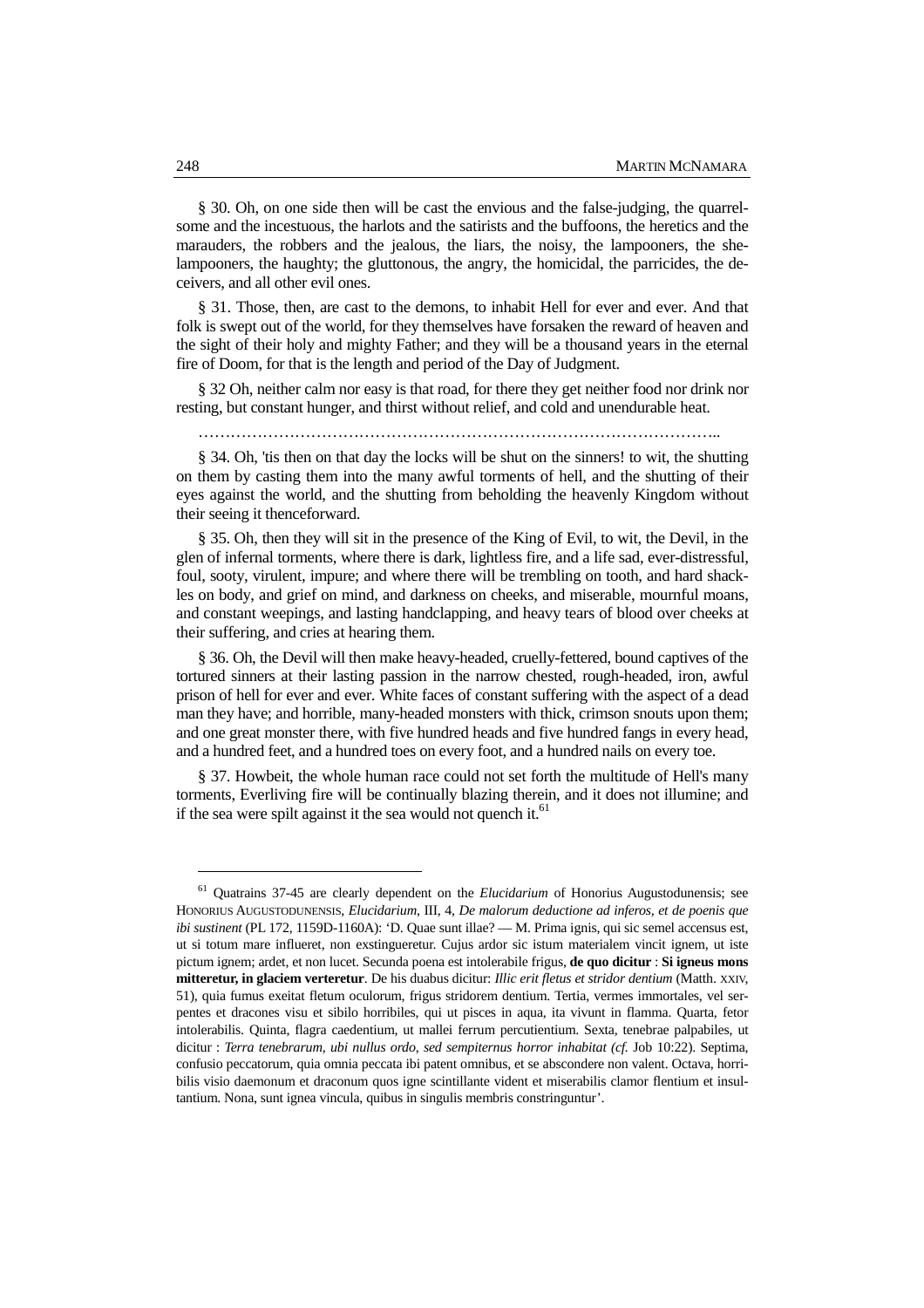§ 30. Oh, on one side then will be cast the envious and the false-judging, the quarrelsome and the incestuous, the harlots and the satirists and the buffoons, the heretics and the marauders, the robbers and the jealous, the liars, the noisy, the lampooners, the shelampooners, the haughty; the gluttonous, the angry, the homicidal, the parricides, the deceivers, and all other evil ones.

§ 31. Those, then, are cast to the demons, to inhabit Hell for ever and ever. And that folk is swept out of the world, for they themselves have forsaken the reward of heaven and the sight of their holy and mighty Father; and they will be a thousand years in the eternal fire of Doom, for that is the length and period of the Day of Judgment.

§ 32 Oh, neither calm nor easy is that road, for there they get neither food nor drink nor resting, but constant hunger, and thirst without relief, and cold and unendurable heat.

……………………………………………………………………………………..

§ 34. Oh, 'tis then on that day the locks will be shut on the sinners! to wit, the shutting on them by casting them into the many awful torments of hell, and the shutting of their eyes against the world, and the shutting from beholding the heavenly Kingdom without their seeing it thenceforward.

§ 35. Oh, then they will sit in the presence of the King of Evil, to wit, the Devil, in the glen of infernal torments, where there is dark, lightless fire, and a life sad, ever-distressful, foul, sooty, virulent, impure; and where there will be trembling on tooth, and hard shackles on body, and grief on mind, and darkness on cheeks, and miserable, mournful moans, and constant weepings, and lasting handclapping, and heavy tears of blood over cheeks at their suffering, and cries at hearing them.

§ 36. Oh, the Devil will then make heavy-headed, cruelly-fettered, bound captives of the tortured sinners at their lasting passion in the narrow chested, rough-headed, iron, awful prison of hell for ever and ever. White faces of constant suffering with the aspect of a dead man they have; and horrible, many-headed monsters with thick, crimson snouts upon them; and one great monster there, with five hundred heads and five hundred fangs in every head, and a hundred feet, and a hundred toes on every foot, and a hundred nails on every toe.

§ 37. Howbeit, the whole human race could not set forth the multitude of Hell's many torments, Everliving fire will be continually blazing therein, and it does not illumine; and if the sea were spilt against it the sea would not quench it.<sup>61</sup>

<sup>61</sup> Quatrains 37-45 are clearly dependent on the *Elucidarium* of Honorius Augustodunensis; see HONORIUS AUGUSTODUNENSIS, *Elucidarium*, III, 4, *De malorum deductione ad inferos, et de poenis que ibi sustinent* (PL 172, 1159D-1160A): 'D. Quae sunt illae? — M. Prima ignis, qui sic semel accensus est, ut si totum mare influeret, non exstingueretur. Cujus ardor sic istum materialem vincit ignem, ut iste pictum ignem; ardet, et non lucet. Secunda poena est intolerabile frigus, **de quo dicitur** : **Si igneus mons mitteretur, in glaciem verteretur**. De his duabus dicitur: *Illic erit fletus et stridor dentium* (Matth. XXIV, 51), quia fumus exeitat fletum oculorum, frigus stridorem dentium. Tertia, vermes immortales, vel serpentes et dracones visu et sibilo horribiles, qui ut pisces in aqua, ita vivunt in flamma. Quarta, fetor intolerabilis. Quinta, flagra caedentium, ut mallei ferrum percutientium. Sexta, tenebrae palpabiles, ut dicitur : *Terra tenebrarum, ubi nullus ordo, sed sempiternus horror inhabitat (cf. Job 10:22).* Septima, confusio peccatorum, quia omnia peccata ibi patent omnibus, et se abscondere non valent. Octava, horribilis visio daemonum et draconum quos igne scintillante vident et miserabilis clamor flentium et insultantium. Nona, sunt ignea vincula, quibus in singulis membris constringuntur'.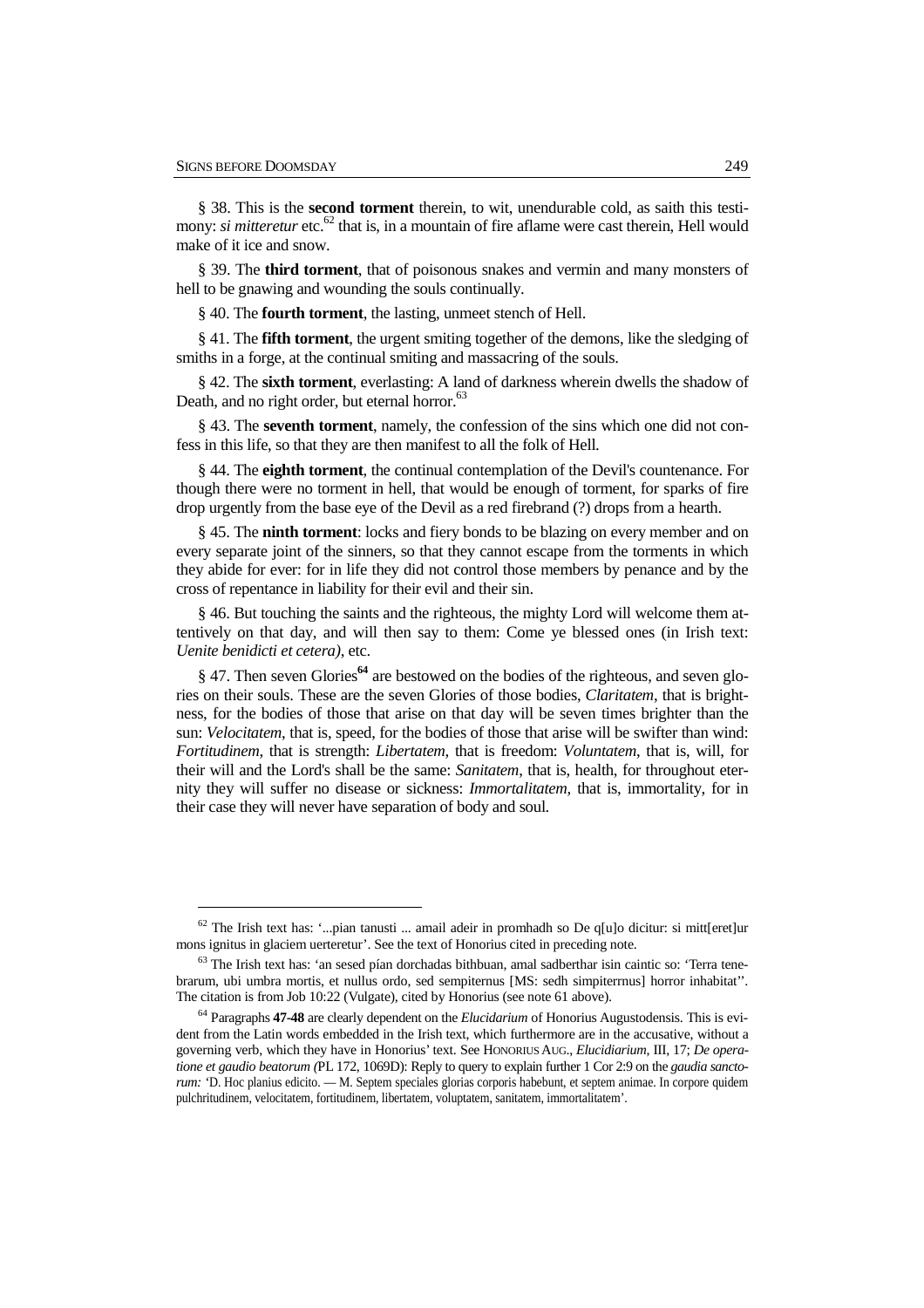$\overline{a}$ 

§ 38. This is the **second torment** therein, to wit, unendurable cold, as saith this testimony: *si mitteretur* etc.<sup>62</sup> that is, in a mountain of fire aflame were cast therein, Hell would make of it ice and snow.

§ 39. The **third torment**, that of poisonous snakes and vermin and many monsters of hell to be gnawing and wounding the souls continually.

§ 40. The **fourth torment**, the lasting, unmeet stench of Hell.

§ 41. The **fifth torment**, the urgent smiting together of the demons, like the sledging of smiths in a forge, at the continual smiting and massacring of the souls.

§ 42. The **sixth torment**, everlasting: A land of darkness wherein dwells the shadow of Death, and no right order, but eternal horror.<sup>63</sup>

§ 43. The **seventh torment**, namely, the confession of the sins which one did not confess in this life, so that they are then manifest to all the folk of Hell.

§ 44. The **eighth torment**, the continual contemplation of the Devil's countenance. For though there were no torment in hell, that would be enough of torment, for sparks of fire drop urgently from the base eye of the Devil as a red firebrand (?) drops from a hearth.

§ 45. The **ninth torment**: locks and fiery bonds to be blazing on every member and on every separate joint of the sinners, so that they cannot escape from the torments in which they abide for ever: for in life they did not control those members by penance and by the cross of repentance in liability for their evil and their sin.

§ 46. But touching the saints and the righteous, the mighty Lord will welcome them attentively on that day, and will then say to them: Come ye blessed ones (in Irish text: *Uenite benidicti et cetera)*, etc.

§ 47. Then seven Glories**<sup>64</sup>** are bestowed on the bodies of the righteous, and seven glories on their souls. These are the seven Glories of those bodies, *Claritatem*, that is brightness, for the bodies of those that arise on that day will be seven times brighter than the sun: *Velocitatem*, that is, speed, for the bodies of those that arise will be swifter than wind: *Fortitudinem*, that is strength: *Libertatem*, that is freedom: *Voluntatem*, that is, will, for their will and the Lord's shall be the same: *Sanitatem*, that is, health, for throughout eternity they will suffer no disease or sickness: *Immortalitatem*, that is, immortality, for in their case they will never have separation of body and soul.

 $62$  The Irish text has: '...pian tanusti ... amail adeir in promhadh so De q[u]o dicitur: si mitt[eret]ur mons ignitus in glaciem uerteretur'. See the text of Honorius cited in preceding note.

<sup>63</sup> The Irish text has: 'an sesed pían dorchadas bithbuan, amal sadberthar isin caintic so: 'Terra tenebrarum, ubi umbra mortis, et nullus ordo, sed sempiternus [MS: sedh simpiterrnus] horror inhabitat''. The citation is from Job 10:22 (Vulgate), cited by Honorius (see note 61 above).

<sup>64</sup> Paragraphs **47-48** are clearly dependent on the *Elucidarium* of Honorius Augustodensis. This is evident from the Latin words embedded in the Irish text, which furthermore are in the accusative, without a governing verb, which they have in Honorius' text. See HONORIUS AUG., *Elucidiarium*, III, 17; *De operatione et gaudio beatorum (*PL 172, 1069D): Reply to query to explain further 1 Cor 2:9 on the *gaudia sanctorum: '*D. Hoc planius edicito. — M. Septem speciales glorias corporis habebunt, et septem animae. In corpore quidem pulchritudinem, velocitatem, fortitudinem, libertatem, voluptatem, sanitatem, immortalitatem'.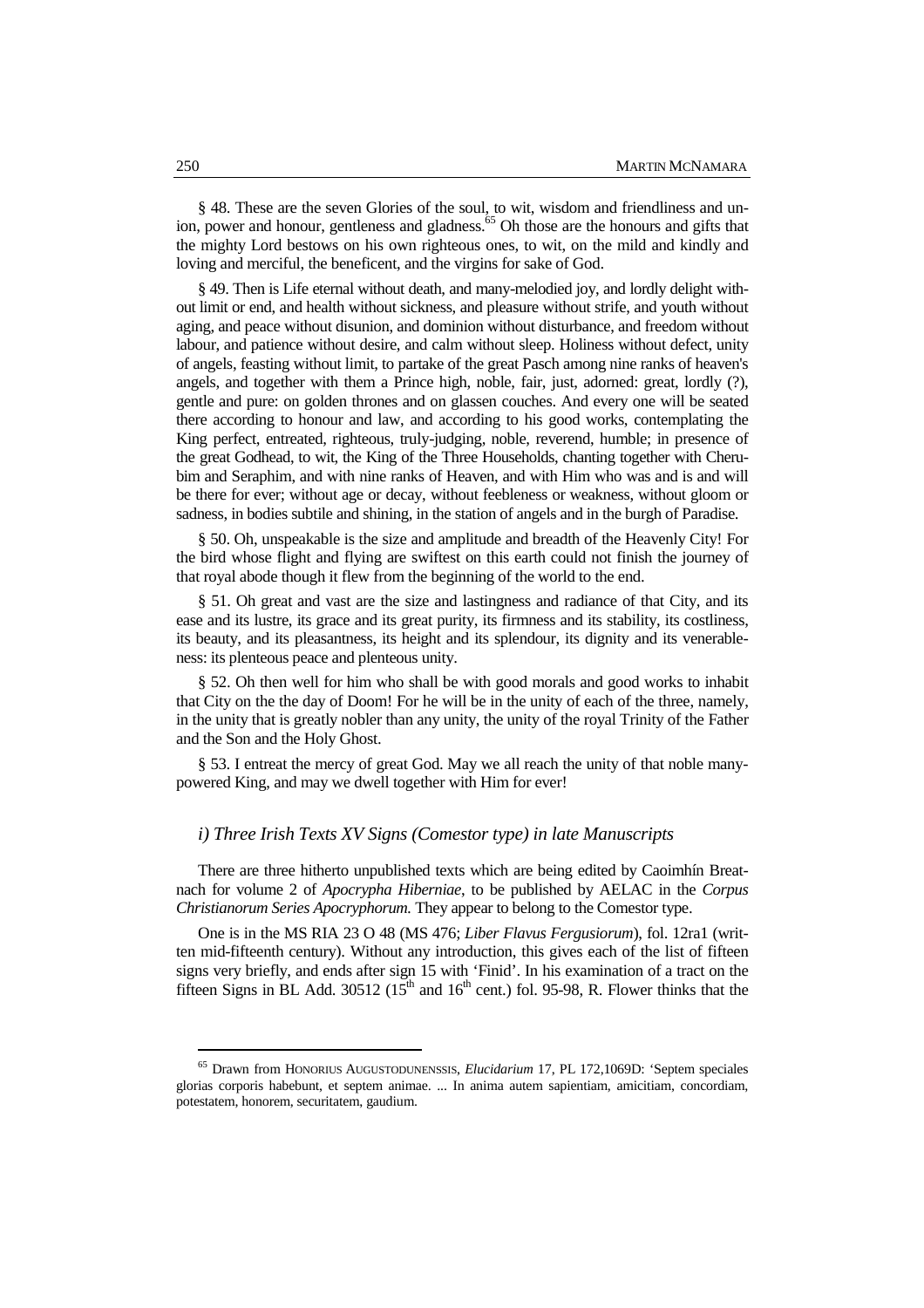§ 48. These are the seven Glories of the soul, to wit, wisdom and friendliness and union, power and honour, gentleness and gladness.<sup>65</sup> Oh those are the honours and gifts that the mighty Lord bestows on his own righteous ones, to wit, on the mild and kindly and loving and merciful, the beneficent, and the virgins for sake of God.

§ 49. Then is Life eternal without death, and many-melodied joy, and lordly delight without limit or end, and health without sickness, and pleasure without strife, and youth without aging, and peace without disunion, and dominion without disturbance, and freedom without labour, and patience without desire, and calm without sleep. Holiness without defect, unity of angels, feasting without limit, to partake of the great Pasch among nine ranks of heaven's angels, and together with them a Prince high, noble, fair, just, adorned: great, lordly (?), gentle and pure: on golden thrones and on glassen couches. And every one will be seated there according to honour and law, and according to his good works, contemplating the King perfect, entreated, righteous, truly-judging, noble, reverend, humble; in presence of the great Godhead, to wit, the King of the Three Households, chanting together with Cherubim and Seraphim, and with nine ranks of Heaven, and with Him who was and is and will be there for ever; without age or decay, without feebleness or weakness, without gloom or sadness, in bodies subtile and shining, in the station of angels and in the burgh of Paradise.

§ 50. Oh, unspeakable is the size and amplitude and breadth of the Heavenly City! For the bird whose flight and flying are swiftest on this earth could not finish the journey of that royal abode though it flew from the beginning of the world to the end.

§ 51. Oh great and vast are the size and lastingness and radiance of that City, and its ease and its lustre, its grace and its great purity, its firmness and its stability, its costliness, its beauty, and its pleasantness, its height and its splendour, its dignity and its venerableness: its plenteous peace and plenteous unity.

§ 52. Oh then well for him who shall be with good morals and good works to inhabit that City on the the day of Doom! For he will be in the unity of each of the three, namely, in the unity that is greatly nobler than any unity, the unity of the royal Trinity of the Father and the Son and the Holy Ghost.

§ 53. I entreat the mercy of great God. May we all reach the unity of that noble manypowered King, and may we dwell together with Him for ever!

#### *i) Three Irish Texts XV Signs (Comestor type) in late Manuscripts*

There are three hitherto unpublished texts which are being edited by Caoimhín Breatnach for volume 2 of *Apocrypha Hiberniae*, to be published by AELAC in the *Corpus Christianorum Series Apocryphorum.* They appear to belong to the Comestor type.

One is in the MS RIA 23 O 48 (MS 476; *Liber Flavus Fergusiorum*), fol. 12ra1 (written mid-fifteenth century). Without any introduction, this gives each of the list of fifteen signs very briefly, and ends after sign 15 with 'Finid'. In his examination of a tract on the fifteen Signs in BL Add. 30512 ( $15<sup>th</sup>$  and  $16<sup>th</sup>$  cent.) fol. 95-98, R. Flower thinks that the

<sup>65</sup> Drawn from HONORIUS AUGUSTODUNENSSIS, *Elucidarium* 17, PL 172,1069D: 'Septem speciales glorias corporis habebunt, et septem animae. ... In anima autem sapientiam, amicitiam, concordiam, potestatem, honorem, securitatem, gaudium.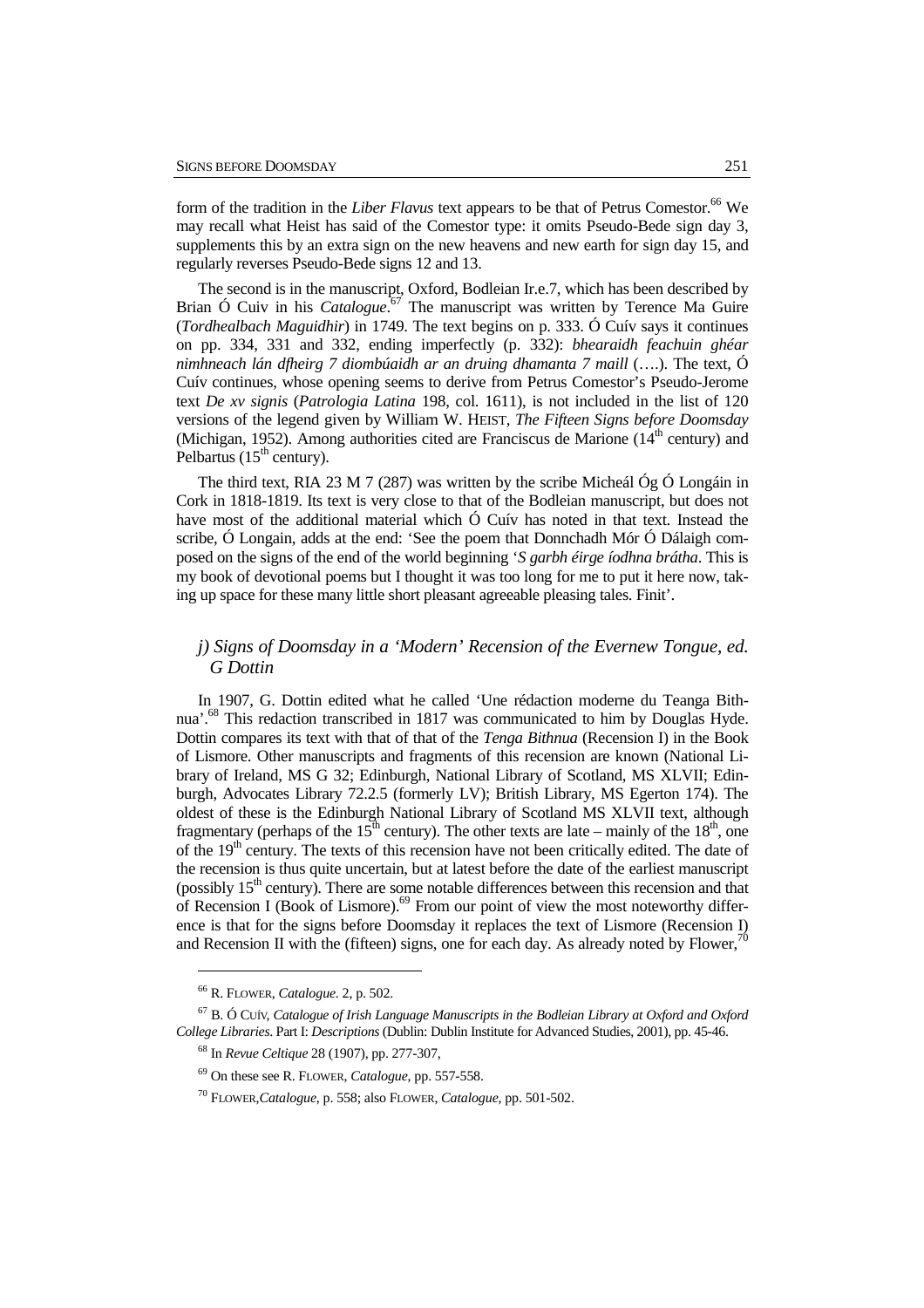form of the tradition in the *Liber Flavus* text appears to be that of Petrus Comestor.<sup>66</sup> We may recall what Heist has said of the Comestor type: it omits Pseudo-Bede sign day 3, supplements this by an extra sign on the new heavens and new earth for sign day 15, and regularly reverses Pseudo-Bede signs 12 and 13.

The second is in the manuscript, Oxford, Bodleian Ir.e.7, which has been described by Brian Ó Cuiv in his *Catalogue*. <sup>67</sup> The manuscript was written by Terence Ma Guire (*Tordhealbach Maguidhir*) in 1749. The text begins on p. 333. Ó Cuív says it continues on pp. 334, 331 and 332, ending imperfectly (p. 332): *bhearaidh feachuin ghéar nimhneach lán dfheirg 7 diombúaidh ar an druing dhamanta 7 maill* (….). The text, Ó Cuív continues*,* whose opening seems to derive from Petrus Comestor's Pseudo-Jerome text *De xv signis* (*Patrologia Latina* 198, col. 1611), is not included in the list of 120 versions of the legend given by William W. HEIST, *The Fifteen Signs before Doomsday* (Michigan, 1952). Among authorities cited are Franciscus de Marione  $(14<sup>th</sup>$  century) and Pelbartus  $(15<sup>th</sup>$  century).

The third text, RIA 23 M 7 (287) was written by the scribe Micheál Óg Ó Longáin in Cork in 1818-1819. Its text is very close to that of the Bodleian manuscript, but does not have most of the additional material which Ó Cuív has noted in that text. Instead the scribe, Ó Longain, adds at the end: 'See the poem that Donnchadh Mór Ó Dálaigh composed on the signs of the end of the world beginning '*S garbh éirge íodhna brátha*. This is my book of devotional poems but I thought it was too long for me to put it here now, taking up space for these many little short pleasant agreeable pleasing tales. Finit'.

# *j) Signs of Doomsday in a 'Modern' Recension of the Evernew Tongue, ed. G Dottin*

In 1907, G. Dottin edited what he called 'Une rédaction moderne du Teanga Bithnua<sup>'.68</sup> This redaction transcribed in 1817 was communicated to him by Douglas Hyde. Dottin compares its text with that of that of the *Tenga Bithnua* (Recension I) in the Book of Lismore. Other manuscripts and fragments of this recension are known (National Library of Ireland, MS G 32; Edinburgh, National Library of Scotland, MS XLVII; Edinburgh, Advocates Library 72.2.5 (formerly LV); British Library, MS Egerton 174). The oldest of these is the Edinburgh National Library of Scotland MS XLVII text, although fragmentary (perhaps of the 15<sup>th</sup> century). The other texts are late – mainly of the 18<sup>th</sup>, one of the  $19<sup>th</sup>$  century. The texts of this recension have not been critically edited. The date of the recension is thus quite uncertain, but at latest before the date of the earliest manuscript (possibly  $15<sup>th</sup>$  century). There are some notable differences between this recension and that of Recension I (Book of Lismore). $69$  From our point of view the most noteworthy difference is that for the signs before Doomsday it replaces the text of Lismore (Recension I) and Recension II with the (fifteen) signs, one for each day. As already noted by Flower,<sup>70</sup>

<sup>66</sup> R. FLOWER, *Catalogue.* 2, p. 502.

<sup>67</sup> B. Ó CUÍV, *Catalogue of Irish Language Manuscripts in the Bodleian Library at Oxford and Oxford College Libraries*. Part I: *Descriptions* (Dublin: Dublin Institute for Advanced Studies, 2001), pp. 45-46.

<sup>68</sup> In *Revue Celtique* 28 (1907), pp. 277-307,

<sup>69</sup> On these see R. FLOWER, *Catalogue*, pp. 557-558.

<sup>70</sup> FLOWER,*Catalogue*, p. 558; also FLOWER, *Catalogue*, pp. 501-502.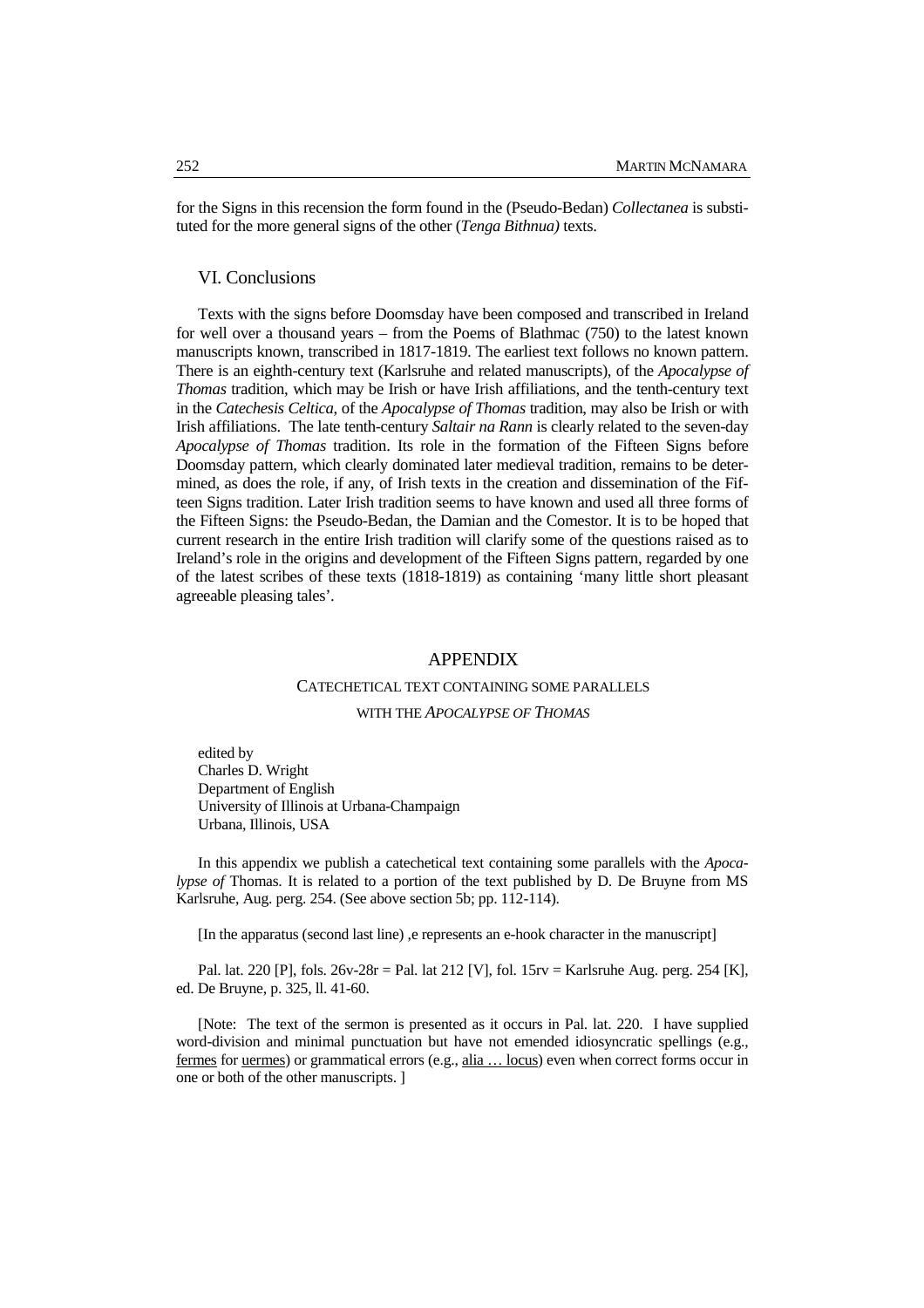for the Signs in this recension the form found in the (Pseudo-Bedan) *Collectanea* is substituted for the more general signs of the other (*Tenga Bithnua)* texts.

#### VI. Conclusions

Texts with the signs before Doomsday have been composed and transcribed in Ireland for well over a thousand years – from the Poems of Blathmac (750) to the latest known manuscripts known, transcribed in 1817-1819. The earliest text follows no known pattern. There is an eighth-century text (Karlsruhe and related manuscripts), of the *Apocalypse of Thomas* tradition, which may be Irish or have Irish affiliations, and the tenth-century text in the *Catechesis Celtica*, of the *Apocalypse of Thomas* tradition, may also be Irish or with Irish affiliations. The late tenth-century *Saltair na Rann* is clearly related to the seven-day *Apocalypse of Thomas* tradition. Its role in the formation of the Fifteen Signs before Doomsday pattern, which clearly dominated later medieval tradition, remains to be determined, as does the role, if any, of Irish texts in the creation and dissemination of the Fifteen Signs tradition. Later Irish tradition seems to have known and used all three forms of the Fifteen Signs: the Pseudo-Bedan, the Damian and the Comestor. It is to be hoped that current research in the entire Irish tradition will clarify some of the questions raised as to Ireland's role in the origins and development of the Fifteen Signs pattern, regarded by one of the latest scribes of these texts (1818-1819) as containing 'many little short pleasant agreeable pleasing tales'.

#### APPENDIX

## CATECHETICAL TEXT CONTAINING SOME PARALLELS

## WITH THE *APOCALYPSE OF THOMAS*

edited by Charles D. Wright Department of English University of Illinois at Urbana-Champaign Urbana, Illinois, USA

 In this appendix we publish a catechetical text containing some parallels with the *Apocalypse of* Thomas. It is related to a portion of the text published by D. De Bruyne from MS Karlsruhe, Aug. perg. 254. (See above section 5b; pp. 112-114).

[In the apparatus (second last line) ,e represents an e-hook character in the manuscript]

Pal. lat. 220 [P], fols.  $26v-28r =$  Pal. lat 212 [V], fol.  $15rv =$  Karlsruhe Aug. perg. 254 [K], ed. De Bruyne, p. 325, ll. 41-60.

[Note: The text of the sermon is presented as it occurs in Pal. lat. 220. I have supplied word-division and minimal punctuation but have not emended idiosyncratic spellings (e.g., fermes for uermes) or grammatical errors (e.g., alia … locus) even when correct forms occur in one or both of the other manuscripts. ]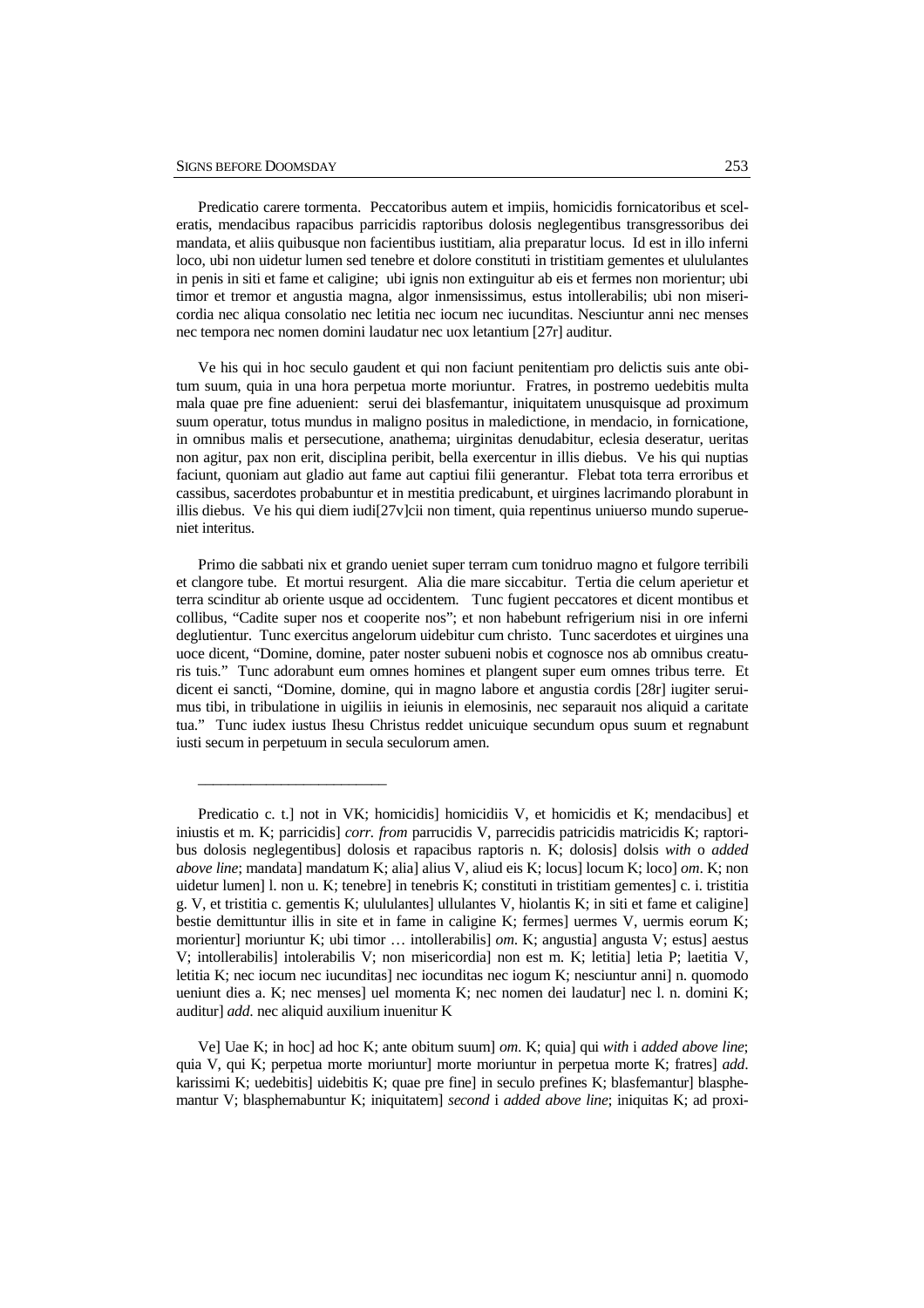\_\_\_\_\_\_\_\_\_\_\_\_\_\_\_\_\_\_\_\_\_\_\_\_\_

Predicatio carere tormenta. Peccatoribus autem et impiis, homicidis fornicatoribus et sceleratis, mendacibus rapacibus parricidis raptoribus dolosis neglegentibus transgressoribus dei mandata, et aliis quibusque non facientibus iustitiam, alia preparatur locus. Id est in illo inferni loco, ubi non uidetur lumen sed tenebre et dolore constituti in tristitiam gementes et ulululantes in penis in siti et fame et caligine; ubi ignis non extinguitur ab eis et fermes non morientur; ubi timor et tremor et angustia magna, algor inmensissimus, estus intollerabilis; ubi non misericordia nec aliqua consolatio nec letitia nec iocum nec iucunditas. Nesciuntur anni nec menses nec tempora nec nomen domini laudatur nec uox letantium [27r] auditur.

Ve his qui in hoc seculo gaudent et qui non faciunt penitentiam pro delictis suis ante obitum suum, quia in una hora perpetua morte moriuntur. Fratres, in postremo uedebitis multa mala quae pre fine aduenient: serui dei blasfemantur, iniquitatem unusquisque ad proximum suum operatur, totus mundus in maligno positus in maledictione, in mendacio, in fornicatione, in omnibus malis et persecutione, anathema; uirginitas denudabitur, eclesia deseratur, ueritas non agitur, pax non erit, disciplina peribit, bella exercentur in illis diebus. Ve his qui nuptias faciunt, quoniam aut gladio aut fame aut captiui filii generantur. Flebat tota terra erroribus et cassibus, sacerdotes probabuntur et in mestitia predicabunt, et uirgines lacrimando plorabunt in illis diebus. Ve his qui diem iudi $[27v]$ cii non timent, quia repentinus uniuerso mundo superueniet interitus.

Primo die sabbati nix et grando ueniet super terram cum tonidruo magno et fulgore terribili et clangore tube. Et mortui resurgent. Alia die mare siccabitur. Tertia die celum aperietur et terra scinditur ab oriente usque ad occidentem. Tunc fugient peccatores et dicent montibus et collibus, "Cadite super nos et cooperite nos"; et non habebunt refrigerium nisi in ore inferni deglutientur. Tunc exercitus angelorum uidebitur cum christo. Tunc sacerdotes et uirgines una uoce dicent, "Domine, domine, pater noster subueni nobis et cognosce nos ab omnibus creaturis tuis." Tunc adorabunt eum omnes homines et plangent super eum omnes tribus terre. Et dicent ei sancti, "Domine, domine, qui in magno labore et angustia cordis [28r] iugiter seruimus tibi, in tribulatione in uigiliis in ieiunis in elemosinis, nec separauit nos aliquid a caritate tua." Tunc iudex iustus Ihesu Christus reddet unicuique secundum opus suum et regnabunt iusti secum in perpetuum in secula seculorum amen.

Predicatio c. t.] not in VK; homicidis] homicidiis V, et homicidis et K; mendacibus] et iniustis et m. K; parricidis] *corr. from* parrucidis V, parrecidis patricidis matricidis K; raptoribus dolosis neglegentibus] dolosis et rapacibus raptoris n. K; dolosis] dolsis *with* o *added above line*; mandata] mandatum K; alia] alius V, aliud eis K; locus] locum K; loco] *om*. K; non uidetur lumen] l. non u. K; tenebre] in tenebris K; constituti in tristitiam gementes] c. i. tristitia g. V, et tristitia c. gementis K; ulululantes] ullulantes V, hiolantis K; in siti et fame et caligine] bestie demittuntur illis in site et in fame in caligine K; fermes] uermes V, uermis eorum K; morientur] moriuntur K; ubi timor … intollerabilis] *om*. K; angustia] angusta V; estus] aestus V; intollerabilis] intolerabilis V; non misericordia] non est m. K; letitia] letia P; laetitia V, letitia K; nec iocum nec iucunditas] nec iocunditas nec iogum K; nesciuntur anni] n. quomodo ueniunt dies a. K; nec menses] uel momenta K; nec nomen dei laudatur] nec l. n. domini K; auditur] *add*. nec aliquid auxilium inuenitur K

Ve] Uae K; in hoc] ad hoc K; ante obitum suum] *om*. K; quia] qui *with* i *added above line*; quia V, qui K; perpetua morte moriuntur] morte moriuntur in perpetua morte K; fratres] *add*. karissimi K; uedebitis] uidebitis K; quae pre fine] in seculo prefines K; blasfemantur] blasphemantur V; blasphemabuntur K; iniquitatem] *second* i *added above line*; iniquitas K; ad proxi-